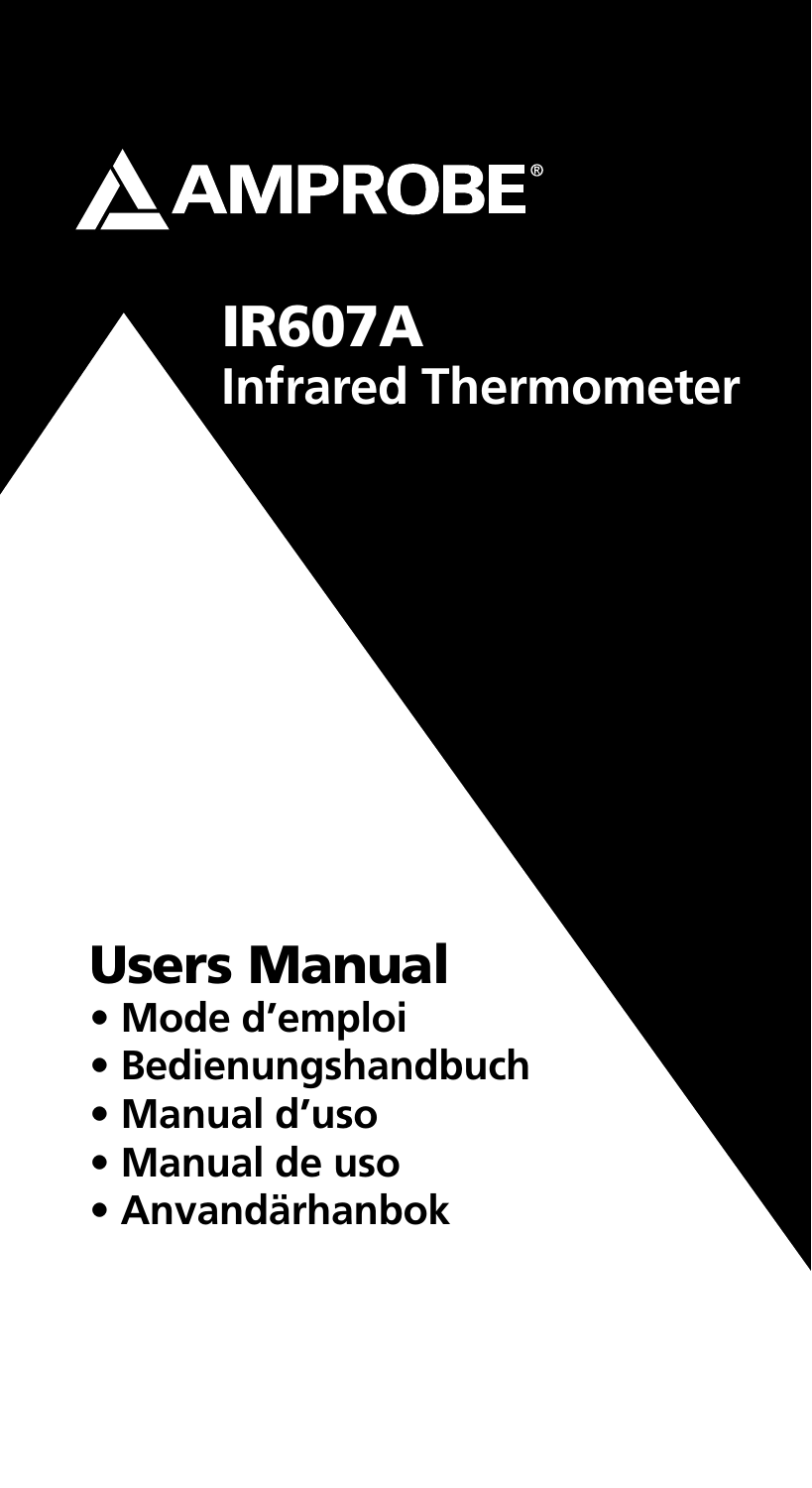

## IR607A **Infrared Thermometer**

## Users Manual

- **Mode d'emploi**
- **Bedienungshandbuch**
- **Manual d'uso**
- **Manual de uso**
- **Anvandärhanbok**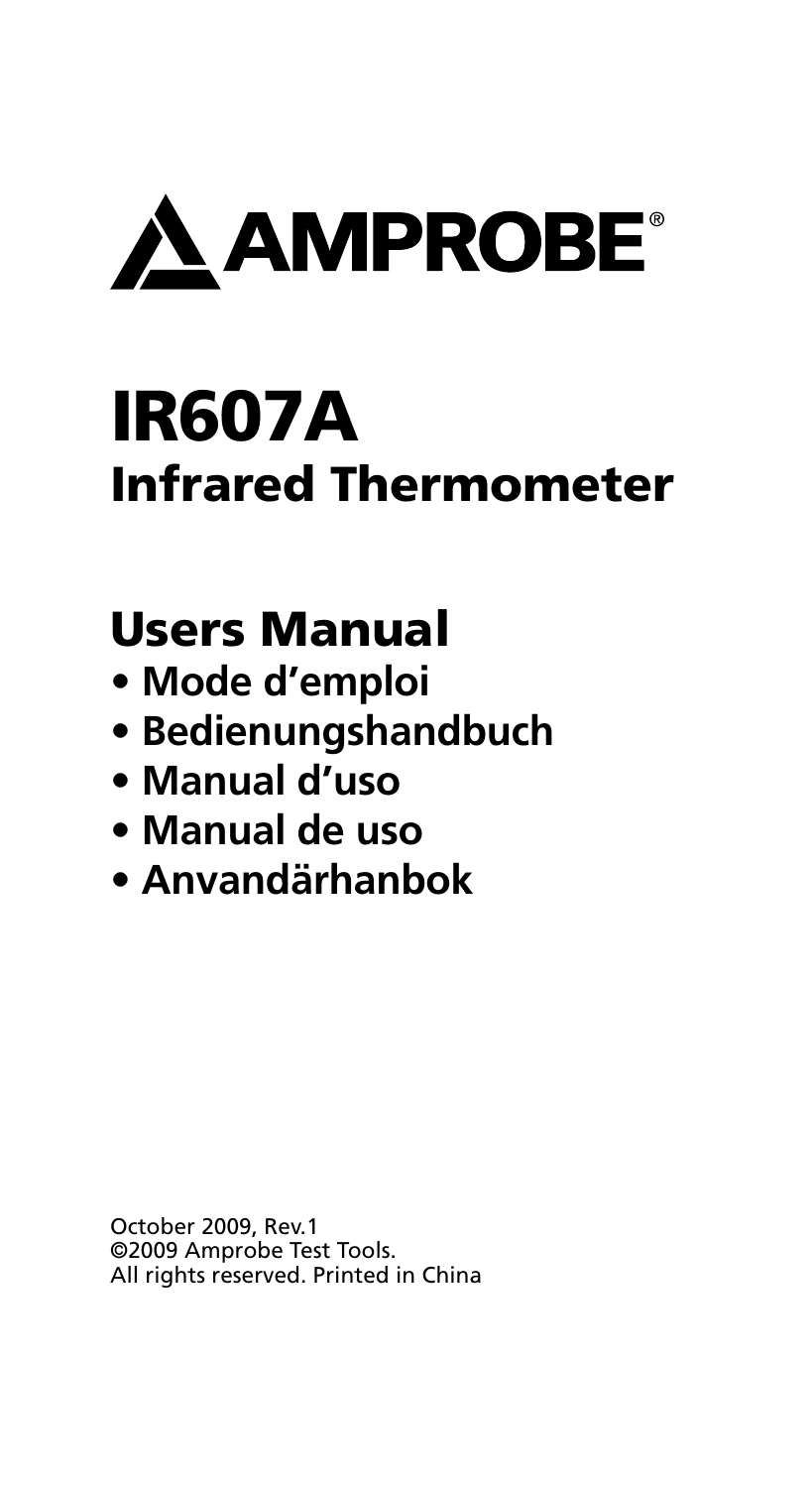

## IR607A Infrared Thermometer

## Users Manual

- **Mode d'emploi**
- **Bedienungshandbuch**
- **Manual d'uso**
- **Manual de uso**
- **Anvandärhanbok**

October 2009, Rev.1 ©2009 Amprobe Test Tools. All rights reserved. Printed in China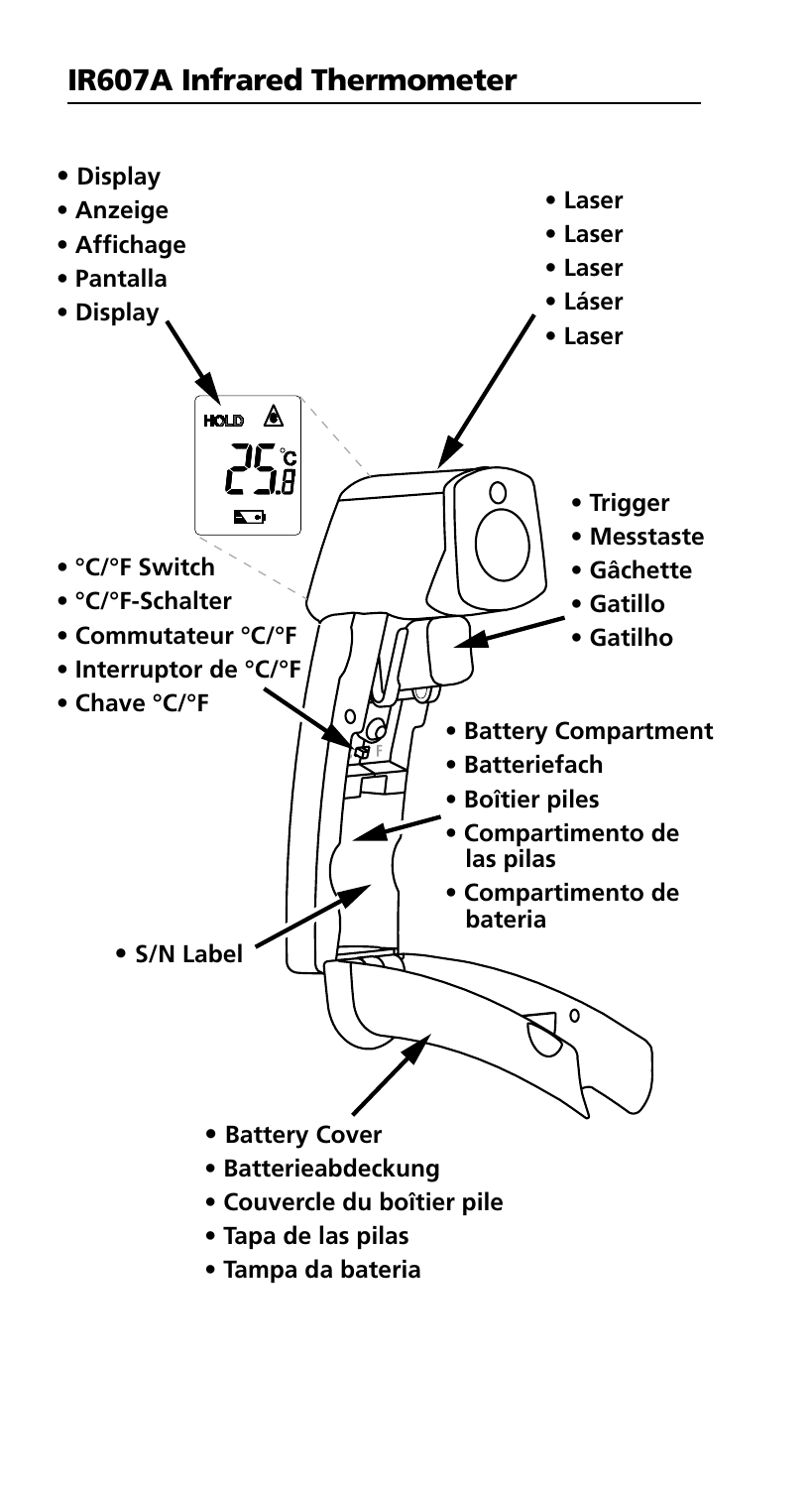

**• Tampa da bateria**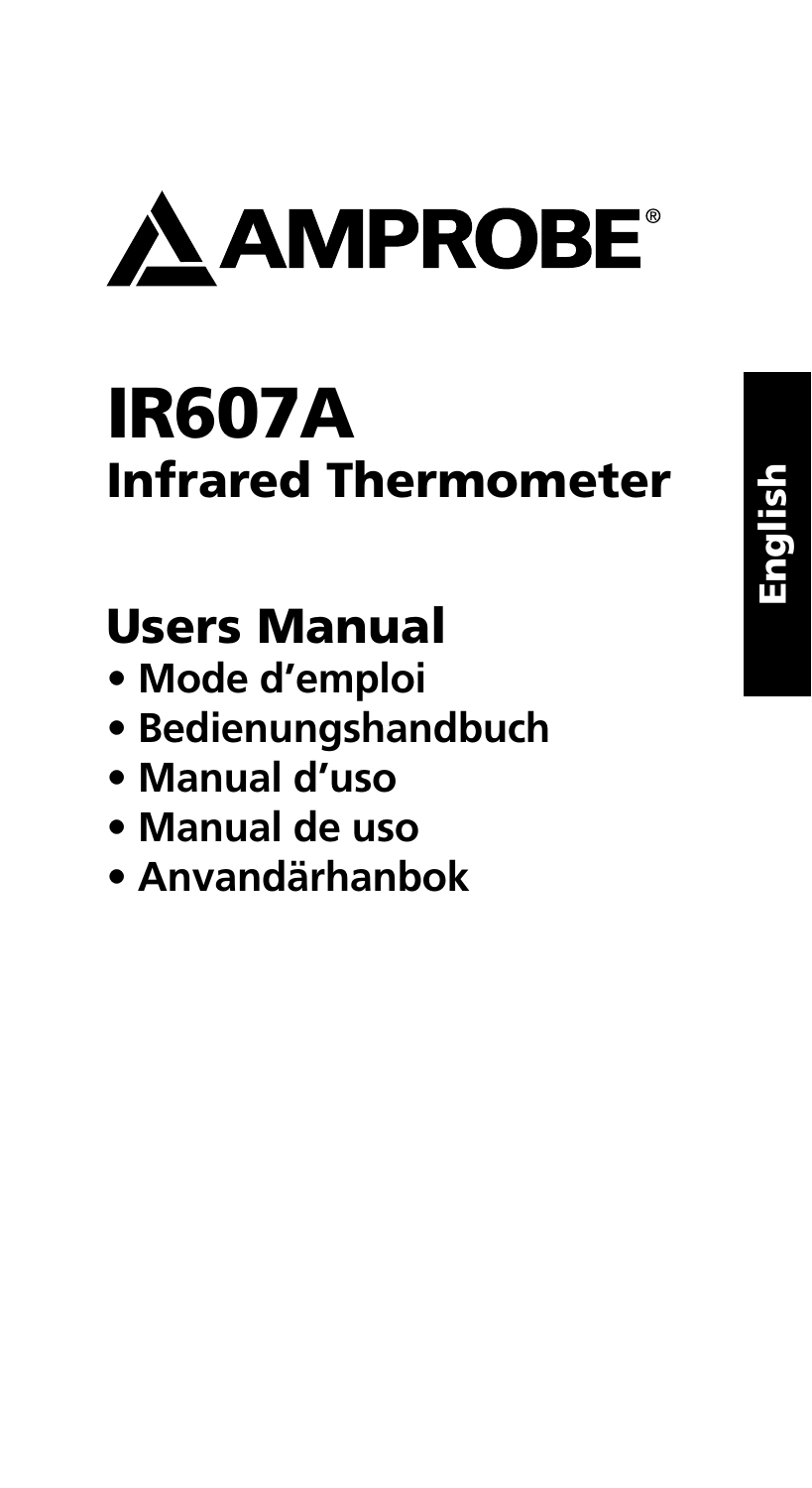

# IR607A Infrared Thermometer

## Users Manual

- **Mode d'emploi**
- **Bedienungshandbuch**
- **Manual d'uso**
- **Manual de uso**
- **Anvandärhanbok**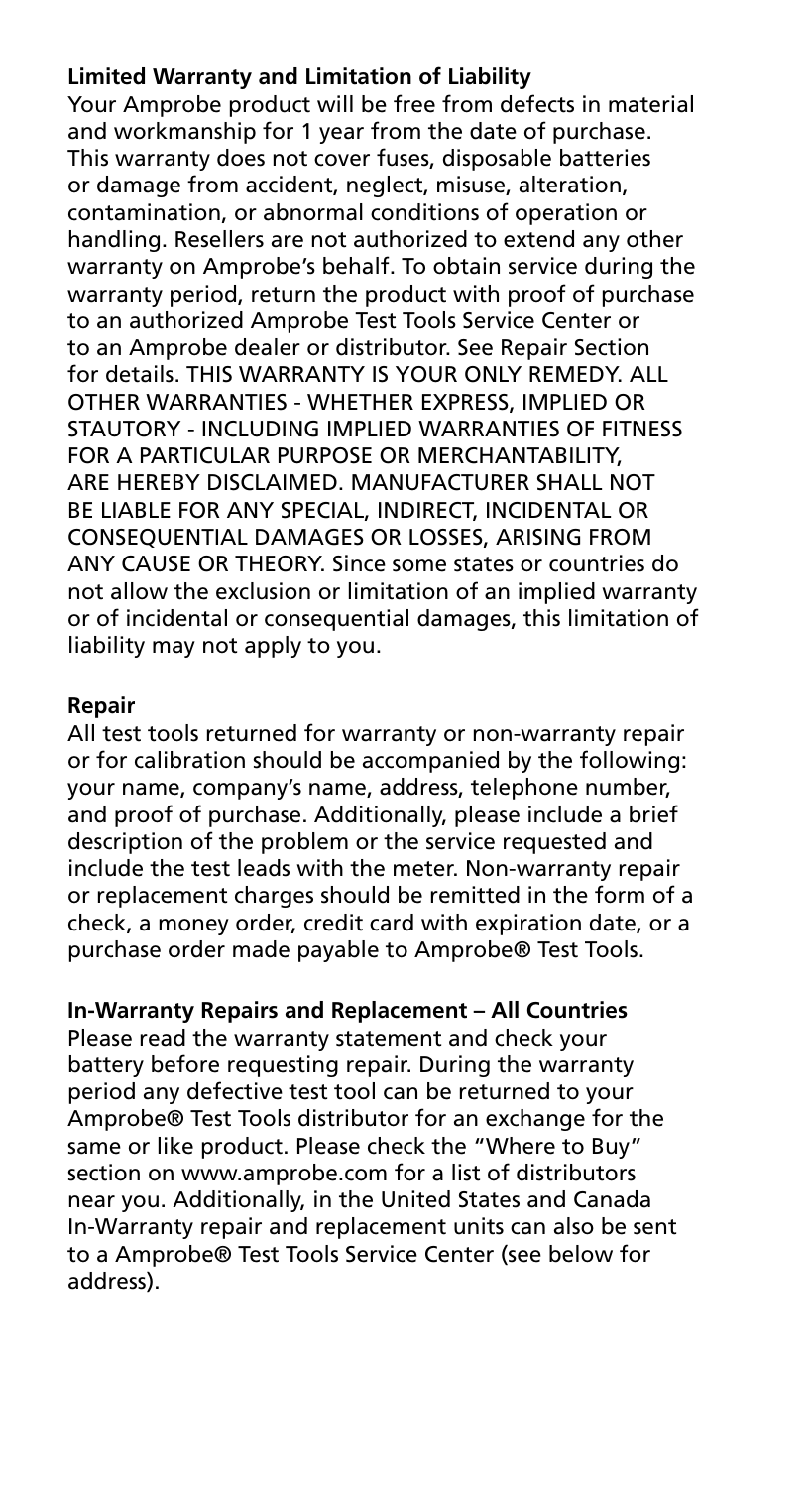#### **Limited Warranty and Limitation of Liability**

Your Amprobe product will be free from defects in material and workmanship for 1 year from the date of purchase. This warranty does not cover fuses, disposable batteries or damage from accident, neglect, misuse, alteration, contamination, or abnormal conditions of operation or handling. Resellers are not authorized to extend any other warranty on Amprobe's behalf. To obtain service during the warranty period, return the product with proof of purchase to an authorized Amprobe Test Tools Service Center or to an Amprobe dealer or distributor. See Repair Section for details. THIS WARRANTY IS YOUR ONLY REMEDY. ALL OTHER WARRANTIES - WHETHER EXPRESS, IMPLIED OR STAUTORY - INCLUDING IMPLIED WARRANTIES OF FITNESS FOR A PARTICULAR PURPOSE OR MERCHANTABILITY, ARE HEREBY DISCLAIMED. MANUFACTURER SHALL NOT BE LIABLE FOR ANY SPECIAL, INDIRECT, INCIDENTAL OR CONSEQUENTIAL DAMAGES OR LOSSES, ARISING FROM ANY CAUSE OR THEORY. Since some states or countries do not allow the exclusion or limitation of an implied warranty or of incidental or consequential damages, this limitation of liability may not apply to you.

#### **Repair**

All test tools returned for warranty or non-warranty repair or for calibration should be accompanied by the following: your name, company's name, address, telephone number, and proof of purchase. Additionally, please include a brief description of the problem or the service requested and include the test leads with the meter. Non-warranty repair or replacement charges should be remitted in the form of a check, a money order, credit card with expiration date, or a purchase order made payable to Amprobe® Test Tools.

#### **In-Warranty Repairs and Replacement – All Countries**

Please read the warranty statement and check your battery before requesting repair. During the warranty period any defective test tool can be returned to your Amprobe® Test Tools distributor for an exchange for the same or like product. Please check the "Where to Buy" section on www.amprobe.com for a list of distributors near you. Additionally, in the United States and Canada In-Warranty repair and replacement units can also be sent to a Amprobe® Test Tools Service Center (see below for address).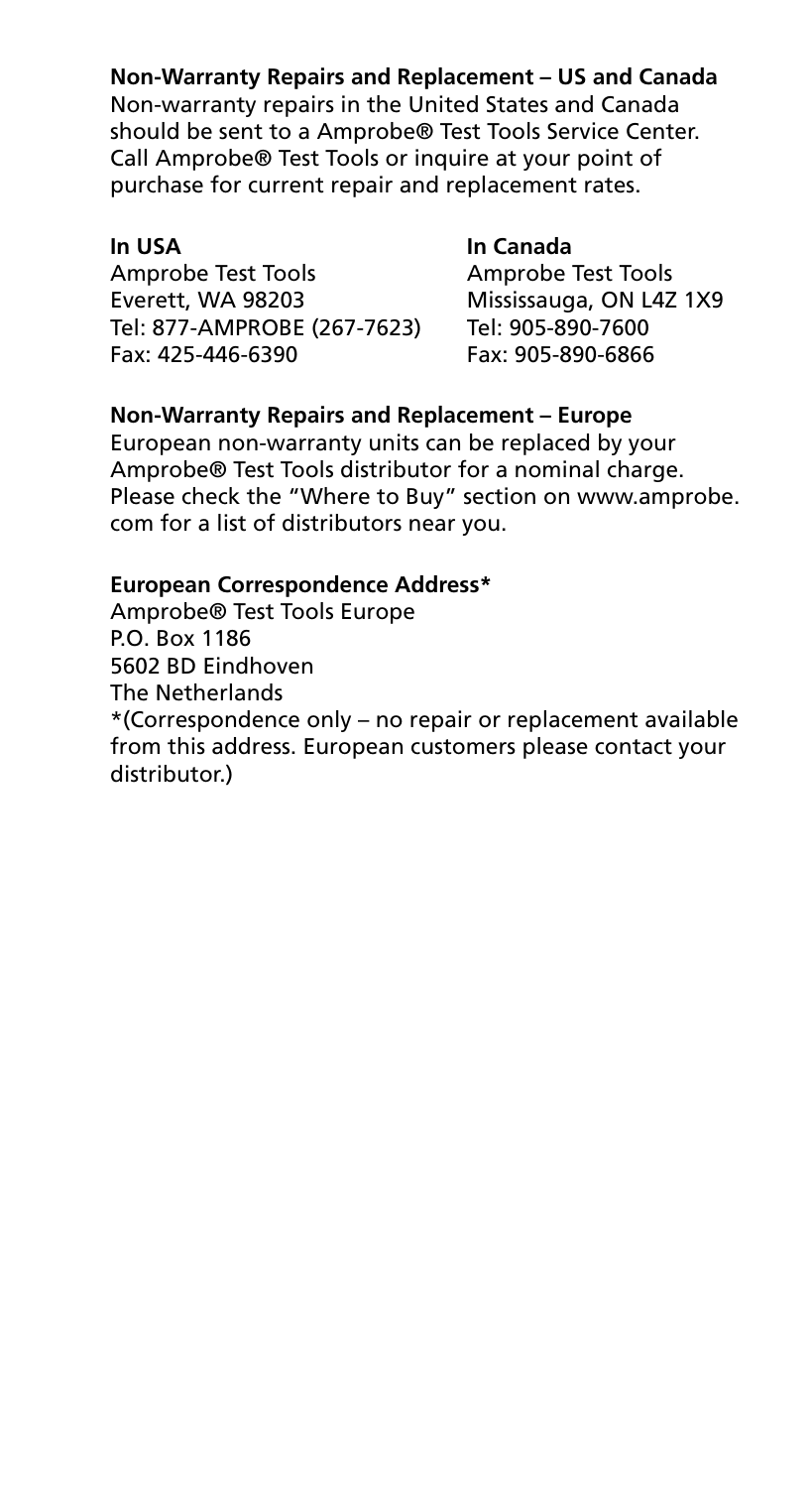**Non-Warranty Repairs and Replacement – US and Canada**

Non-warranty repairs in the United States and Canada should be sent to a Amprobe® Test Tools Service Center. Call Amprobe® Test Tools or inquire at your point of purchase for current repair and replacement rates.

Amprobe Test Tools<br>
Everett, WA 98203 Mississauga, ON L4Z Tel: 877-AMPROBE (267-7623) Tel: 905-890-7600 Fax: 425-446-6390 Fax: 905-890-6866

### **In USA In Canada**

Mississauga, ON L4Z 1X9

#### **Non-Warranty Repairs and Replacement – Europe**

European non-warranty units can be replaced by your Amprobe® Test Tools distributor for a nominal charge. Please check the "Where to Buy" section on www.amprobe. com for a list of distributors near you.

#### **European Correspondence Address\***

Amprobe® Test Tools Europe P.O. Box 1186 5602 BD Eindhoven The Netherlands \*(Correspondence only – no repair or replacement available from this address. European customers please contact your distributor.)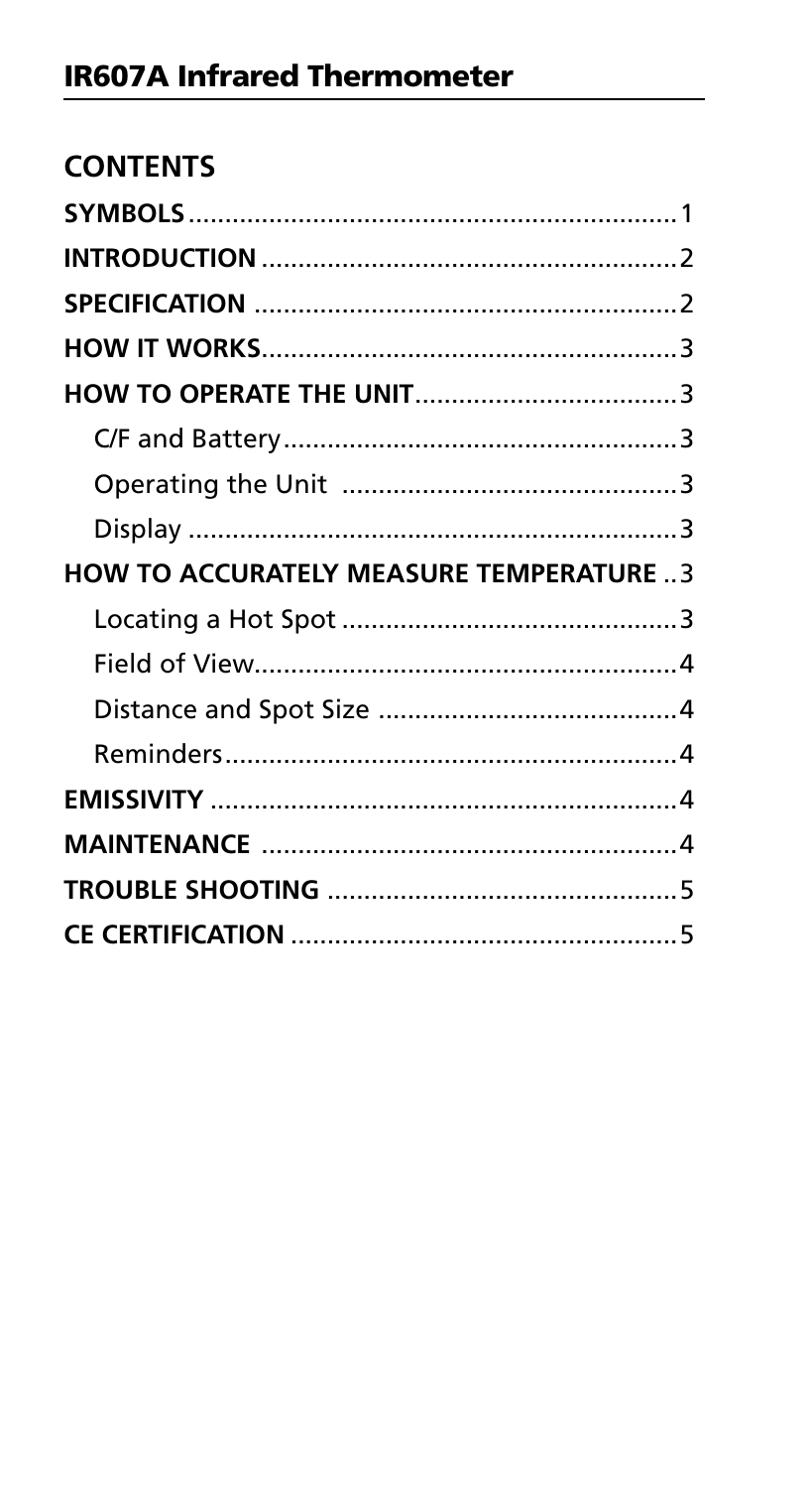| <b>CONTENTS</b>                                |  |
|------------------------------------------------|--|
|                                                |  |
|                                                |  |
|                                                |  |
|                                                |  |
|                                                |  |
|                                                |  |
|                                                |  |
|                                                |  |
| <b>HOW TO ACCURATELY MEASURE TEMPERATURE 3</b> |  |
|                                                |  |
|                                                |  |
|                                                |  |
|                                                |  |
|                                                |  |
|                                                |  |
|                                                |  |
|                                                |  |
|                                                |  |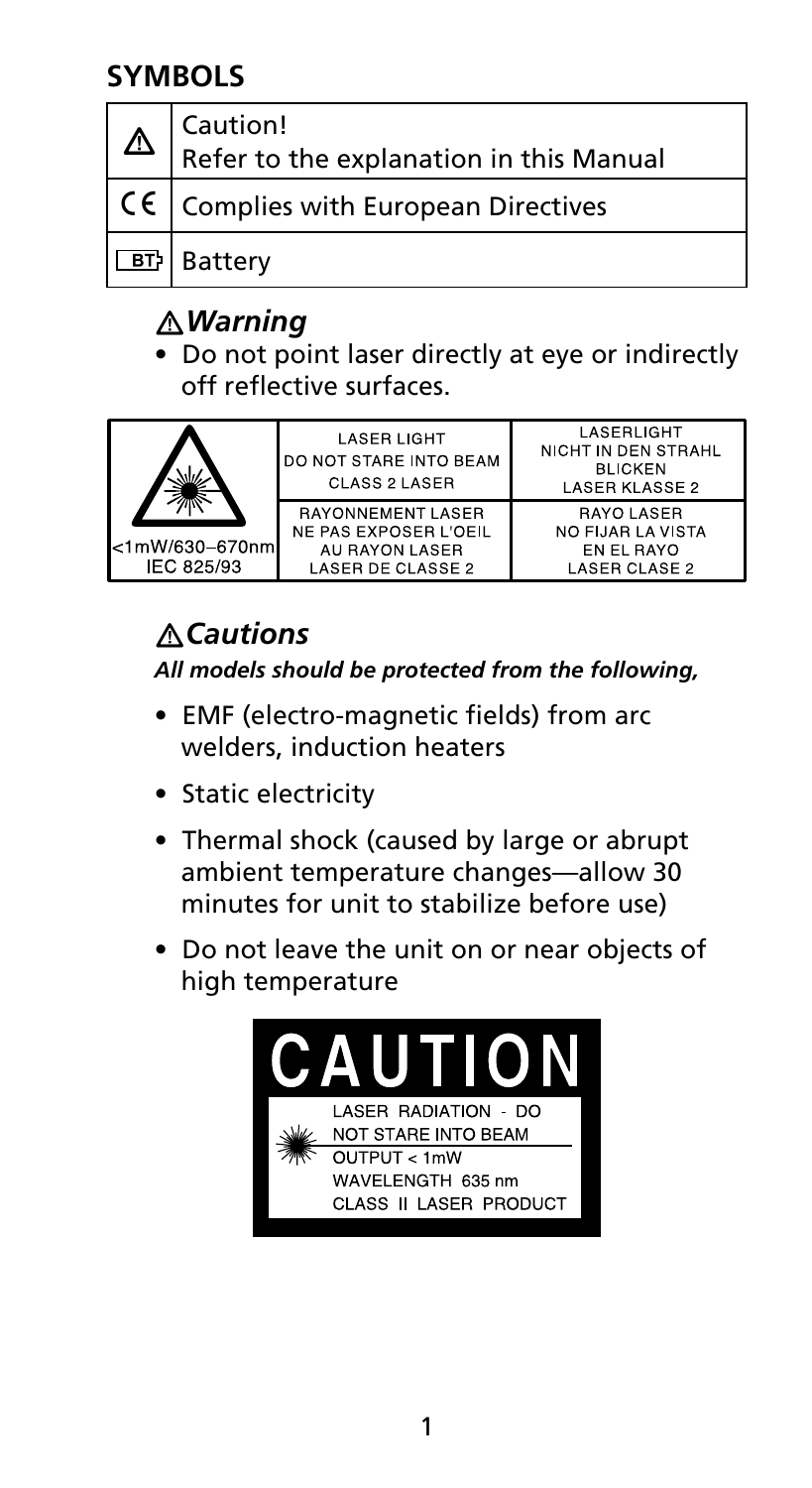## **SYMBOLS**

| Caution!<br>$\Delta$ $\Delta$ Refer to the explanation in this Manual |
|-----------------------------------------------------------------------|
| $\vert$ C $\epsilon$ $\vert$ Complies with European Directives        |
| 団 Battery                                                             |

## �*Warning*

• Do not point laser directly at eye or indirectly off reflective surfaces.



## �*Cautions*

*All models should be protected from the following,*

- EMF (electro-magnetic fields) from arc welders, induction heaters
- Static electricity
- Thermal shock (caused by large or abrupt ambient temperature changes—allow 30 minutes for unit to stabilize before use)
- Do not leave the unit on or near objects of high temperature

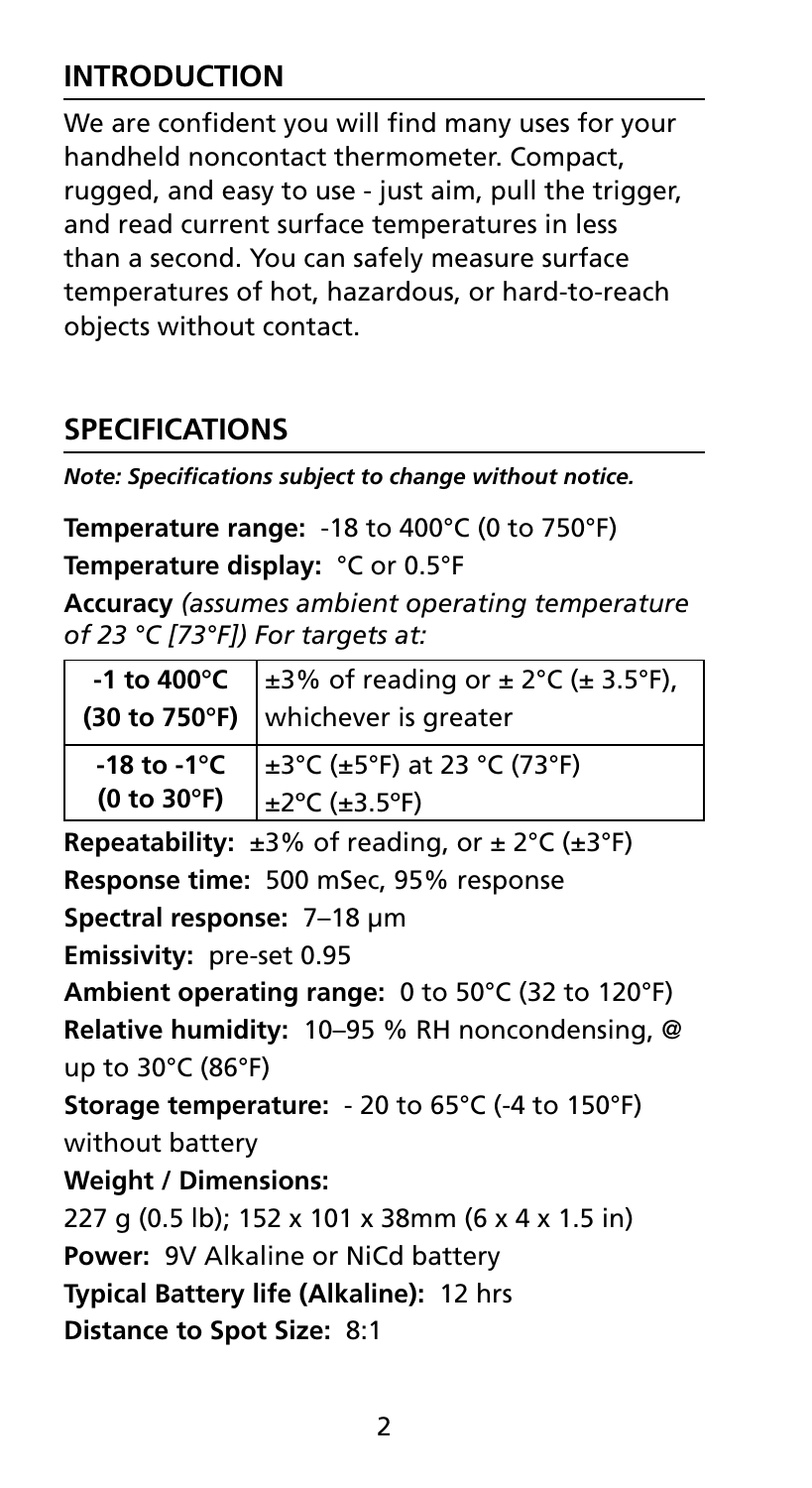## **INTRODUCTION**

We are confident you will find many uses for your handheld noncontact thermometer. Compact, rugged, and easy to use - just aim, pull the trigger, and read current surface temperatures in less than a second. You can safely measure surface temperatures of hot, hazardous, or hard-to-reach objects without contact.

## **SPECIFICATIONS**

*Note: Specifications subject to change without notice.* 

**Temperature range:** -18 to 400°C (0 to 750°F)

**Temperature display:** °C or 0.5°F

**Accuracy** *(assumes ambient operating temperature of 23 °C [73°F]) For targets at:*

|             | -1 to 400°C $\pm 3\%$ of reading or $\pm 2^{\circ}$ C ( $\pm 3.5^{\circ}$ F),    |  |
|-------------|----------------------------------------------------------------------------------|--|
|             | (30 to 750°F) whichever is greater                                               |  |
|             | -18 to -1°C $\left  \pm 3^{\circ}C \right $ ( $\pm 5^{\circ}F$ ) at 23 °C (73°F) |  |
| (0 to 30°F) | $\pm 2^{\circ}$ C (±3.5°F)                                                       |  |

**Repeatability:** ±3% of reading, or ± 2°C (±3°F) **Response time:** 500 mSec, 95% response **Spectral response:** 7–18 μm **Emissivity:** pre-set 0.95 **Ambient operating range:** 0 to 50°C (32 to 120°F) **Relative humidity:** 10–95 % RH noncondensing, @ up to 30°C (86°F) **Storage temperature:** - 20 to 65°C (-4 to 150°F) without battery **Weight / Dimensions:**  227 g (0.5 lb); 152 x 101 x 38mm (6 x 4 x 1.5 in) **Power:** 9V Alkaline or NiCd battery **Typical Battery life (Alkaline):** 12 hrs **Distance to Spot Size:** 8:1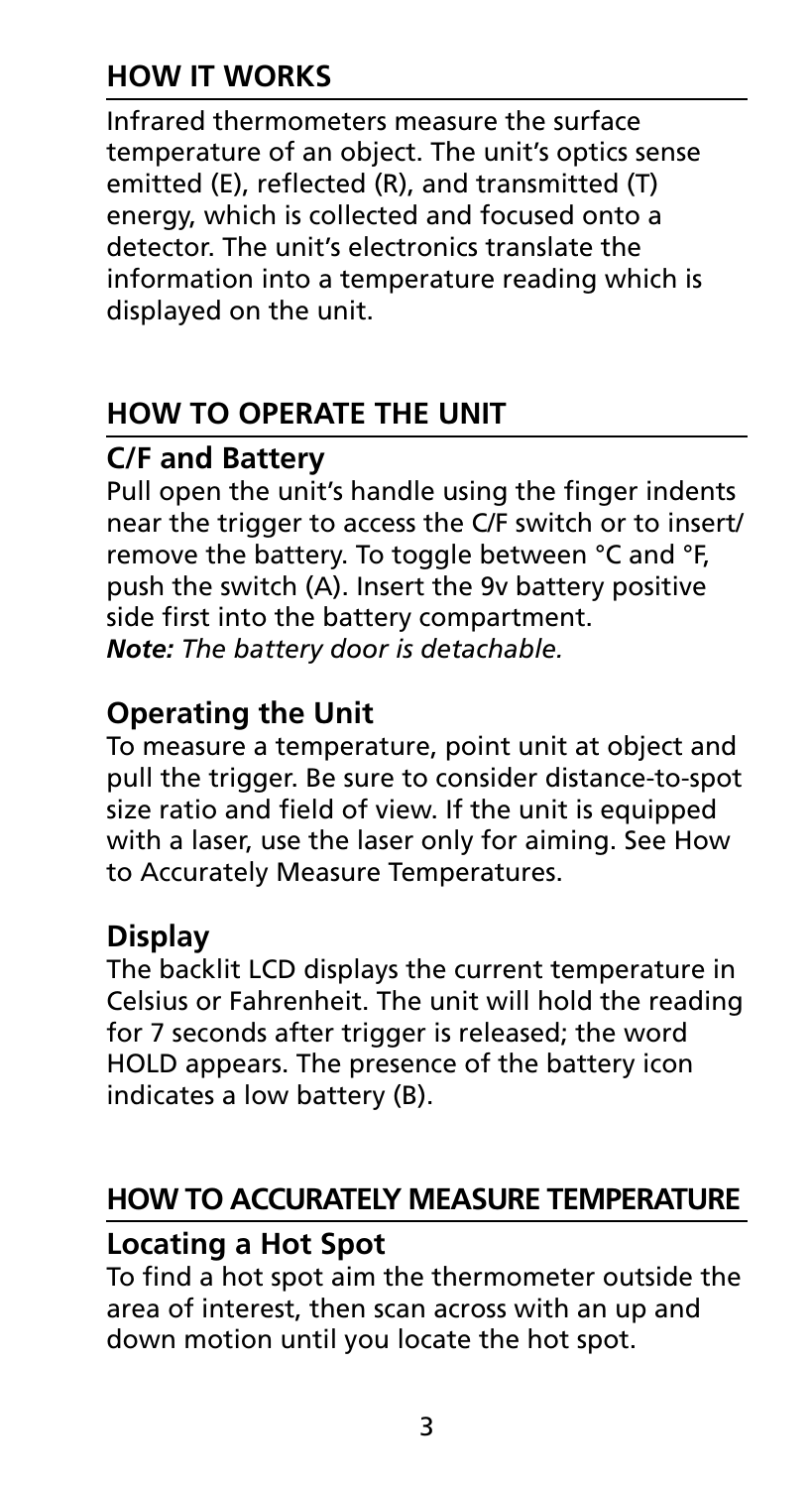## **How it Works**

Infrared thermometers measure the surface temperature of an object. The unit's optics sense emitted (E), reflected (R), and transmitted (T) energy, which is collected and focused onto a detector. The unit's electronics translate the information into a temperature reading which is displayed on the unit.

## **How to Operate the Unit**

## **C/F and Battery**

Pull open the unit's handle using the finger indents near the trigger to access the C/F switch or to insert/ remove the battery. To toggle between °C and °F, push the switch (A). Insert the 9v battery positive side first into the battery compartment. *Note: The battery door is detachable.*

## **Operating the Unit**

To measure a temperature, point unit at object and pull the trigger. Be sure to consider distance-to-spot size ratio and field of view. If the unit is equipped with a laser, use the laser only for aiming. See How to Accurately Measure Temperatures.

## **Display**

The backlit LCD displays the current temperature in Celsius or Fahrenheit. The unit will hold the reading for 7 seconds after trigger is released; the word HOLD appears. The presence of the battery icon indicates a low battery (B).

## **How to Accurately Measure Temperature**

## **Locating a Hot Spot**

To find a hot spot aim the thermometer outside the area of interest, then scan across with an up and down motion until you locate the hot spot.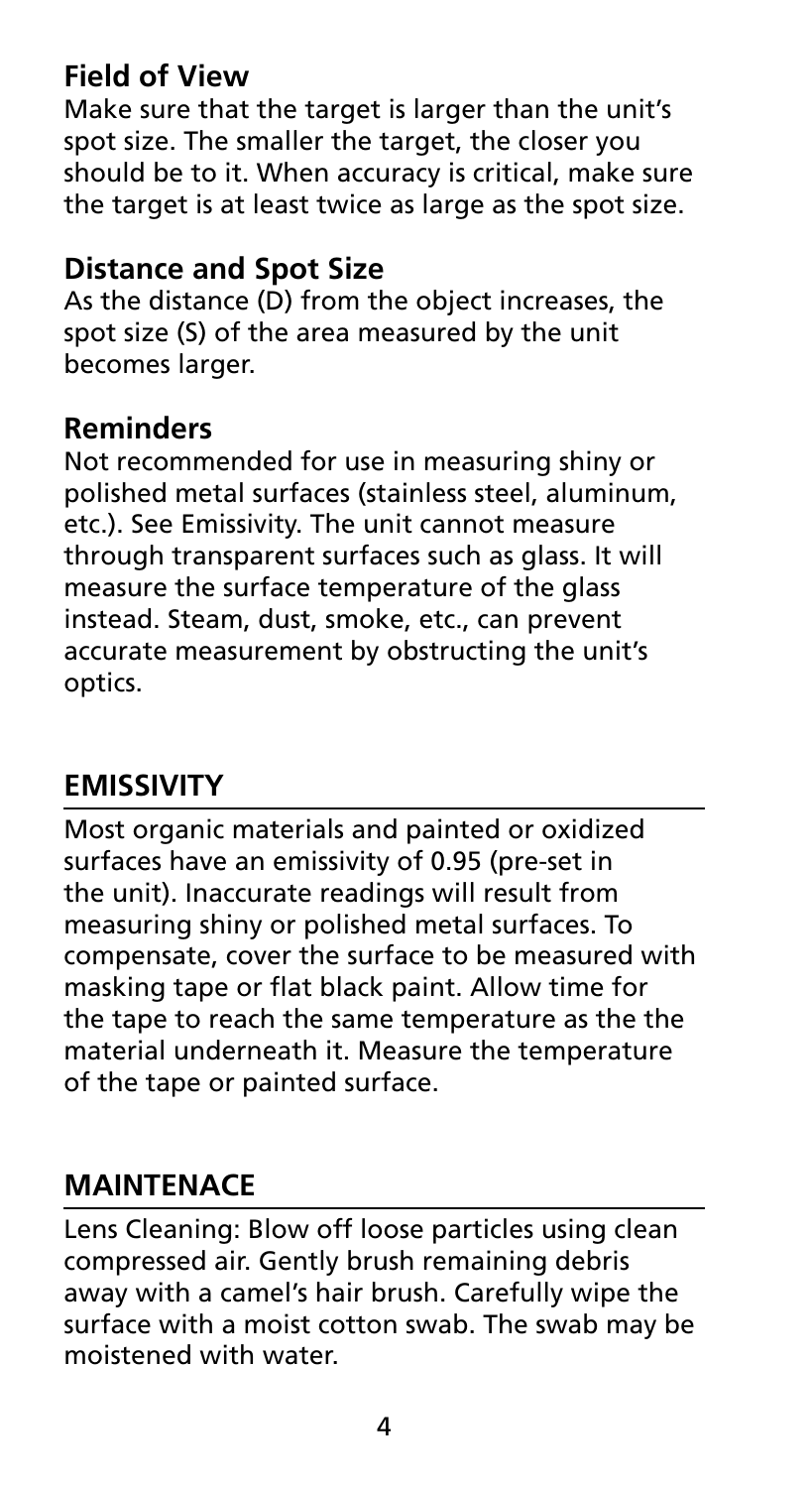## **Field of View**

Make sure that the target is larger than the unit's spot size. The smaller the target, the closer you should be to it. When accuracy is critical, make sure the target is at least twice as large as the spot size.

## **Distance and Spot Size**

As the distance (D) from the object increases, the spot size (S) of the area measured by the unit becomes larger.

### **Reminders**

Not recommended for use in measuring shiny or polished metal surfaces (stainless steel, aluminum, etc.). See Emissivity. The unit cannot measure through transparent surfaces such as glass. It will measure the surface temperature of the glass instead. Steam, dust, smoke, etc., can prevent accurate measurement by obstructing the unit's optics.

## **Emissivity**

Most organic materials and painted or oxidized surfaces have an emissivity of 0.95 (pre-set in the unit). Inaccurate readings will result from measuring shiny or polished metal surfaces. To compensate, cover the surface to be measured with masking tape or flat black paint. Allow time for the tape to reach the same temperature as the the material underneath it. Measure the temperature of the tape or painted surface.

## **MAINTENACE**

Lens Cleaning: Blow off loose particles using clean compressed air. Gently brush remaining debris away with a camel's hair brush. Carefully wipe the surface with a moist cotton swab. The swab may be moistened with water.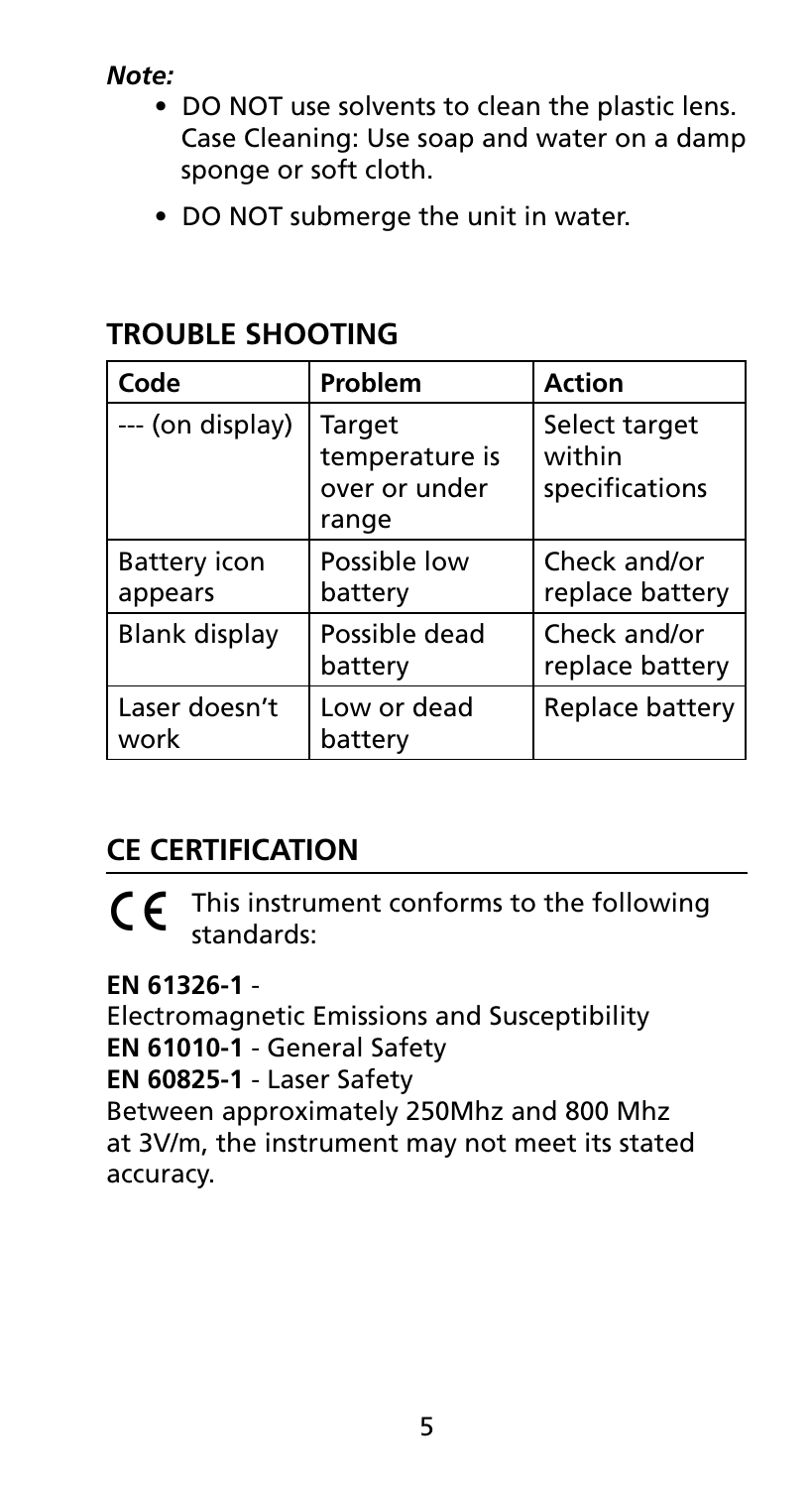*Note:* 

- DO NOT use solvents to clean the plastic lens. Case Cleaning: Use soap and water on a damp sponge or soft cloth.
- DO NOT submerge the unit in water.

| Code                    | Problem                                            | <b>Action</b>                             |
|-------------------------|----------------------------------------------------|-------------------------------------------|
| --- (on display)        | Target<br>temperature is<br>over or under<br>range | Select target<br>within<br>specifications |
| Battery icon<br>appears | Possible low<br>battery                            | Check and/or<br>replace battery           |
| Blank display           | Possible dead<br>battery                           | Check and/or<br>replace battery           |
| Laser doesn't<br>work   | Low or dead<br>batterv                             | Replace battery                           |

## **TROUBLE SHOOTING**

## **CE Certification**

 $\int f$  This instrument conforms to the following standards:

**EN 61326-1** -

Electromagnetic Emissions and Susceptibility **EN 61010-1** - General Safety **EN 60825-1** - Laser Safety

Between approximately 250Mhz and 800 Mhz at 3V/m, the instrument may not meet its stated accuracy.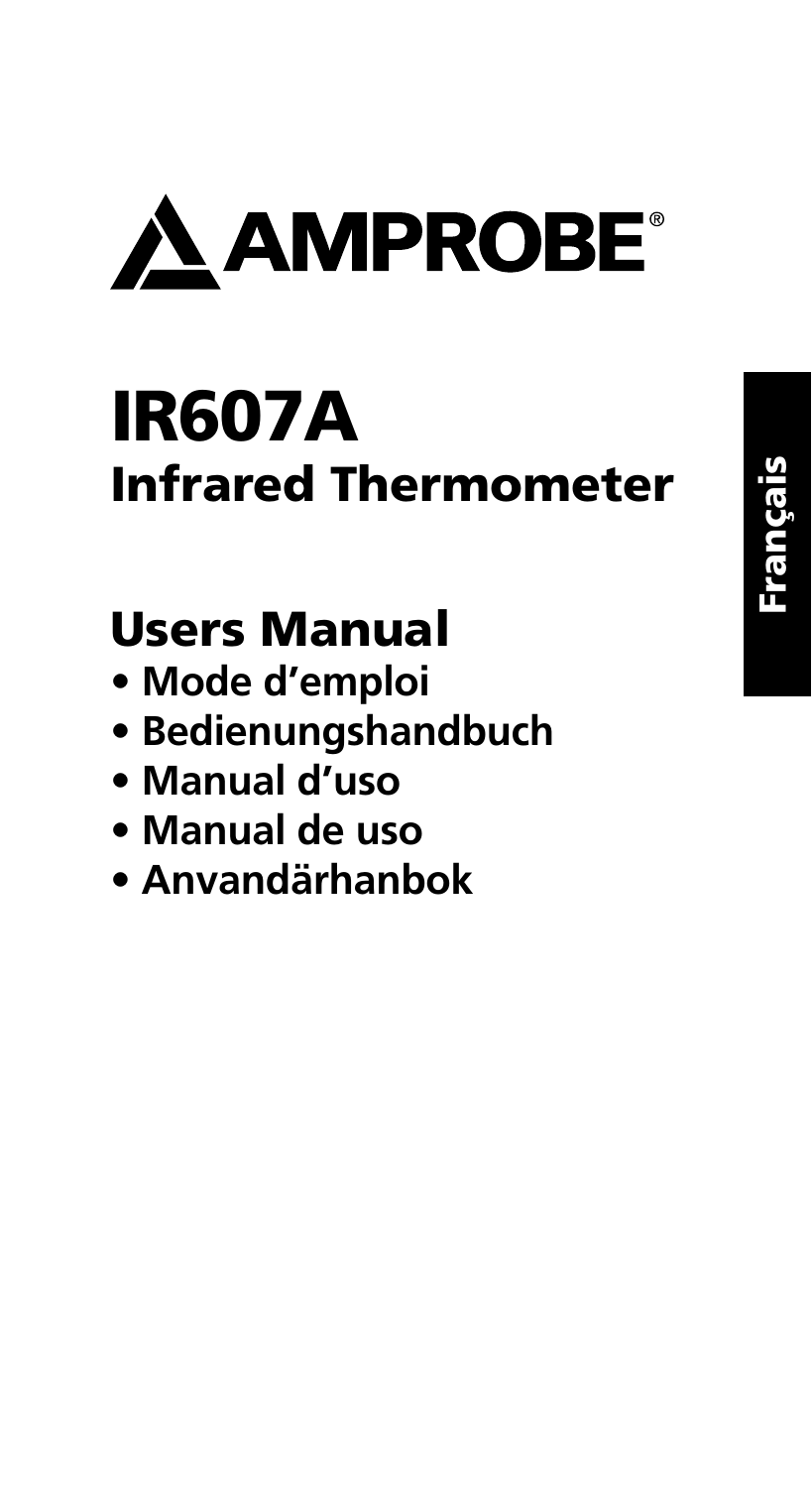

## IR607A Infrared Thermometer

## Users Manual

- **Mode d'emploi**
- **Bedienungshandbuch**
- **Manual d'uso**
- **Manual de uso**
- **Anvandärhanbok**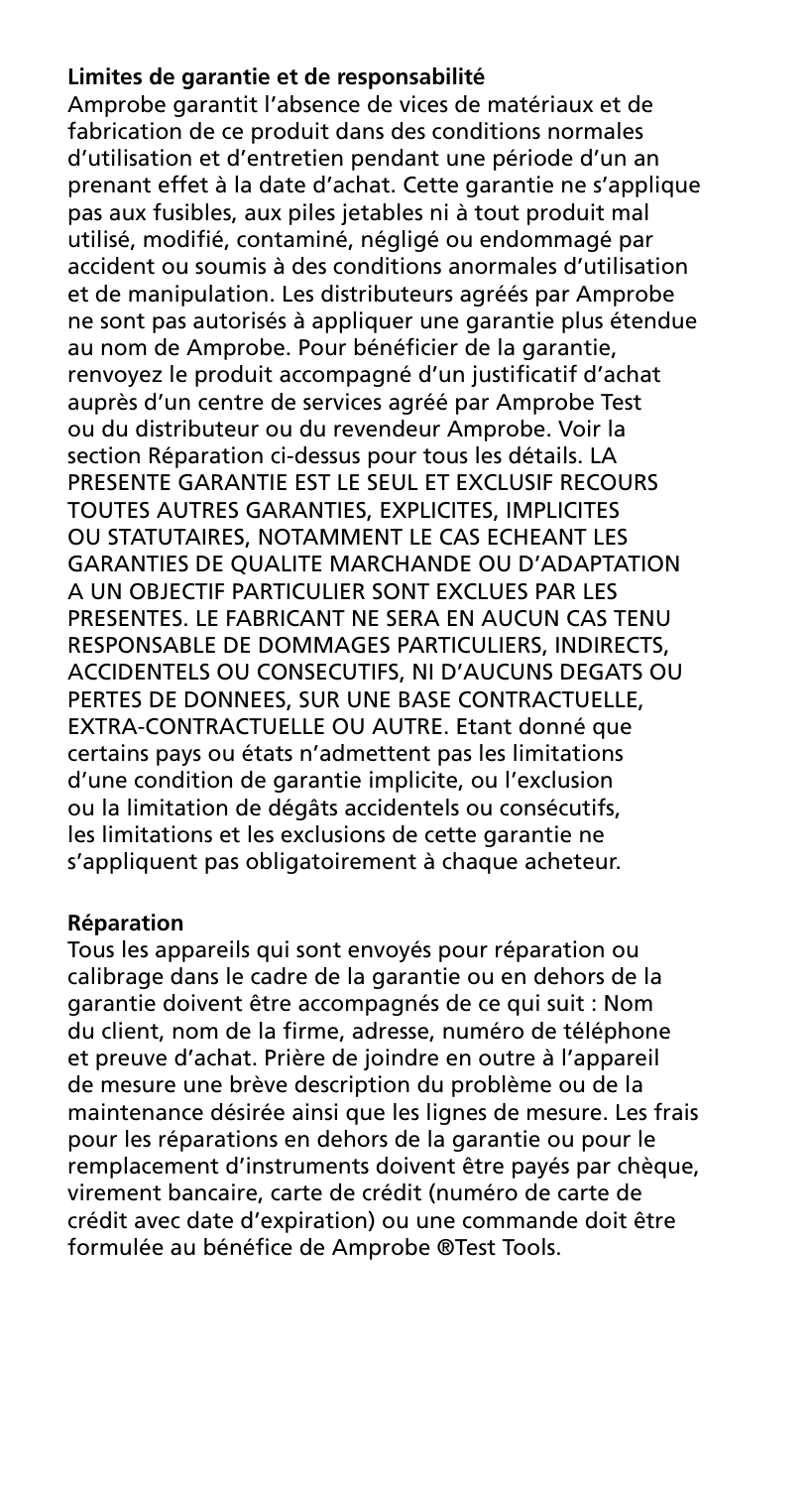#### **Limites de garantie et de responsabilité**

Amprobe garantit l'absence de vices de matériaux et de fabrication de ce produit dans des conditions normales d'utilisation et d'entretien pendant une période d'un an prenant effet à la date d'achat. Cette garantie ne s'applique pas aux fusibles, aux piles jetables ni à tout produit mal utilisé, modifié, contaminé, négligé ou endommagé par accident ou soumis à des conditions anormales d'utilisation et de manipulation. Les distributeurs agréés par Amprobe ne sont pas autorisés à appliquer une garantie plus étendue au nom de Amprobe. Pour bénéficier de la garantie, renvoyez le produit accompagné d'un justificatif d'achat auprès d'un centre de services agréé par Amprobe Test ou du distributeur ou du revendeur Amprobe. Voir la section Réparation ci-dessus pour tous les détails. LA PRESENTE GARANTIE EST LE SEUL ET EXCLUSIF RECOURS TOUTES AUTRES GARANTIES, EXPLICITES, IMPLICITES OU STATUTAIRES, NOTAMMENT LE CAS ECHEANT LES GARANTIES DE QUALITE MARCHANDE OU D'ADAPTATION A UN OBJECTIF PARTICULIER SONT EXCLUES PAR LES PRESENTES. LE FABRICANT NE SERA EN AUCUN CAS TENU RESPONSABLE DE DOMMAGES PARTICULIERS, INDIRECTS, ACCIDENTELS OU CONSECUTIFS, NI D'AUCUNS DEGATS OU PERTES DE DONNEES, SUR UNE BASE CONTRACTUELLE, EXTRA-CONTRACTUELLE OU AUTRE. Etant donné que certains pays ou états n'admettent pas les limitations d'une condition de garantie implicite, ou l'exclusion ou la limitation de dégâts accidentels ou consécutifs, les limitations et les exclusions de cette garantie ne s'appliquent pas obligatoirement à chaque acheteur.

#### **Réparation**

Tous les appareils qui sont envoyés pour réparation ou calibrage dans le cadre de la garantie ou en dehors de la garantie doivent être accompagnés de ce qui suit : Nom du client, nom de la firme, adresse, numéro de téléphone et preuve d'achat. Prière de joindre en outre à l'appareil de mesure une brève description du problème ou de la maintenance désirée ainsi que les lignes de mesure. Les frais pour les réparations en dehors de la garantie ou pour le remplacement d'instruments doivent être payés par chèque, virement bancaire, carte de crédit (numéro de carte de crédit avec date d'expiration) ou une commande doit être formulée au bénéfice de Amprobe ®Test Tools.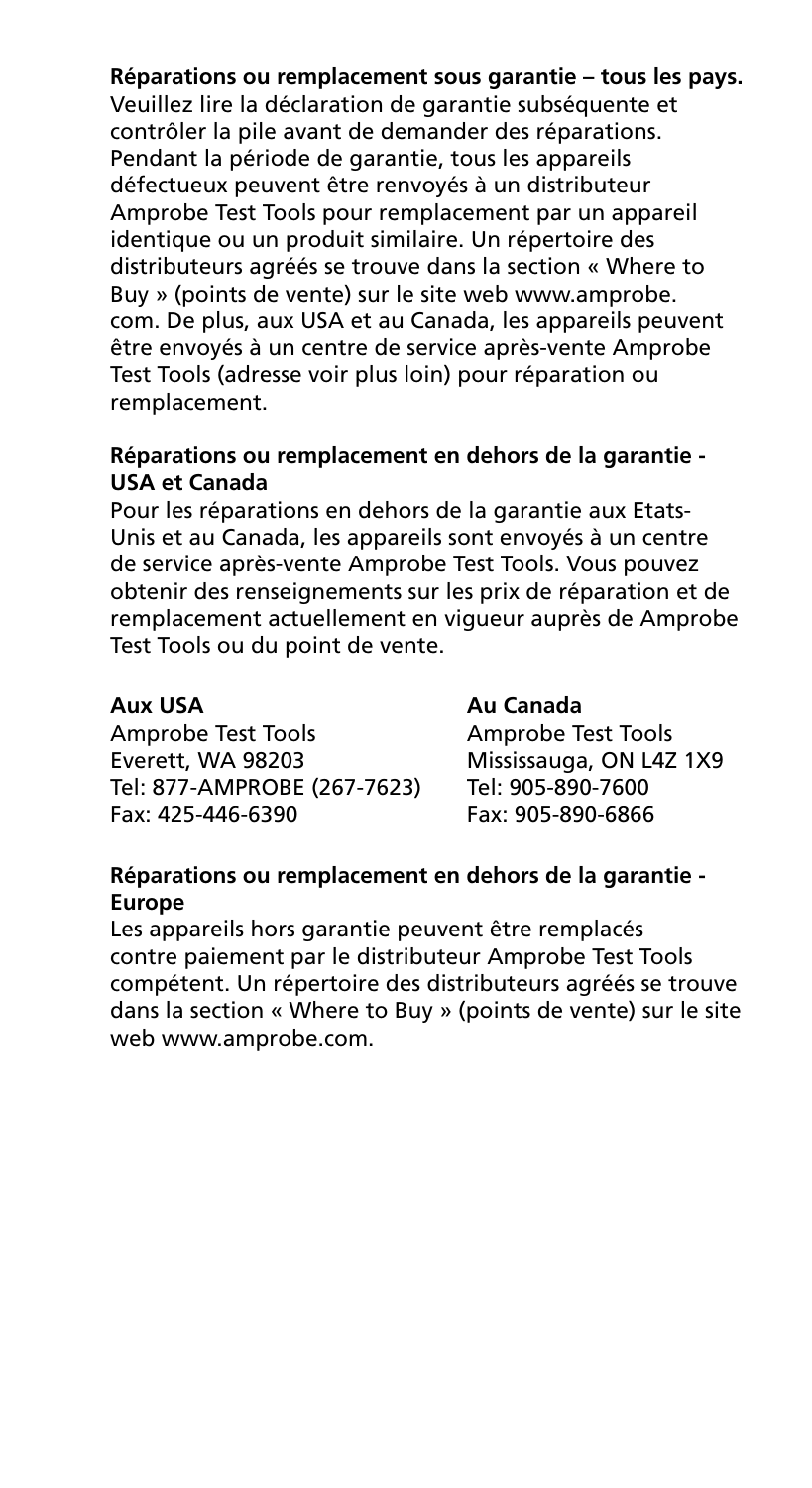#### **Réparations ou remplacement sous garantie – tous les pays.**

Veuillez lire la déclaration de garantie subséquente et contrôler la pile avant de demander des réparations. Pendant la période de garantie, tous les appareils défectueux peuvent être renvoyés à un distributeur Amprobe Test Tools pour remplacement par un appareil identique ou un produit similaire. Un répertoire des distributeurs agréés se trouve dans la section « Where to Buy » (points de vente) sur le site web www.amprobe. com. De plus, aux USA et au Canada, les appareils peuvent être envoyés à un centre de service après-vente Amprobe Test Tools (adresse voir plus loin) pour réparation ou remplacement.

#### **Réparations ou remplacement en dehors de la garantie - USA et Canada**

Pour les réparations en dehors de la garantie aux Etats-Unis et au Canada, les appareils sont envoyés à un centre de service après-vente Amprobe Test Tools. Vous pouvez obtenir des renseignements sur les prix de réparation et de remplacement actuellement en vigueur auprès de Amprobe Test Tools ou du point de vente.

#### **Aux USA Au Canada**

Amprobe Test Tools Amprobe Test Tools Everett, WA 98203 Mississauga, ON L4Z 1X9 Tel: 877-AMPROBE (267-7623) Fax: 425-446-6390 Fax: 905-890-6866

#### **Réparations ou remplacement en dehors de la garantie - Europe**

Les appareils hors garantie peuvent être remplacés contre paiement par le distributeur Amprobe Test Tools compétent. Un répertoire des distributeurs agréés se trouve dans la section « Where to Buy » (points de vente) sur le site web www.amprobe.com.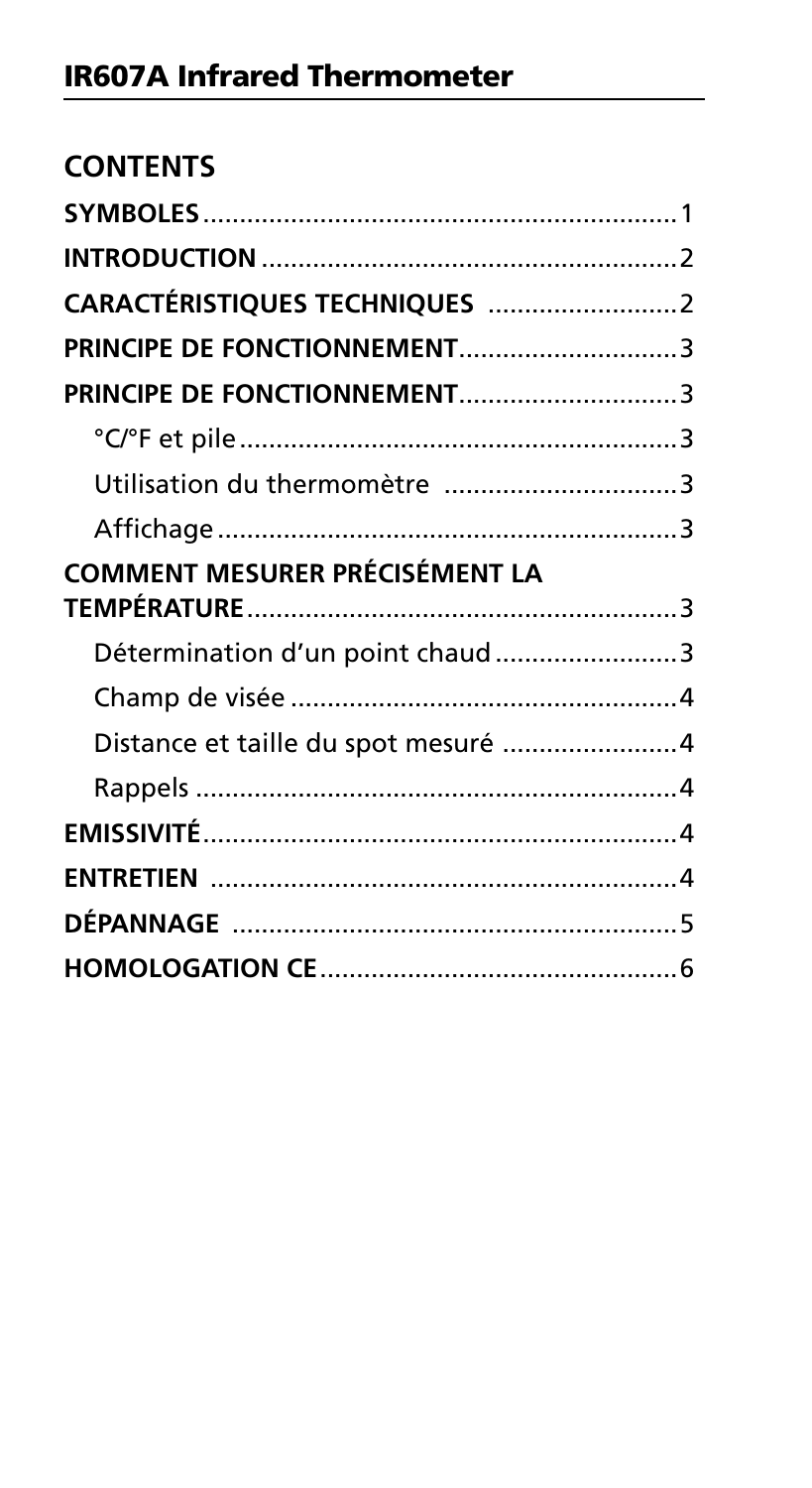| <b>CONTENTS</b>                       |  |
|---------------------------------------|--|
|                                       |  |
|                                       |  |
|                                       |  |
| PRINCIPE DE FONCTIONNEMENT3           |  |
|                                       |  |
|                                       |  |
| Utilisation du thermomètre 3          |  |
|                                       |  |
| <b>COMMENT MESURER PRÉCISÉMENT LA</b> |  |
| Détermination d'un point chaud3       |  |
|                                       |  |
| Distance et taille du spot mesuré 4   |  |
|                                       |  |
|                                       |  |
|                                       |  |
|                                       |  |
|                                       |  |
|                                       |  |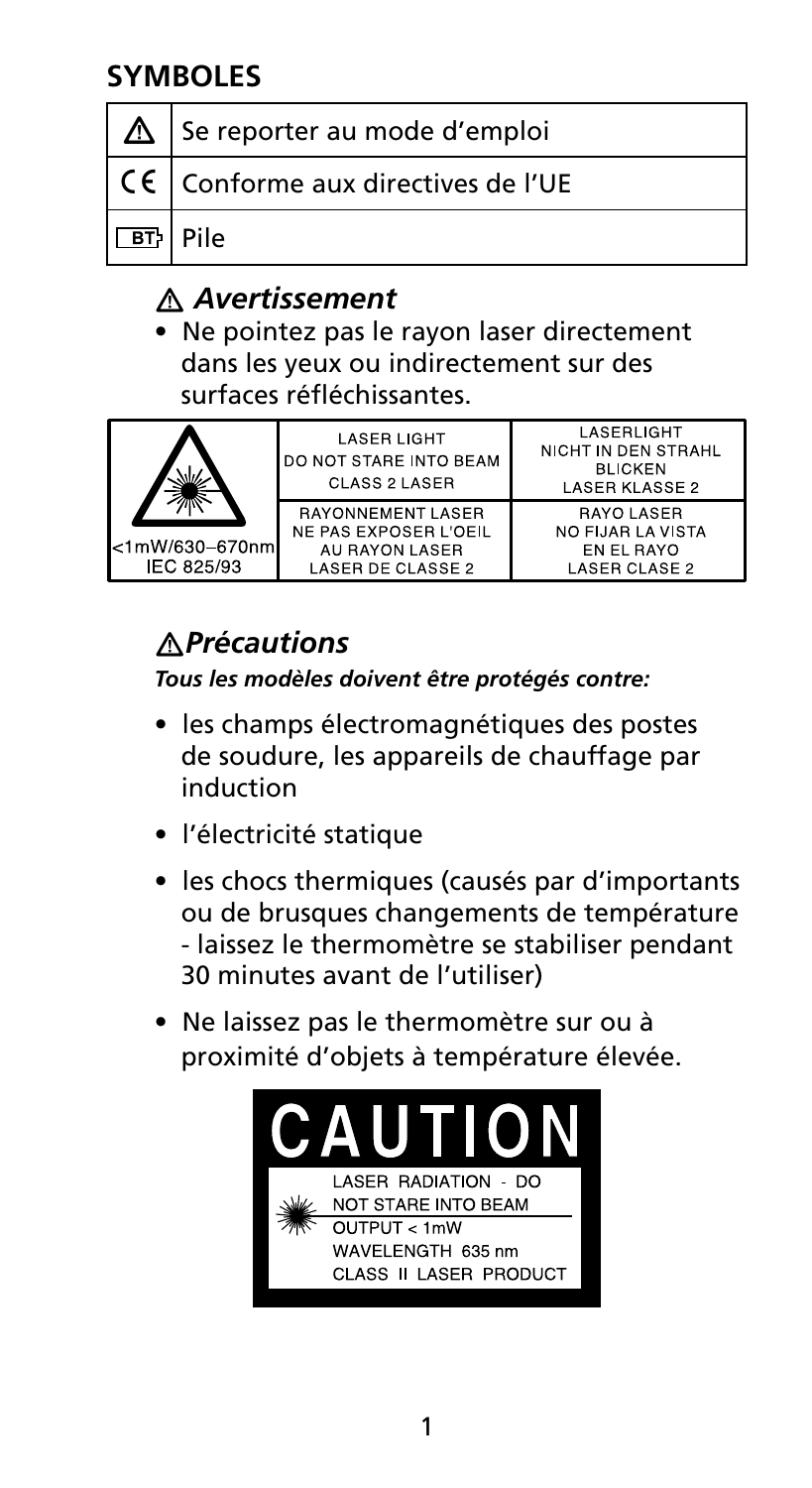## **Symboles**

|     | Se reporter au mode d'emploi                       |
|-----|----------------------------------------------------|
|     | $\vert$ CE $\vert$ Conforme aux directives de l'UE |
| BT. | l Pile                                             |

## � *Avertissement*

• Ne pointez pas le rayon laser directement dans les yeux ou indirectement sur des surfaces réfléchissantes.

|                              | <b>LASER LIGHT</b><br><b>DO NOT STARE INTO BEAM</b><br>CLASS 2 LASER                     | LASERLIGHT<br>NICHT IN DEN STRAHL<br><b>BLICKEN</b><br><b>LASER KLASSE 2</b> |
|------------------------------|------------------------------------------------------------------------------------------|------------------------------------------------------------------------------|
| <1mW/630-670nm<br>IEC 825/93 | <b>RAYONNEMENT LASER</b><br>NE PAS EXPOSER L'OEIL<br>AU RAYON LASER<br>LASER DE CLASSE 2 | RAYO LASER<br>NO FIJAR LA VISTA<br>EN EL RAYO<br><b>LASER CLASE 2</b>        |

## �*Précautions*

*Tous les modèles doivent être protégés contre:*

- les champs électromagnétiques des postes de soudure, les appareils de chauffage par induction
- l'électricité statique
- les chocs thermiques (causés par d'importants ou de brusques changements de température - laissez le thermomètre se stabiliser pendant 30 minutes avant de l'utiliser)
- Ne laissez pas le thermomètre sur ou à proximité d'objets à température élevée.

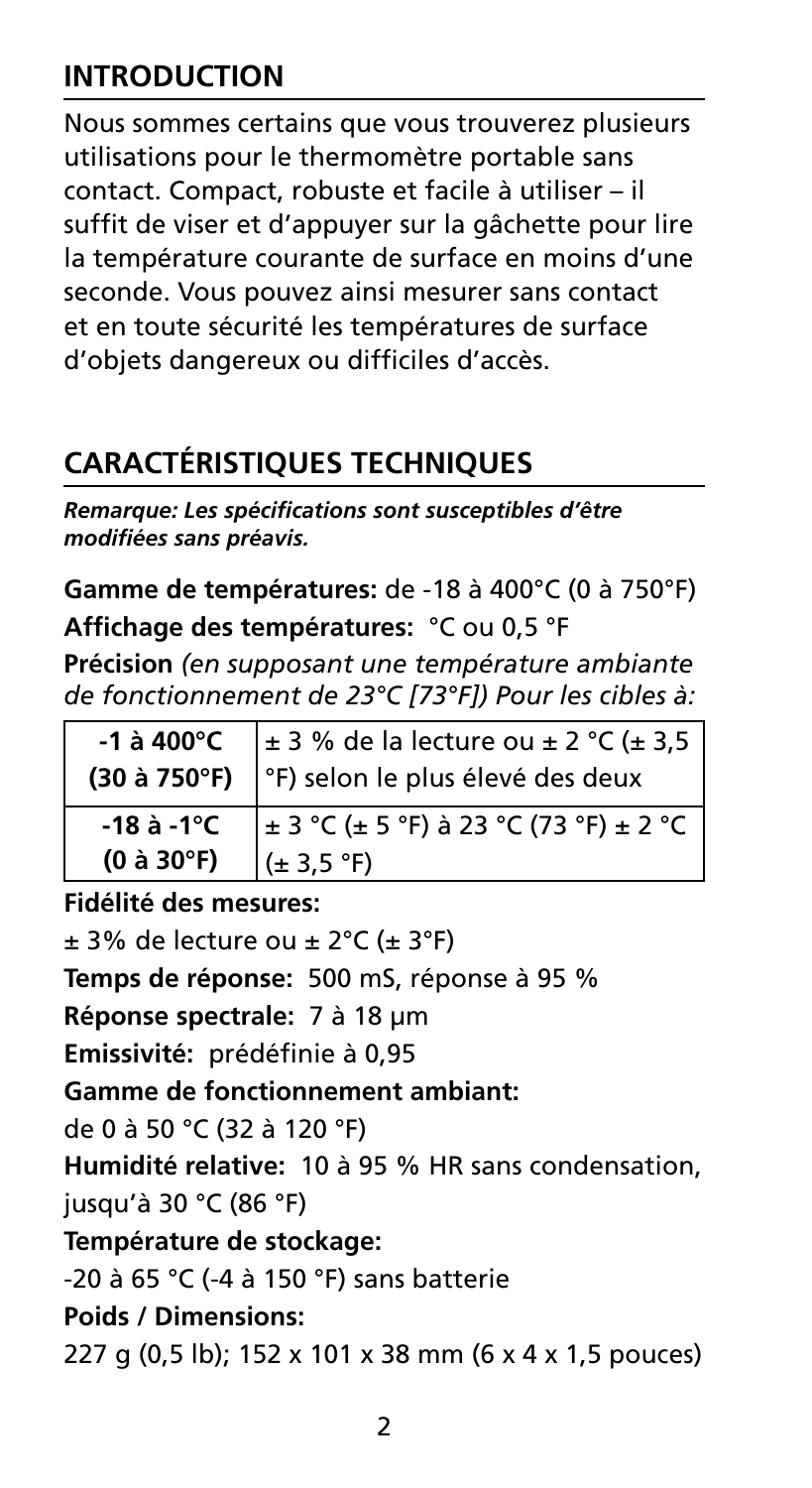## **INTRODUCTION**

Nous sommes certains que vous trouverez plusieurs utilisations pour le thermomètre portable sans contact. Compact, robuste et facile à utiliser – il suffit de viser et d'appuyer sur la gâchette pour lire la température courante de surface en moins d'une seconde. Vous pouvez ainsi mesurer sans contact et en toute sécurité les températures de surface d'objets dangereux ou difficiles d'accès.

## **Caractéristiques techniques**

*Remarque: Les spécifications sont susceptibles d'être modifiées sans préavis.* 

**Gamme de températures:** de -18 à 400°C (0 à 750°F) **Affichage des températures:** °C ou 0,5 °F

**Précision** *(en supposant une température ambiante de fonctionnement de 23°C [73°F]) Pour les cibles à:*

|                                      | -1 à 400°C $\left  \pm 3\% \right $ de la lecture ou $\pm 2\degree$ C ( $\pm 3.5$<br>(30 à 750°F) $\degree$ F) selon le plus élevé des deux |  |
|--------------------------------------|---------------------------------------------------------------------------------------------------------------------------------------------|--|
| $-18$ à $-1^{\circ}$ C<br>(0 à 30°F) | $\pm$ 3 °C (± 5 °F) à 23 °C (73 °F) ± 2 °C<br>$(\pm 3.5 \text{ °F})$                                                                        |  |

**Fidélité des mesures:** 

 $\pm$  3% de lecture ou  $\pm$  2°C ( $\pm$  3°F) **Temps de réponse:** 500 mS, réponse à 95 % **Réponse spectrale:** 7 à 18 μm **Emissivité:** prédéfinie à 0,95 **Gamme de fonctionnement ambiant:**  de 0 à 50 °C (32 à 120 °F) **Humidité relative:** 10 à 95 % HR sans condensation, jusqu'à 30 °C (86 °F) **Température de stockage:**  -20 à 65 °C (-4 à 150 °F) sans batterie **Poids / Dimensions:**  227 g (0,5 lb); 152 x 101 x 38 mm (6 x 4 x 1,5 pouces)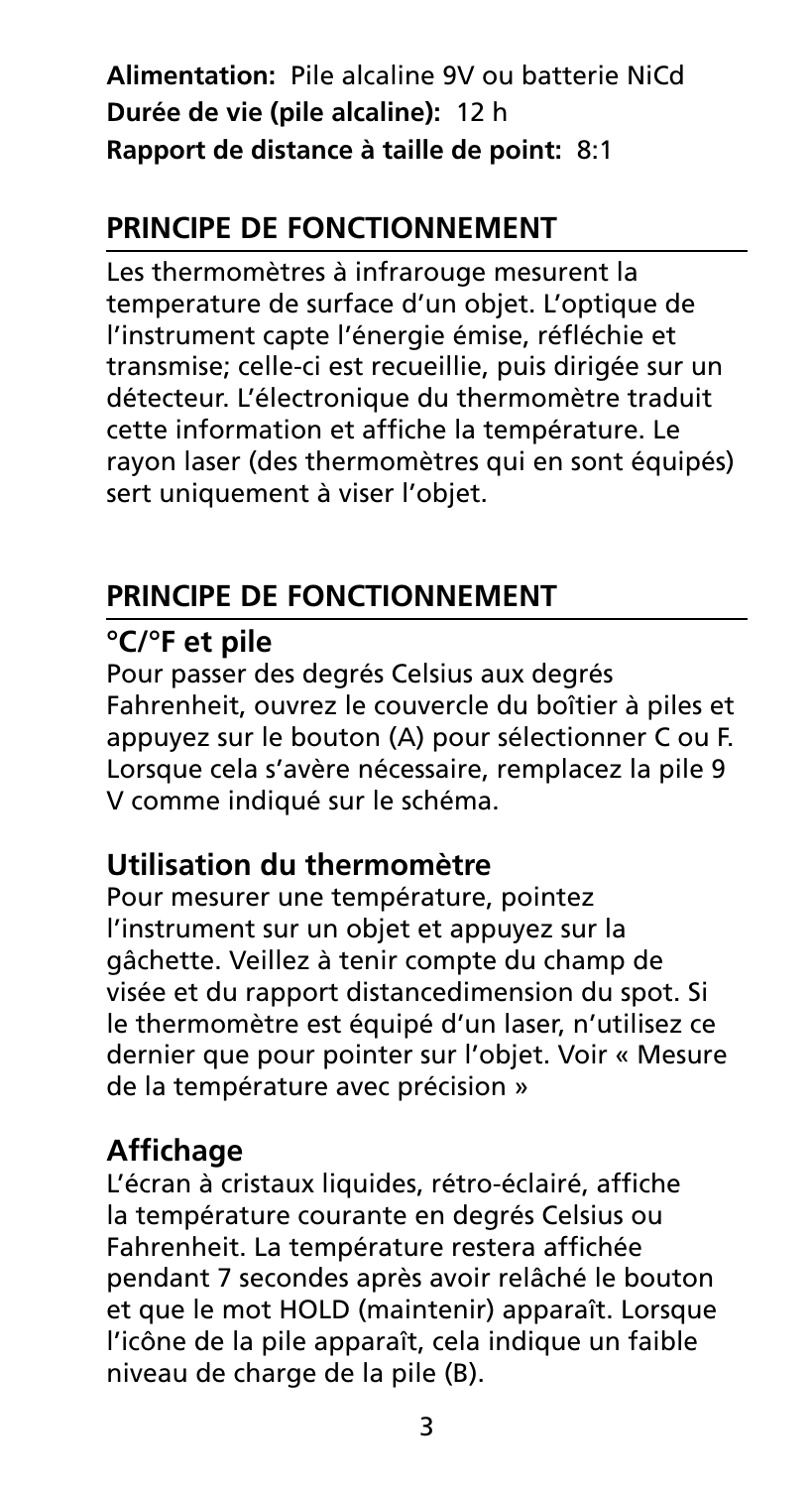**Alimentation:** Pile alcaline 9V ou batterie NiCd **Durée de vie (pile alcaline):** 12 h **Rapport de distance à taille de point:** 8:1

## **Principe de fonctionnement**

Les thermomètres à infrarouge mesurent la temperature de surface d'un objet. L'optique de l'instrument capte l'énergie émise, réfléchie et transmise; celle-ci est recueillie, puis dirigée sur un détecteur. L'électronique du thermomètre traduit cette information et affiche la température. Le rayon laser (des thermomètres qui en sont équipés) sert uniquement à viser l'objet.

## **Principe de fonctionnement**

## **°C/°F et pile**

Pour passer des degrés Celsius aux degrés Fahrenheit, ouvrez le couvercle du boîtier à piles et appuyez sur le bouton (A) pour sélectionner C ou F. Lorsque cela s'avère nécessaire, remplacez la pile 9 V comme indiqué sur le schéma.

## **Utilisation du thermomètre**

Pour mesurer une température, pointez l'instrument sur un objet et appuyez sur la gâchette. Veillez à tenir compte du champ de visée et du rapport distancedimension du spot. Si le thermomètre est équipé d'un laser, n'utilisez ce dernier que pour pointer sur l'objet. Voir « Mesure de la température avec précision »

## **Affichage**

L'écran à cristaux liquides, rétro-éclairé, affiche la température courante en degrés Celsius ou Fahrenheit. La température restera affichée pendant 7 secondes après avoir relâché le bouton et que le mot HOLD (maintenir) apparaît. Lorsque l'icône de la pile apparaît, cela indique un faible niveau de charge de la pile (B).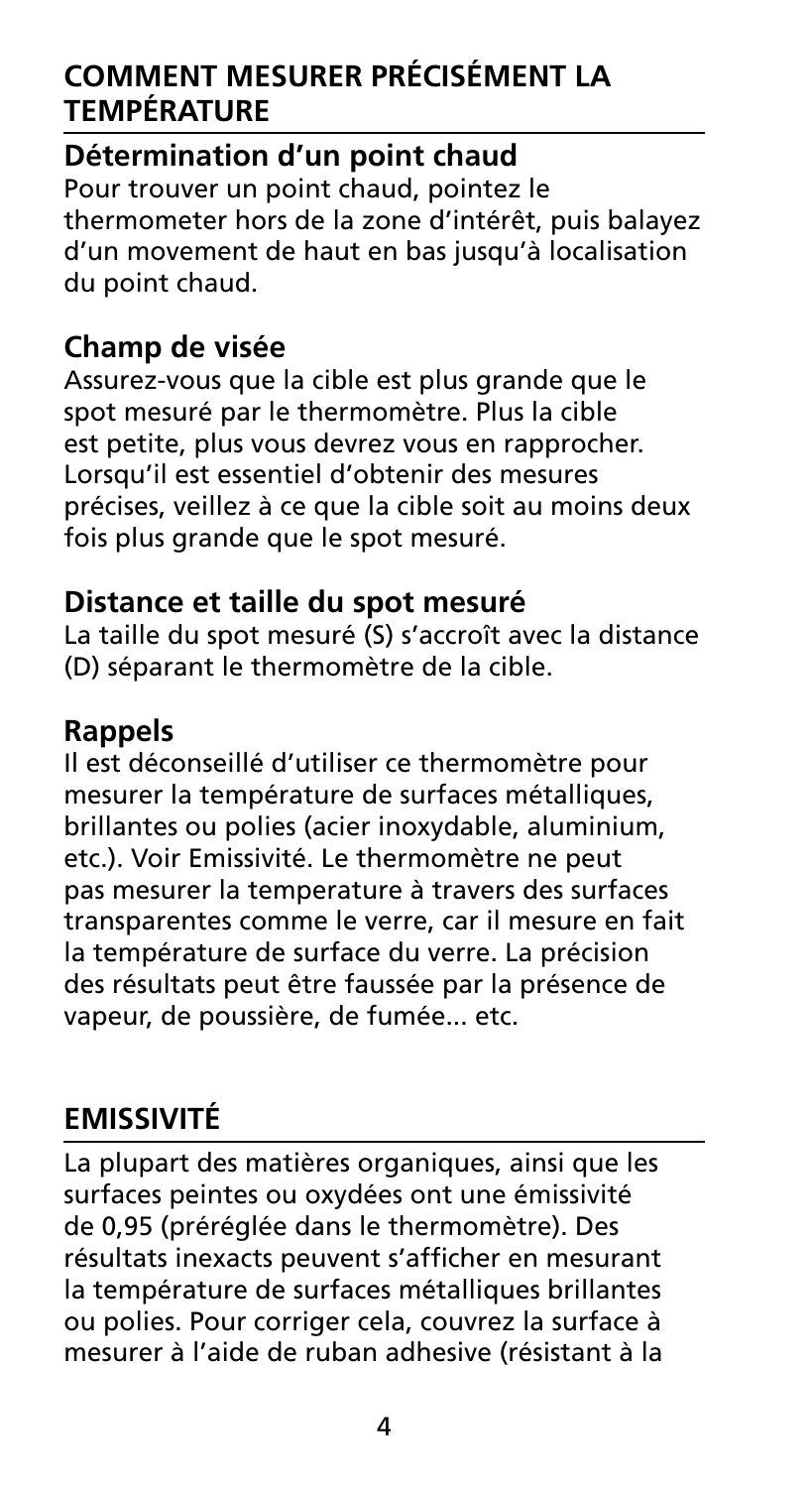## **Comment mesurer précisément la température**

### **Détermination d'un point chaud**

Pour trouver un point chaud, pointez le thermometer hors de la zone d'intérêt, puis balayez d'un movement de haut en bas jusqu'à localisation du point chaud.

## **Champ de visée**

Assurez-vous que la cible est plus grande que le spot mesuré par le thermomètre. Plus la cible est petite, plus vous devrez vous en rapprocher. Lorsqu'il est essentiel d'obtenir des mesures précises, veillez à ce que la cible soit au moins deux fois plus grande que le spot mesuré.

## **Distance et taille du spot mesuré**

La taille du spot mesuré (S) s'accroît avec la distance (D) séparant le thermomètre de la cible.

### **Rappels**

Il est déconseillé d'utiliser ce thermomètre pour mesurer la température de surfaces métalliques, brillantes ou polies (acier inoxydable, aluminium, etc.). Voir Emissivité. Le thermomètre ne peut pas mesurer la temperature à travers des surfaces transparentes comme le verre, car il mesure en fait la température de surface du verre. La précision des résultats peut être faussée par la présence de vapeur, de poussière, de fumée... etc.

## **Emissivité**

La plupart des matières organiques, ainsi que les surfaces peintes ou oxydées ont une émissivité de 0,95 (préréglée dans le thermomètre). Des résultats inexacts peuvent s'afficher en mesurant la température de surfaces métalliques brillantes ou polies. Pour corriger cela, couvrez la surface à mesurer à l'aide de ruban adhesive (résistant à la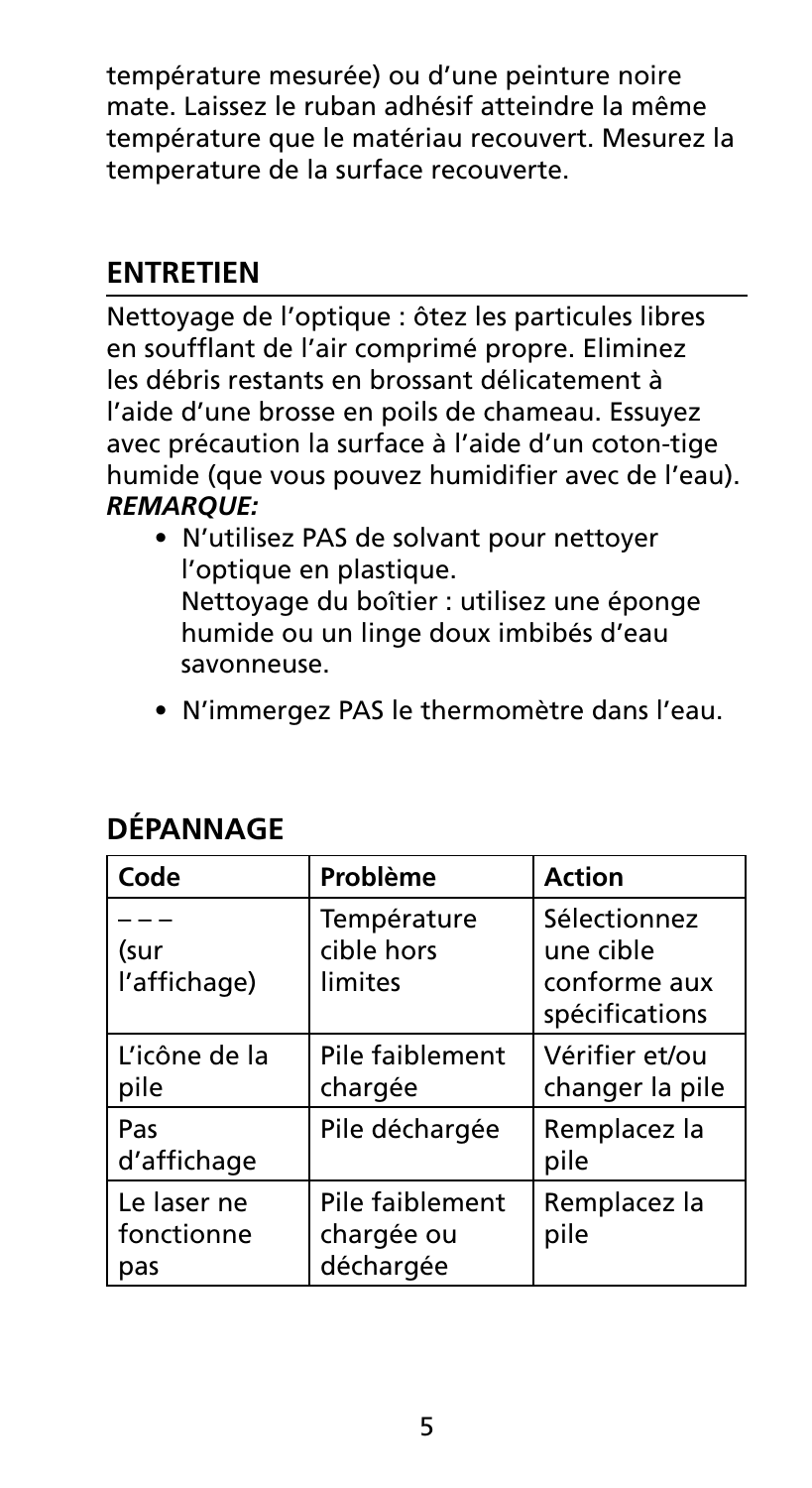température mesurée) ou d'une peinture noire mate. Laissez le ruban adhésif atteindre la même température que le matériau recouvert. Mesurez la temperature de la surface recouverte.

## **Entretien**

Nettoyage de l'optique : ôtez les particules libres en soufflant de l'air comprimé propre. Eliminez les débris restants en brossant délicatement à l'aide d'une brosse en poils de chameau. Essuyez avec précaution la surface à l'aide d'un coton-tige humide (que vous pouvez humidifier avec de l'eau). *REMARQUE:* 

- N'utilisez PAS de solvant pour nettoyer l'optique en plastique. Nettoyage du boîtier : utilisez une éponge humide ou un linge doux imbibés d'eau savonneuse.
- N'immergez PAS le thermomètre dans l'eau.

| Code                             | Problème                                   | Action                                                      |
|----------------------------------|--------------------------------------------|-------------------------------------------------------------|
| (sur<br>l'affichage)             | Température<br>cible hors<br>limites       | Sélectionnez<br>une cible<br>conforme aux<br>spécifications |
| L'icône de la<br>pile            | Pile faiblement<br>chargée                 | Vérifier et/ou<br>changer la pile                           |
| Pas<br>d'affichage               | Pile déchargée                             | Remplacez la<br>pile                                        |
| Le laser ne<br>fonctionne<br>pas | Pile faiblement<br>chargée ou<br>déchargée | Remplacez la<br>pile                                        |

## **DÉPANNAGE**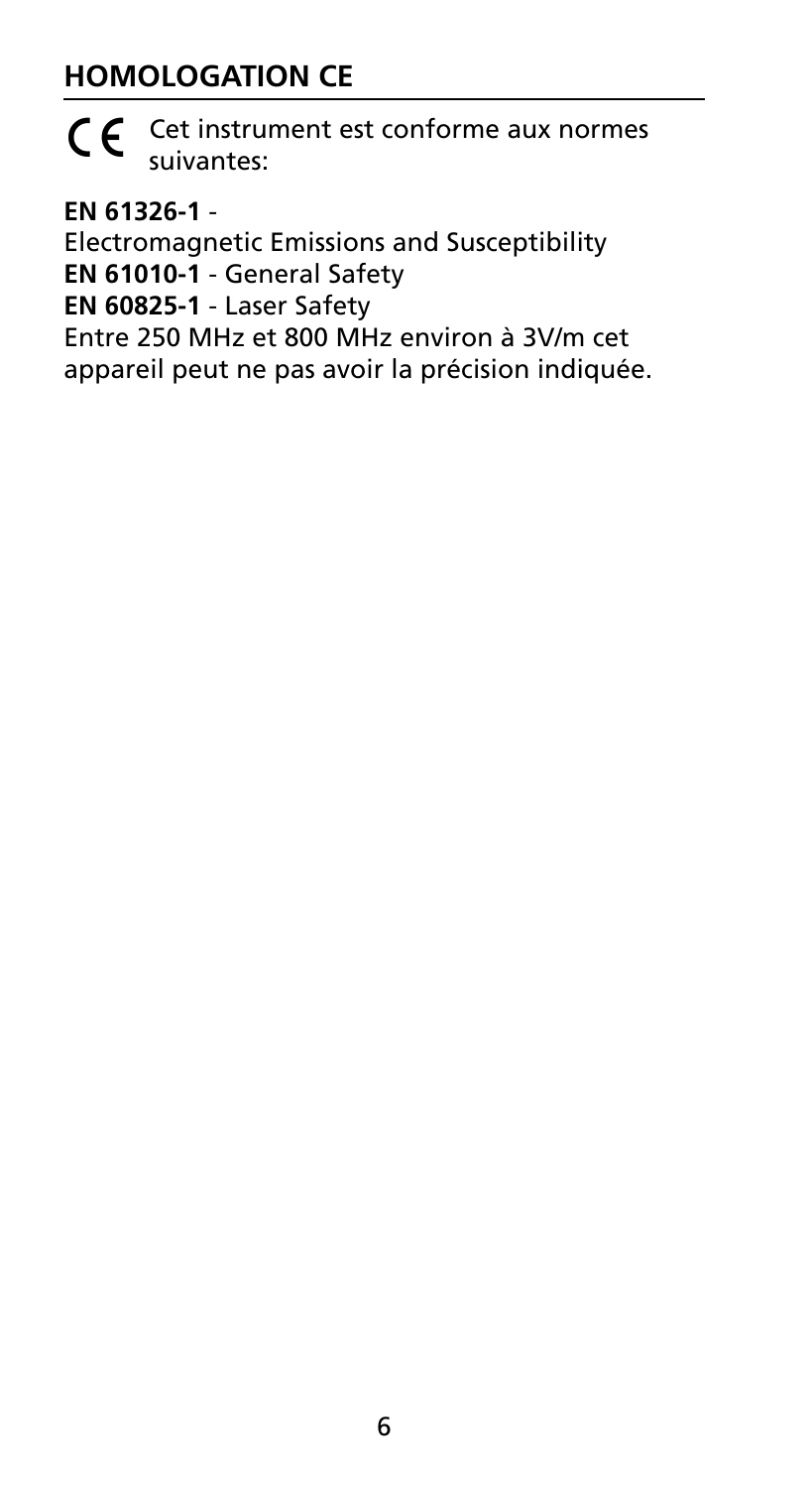## **Homologation CE**



 $\epsilon$  Cet instrument est conforme aux normes suivantes:

**EN 61326-1** -

Electromagnetic Emissions and Susceptibility **EN 61010-1** - General Safety **EN 60825-1** - Laser Safety Entre 250 MHz et 800 MHz environ à 3V/m cet appareil peut ne pas avoir la précision indiquée.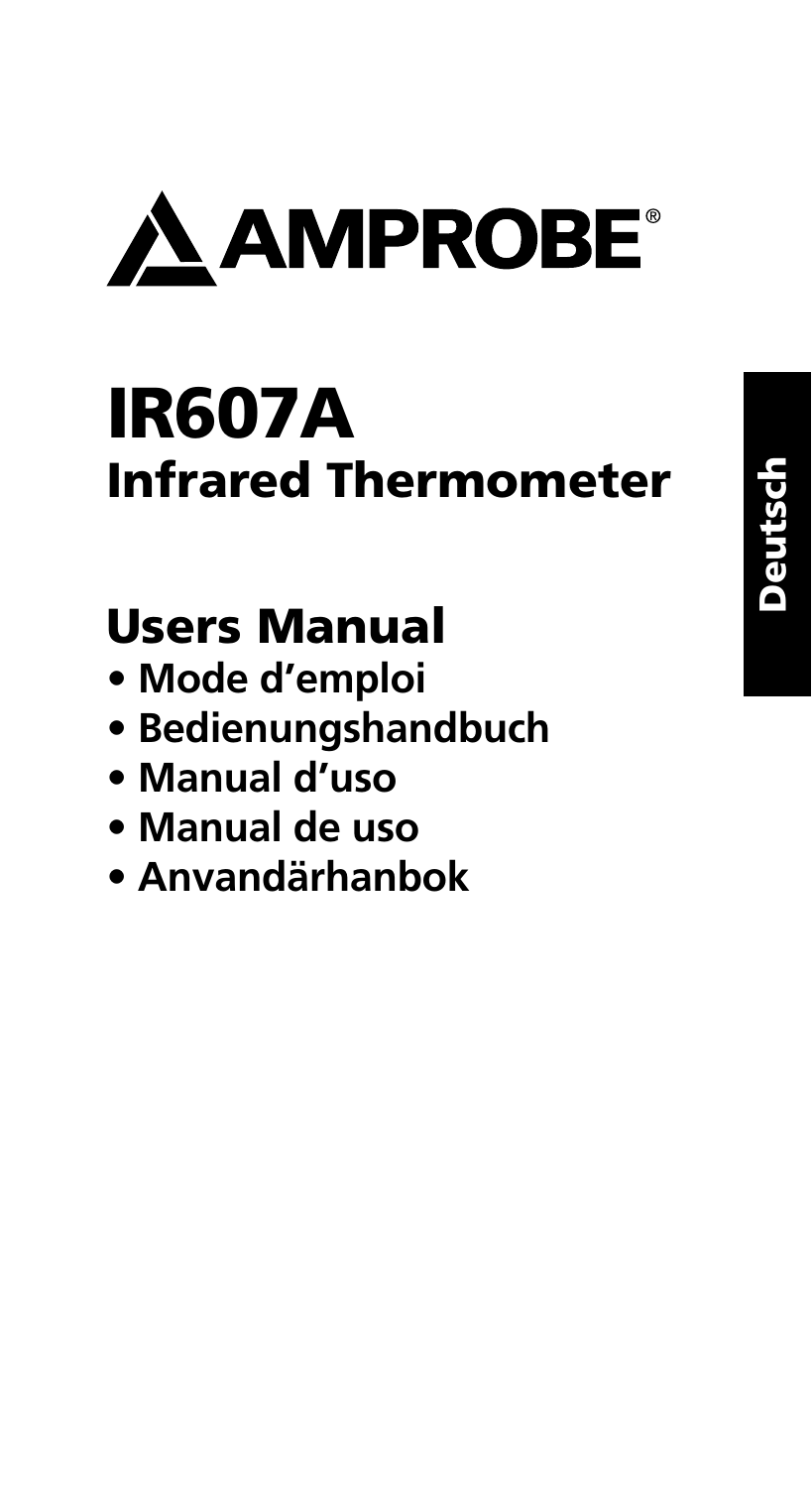

# IR607A Infrared Thermometer

## Users Manual

- **Mode d'emploi**
- **Bedienungshandbuch**
- **Manual d'uso**
- **Manual de uso**
- **Anvandärhanbok**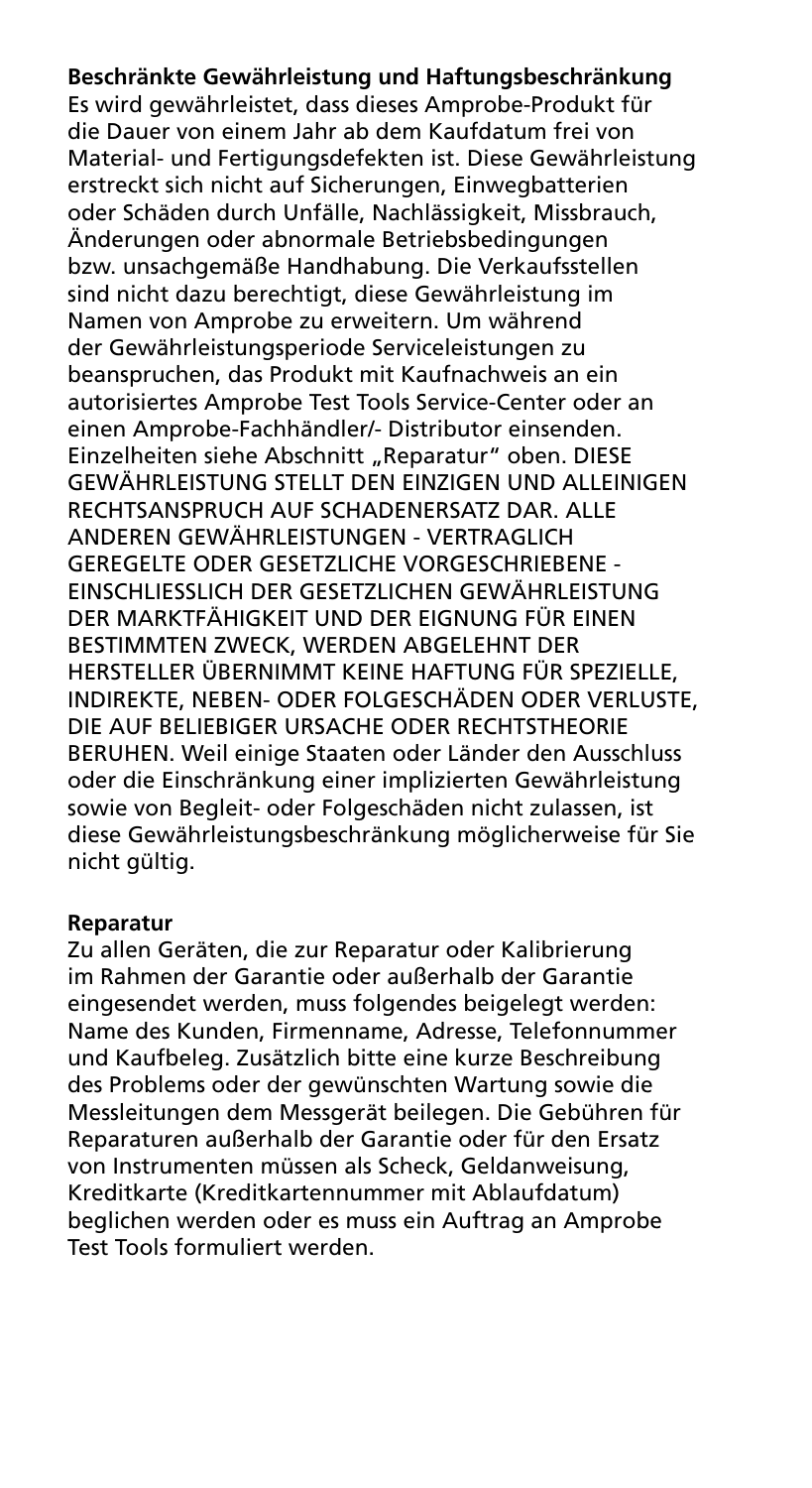**Beschränkte Gewährleistung und Haftungsbeschränkung** Es wird gewährleistet, dass dieses Amprobe-Produkt für die Dauer von einem Jahr ab dem Kaufdatum frei von Material- und Fertigungsdefekten ist. Diese Gewährleistung erstreckt sich nicht auf Sicherungen, Einwegbatterien oder Schäden durch Unfälle, Nachlässigkeit, Missbrauch, Änderungen oder abnormale Betriebsbedingungen bzw. unsachgemäße Handhabung. Die Verkaufsstellen sind nicht dazu berechtigt, diese Gewährleistung im Namen von Amprobe zu erweitern. Um während der Gewährleistungsperiode Serviceleistungen zu beanspruchen, das Produkt mit Kaufnachweis an ein autorisiertes Amprobe Test Tools Service-Center oder an einen Amprobe-Fachhändler/- Distributor einsenden. Einzelheiten siehe Abschnitt "Reparatur" oben. DIESE GEWÄHRLEISTUNG STELLT DEN EINZIGEN UND ALLEINIGEN RECHTSANSPRUCH AUF SCHADENERSATZ DAR. ALLE ANDEREN GEWÄHRLEISTUNGEN - VERTRAGLICH GEREGELTE ODER GESETZLICHE VORGESCHRIEBENE - EINSCHLIESSLICH DER GESETZLICHEN GEWÄHRLEISTUNG DER MARKTFÄHIGKEIT UND DER EIGNUNG FÜR EINEN BESTIMMTEN ZWECK, WERDEN ABGELEHNT DER HERSTELLER ÜBERNIMMT KEINE HAFTUNG FÜR SPEZIELLE, INDIREKTE, NEBEN- ODER FOLGESCHÄDEN ODER VERLUSTE, DIE AUF BELIEBIGER URSACHE ODER RECHTSTHEORIE BERUHEN. Weil einige Staaten oder Länder den Ausschluss oder die Einschränkung einer implizierten Gewährleistung sowie von Begleit- oder Folgeschäden nicht zulassen, ist diese Gewährleistungsbeschränkung möglicherweise für Sie nicht gültig.

#### **Reparatur**

Zu allen Geräten, die zur Reparatur oder Kalibrierung im Rahmen der Garantie oder außerhalb der Garantie eingesendet werden, muss folgendes beigelegt werden: Name des Kunden, Firmenname, Adresse, Telefonnummer und Kaufbeleg. Zusätzlich bitte eine kurze Beschreibung des Problems oder der gewünschten Wartung sowie die Messleitungen dem Messgerät beilegen. Die Gebühren für Reparaturen außerhalb der Garantie oder für den Ersatz von Instrumenten müssen als Scheck, Geldanweisung, Kreditkarte (Kreditkartennummer mit Ablaufdatum) beglichen werden oder es muss ein Auftrag an Amprobe Test Tools formuliert werden.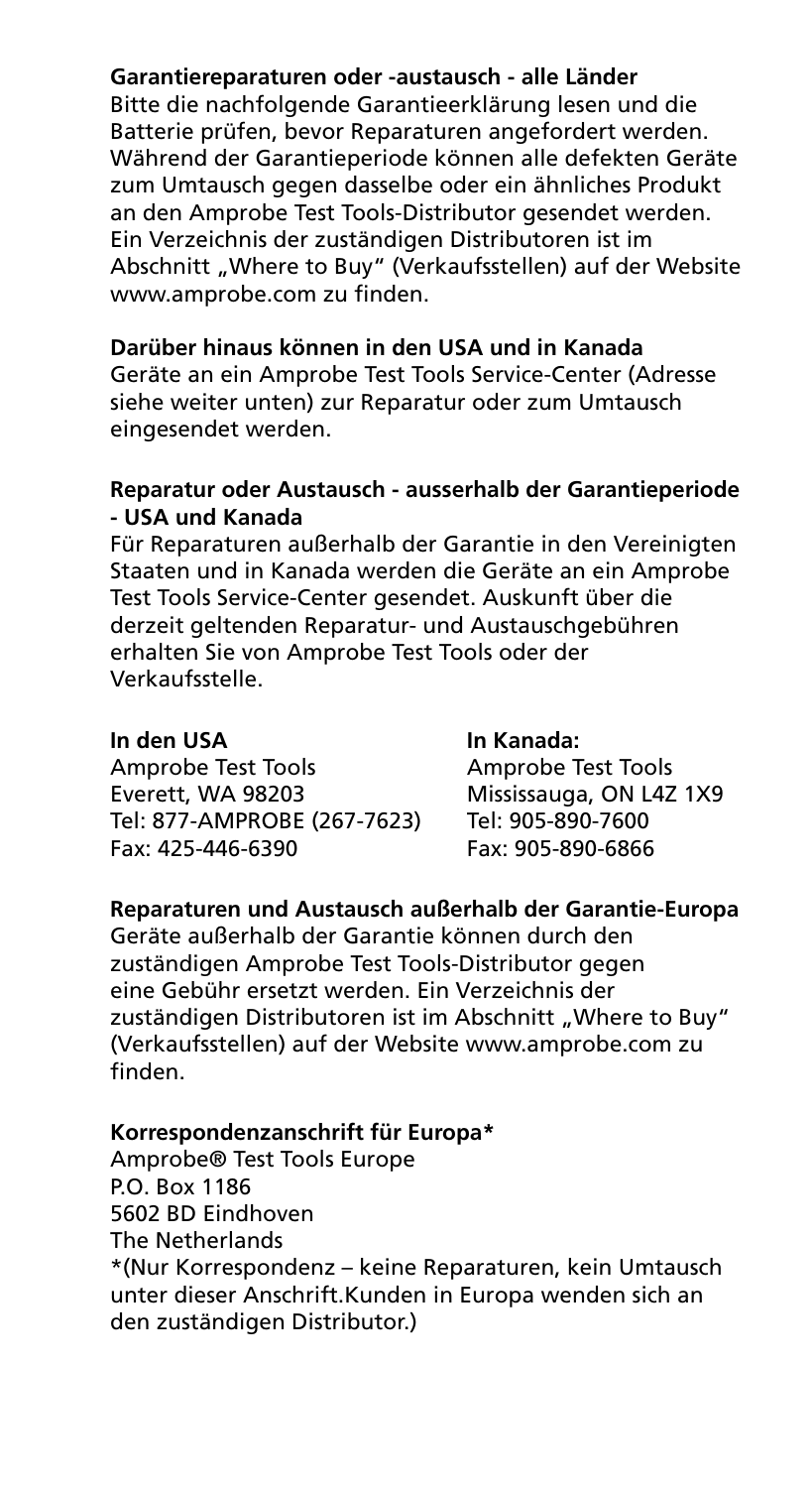#### **Garantiereparaturen oder -austausch - alle Länder**

Bitte die nachfolgende Garantieerklärung lesen und die Batterie prüfen, bevor Reparaturen angefordert werden. Während der Garantieperiode können alle defekten Geräte zum Umtausch gegen dasselbe oder ein ähnliches Produkt an den Amprobe Test Tools-Distributor gesendet werden. Ein Verzeichnis der zuständigen Distributoren ist im Abschnitt "Where to Buy" (Verkaufsstellen) auf der Website www.amprobe.com zu finden.

#### **Darüber hinaus können in den USA und in Kanada**

Geräte an ein Amprobe Test Tools Service-Center (Adresse siehe weiter unten) zur Reparatur oder zum Umtausch eingesendet werden.

#### **Reparatur oder Austausch - ausserhalb der Garantieperiode - USA und Kanada**

Für Reparaturen außerhalb der Garantie in den Vereinigten Staaten und in Kanada werden die Geräte an ein Amprobe Test Tools Service-Center gesendet. Auskunft über die derzeit geltenden Reparatur- und Austauschgebühren erhalten Sie von Amprobe Test Tools oder der Verkaufsstelle.

Amprobe Test Tools Amprobe Test Tools Everett, WA 98203 Mississauga, ON L4Z 1X9<br>Tel: 877-AMPROBE (267-7623) Tel: 905-890-7600 Tel: 877-AMPROBE (267-7623) Fax: 425-446-6390 Fax: 905-890-6866

#### **In den USA In Kanada:**

#### **Reparaturen und Austausch außerhalb der Garantie-Europa**

Geräte außerhalb der Garantie können durch den zuständigen Amprobe Test Tools-Distributor gegen eine Gebühr ersetzt werden. Ein Verzeichnis der zuständigen Distributoren ist im Abschnitt "Where to Buy" (Verkaufsstellen) auf der Website www.amprobe.com zu finden.

#### **Korrespondenzanschrift für Europa\***

Amprobe® Test Tools Europe P.O. Box 1186 5602 BD Eindhoven The Netherlands \*(Nur Korrespondenz – keine Reparaturen, kein Umtausch unter dieser Anschrift.Kunden in Europa wenden sich an den zuständigen Distributor.)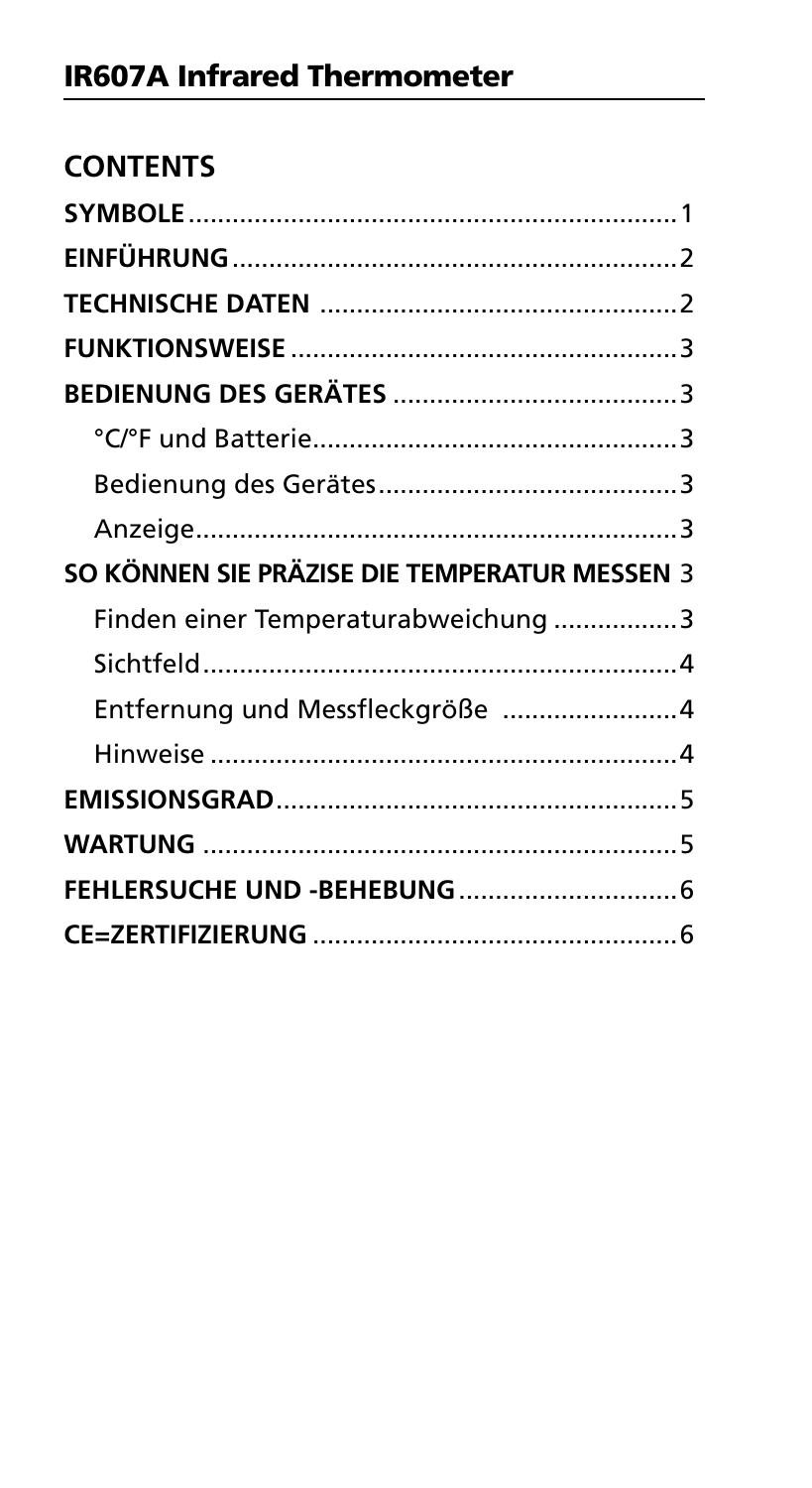| SO KÖNNEN SIE PRÄZISE DIE TEMPERATUR MESSEN 3 |  |
|-----------------------------------------------|--|
| Finden einer Temperaturabweichung 3           |  |
|                                               |  |
|                                               |  |
| Entfernung und Messfleckgröße 4               |  |
|                                               |  |
|                                               |  |
|                                               |  |
|                                               |  |
|                                               |  |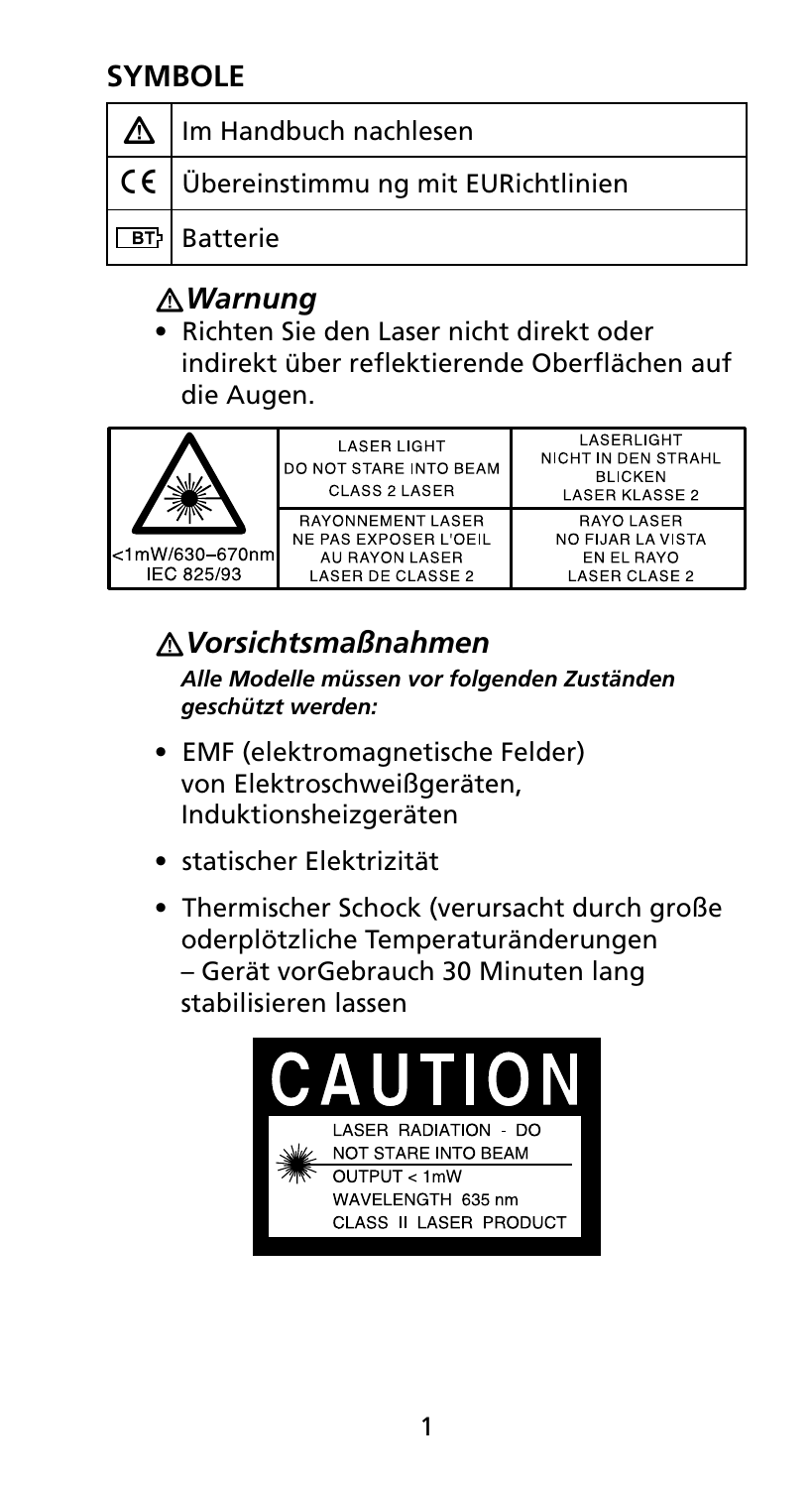## **Symbole**

| Im Handbuch nachlesen                                |
|------------------------------------------------------|
| $\vert$ C $\vert$ Übereinstimmu ng mit EURichtlinien |
| <b>E</b> n Batterie                                  |

## �*Warnung*

• Richten Sie den Laser nicht direkt oder indirekt über reflektierende Oberflächen auf die Augen.

| <1mW/630-670nm<br>IEC 825/93 | <b>LASER LIGHT</b><br>DO NOT STARE INTO BEAM<br>CLASS 2 LASER                            | I ASFRI IGHT<br>NICHT IN DEN STRAHL<br><b>BLICKEN</b><br><b>LASER KLASSE 2</b> |
|------------------------------|------------------------------------------------------------------------------------------|--------------------------------------------------------------------------------|
|                              | <b>RAYONNEMENT LASER</b><br>NE PAS EXPOSER L'OEIL<br>AU RAYON LASER<br>LASER DE CLASSE 2 | <b>RAYO LASER</b><br>NO FIJAR LA VISTA<br>EN EL RAYO<br>LASER CLASE 2          |

## �*Vorsichtsmaßnahmen*

*Alle Modelle müssen vor folgenden Zuständen geschützt werden:*

- EMF (elektromagnetische Felder) von Elektroschweißgeräten, Induktionsheizgeräten
- statischer Elektrizität
- Thermischer Schock (verursacht durch große oderplötzliche Temperaturänderungen – Gerät vorGebrauch 30 Minuten lang stabilisieren lassen

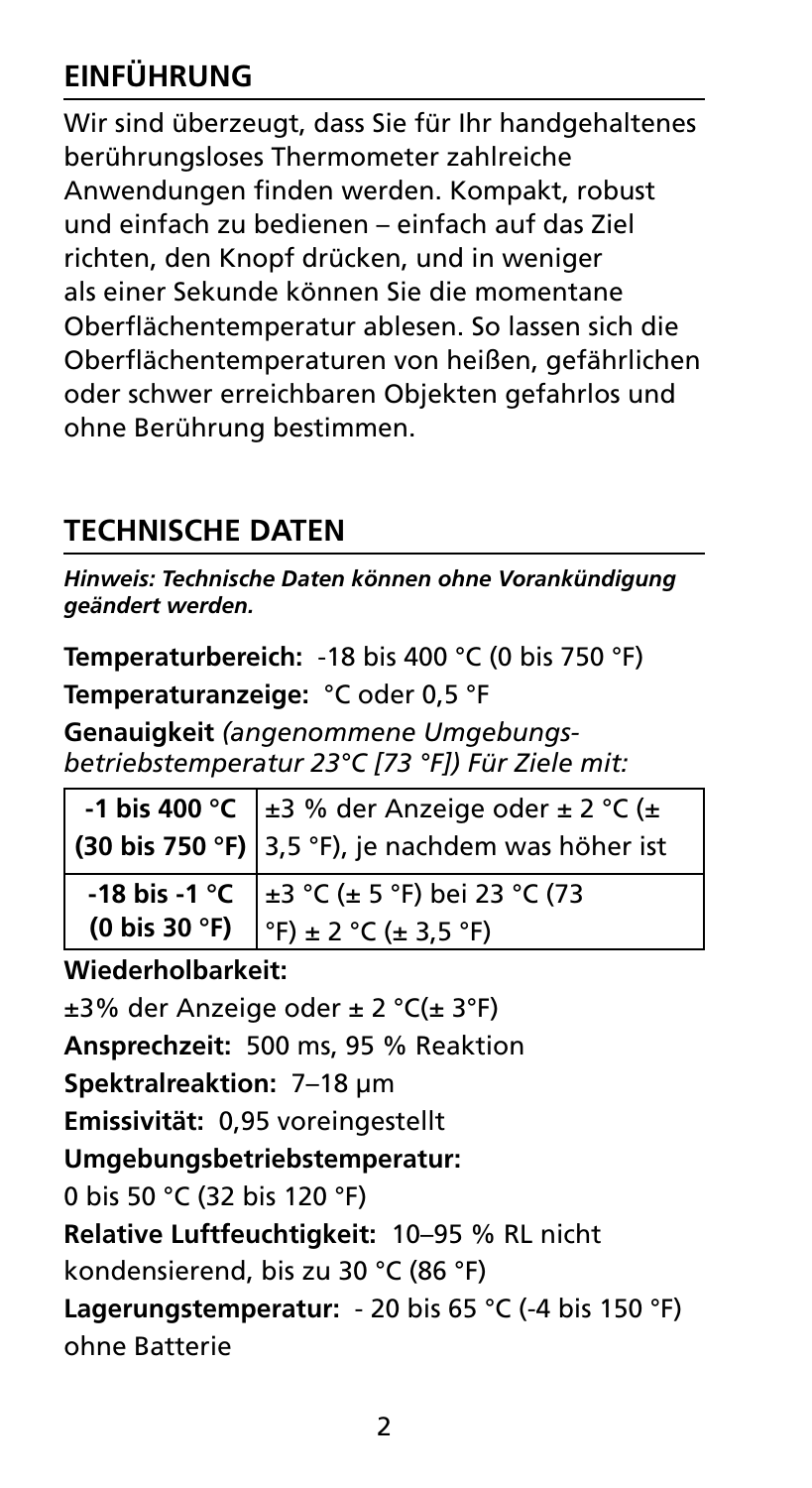## **EINFÜHRUNG**

Wir sind überzeugt, dass Sie für Ihr handgehaltenes berührungsloses Thermometer zahlreiche Anwendungen finden werden. Kompakt, robust und einfach zu bedienen – einfach auf das Ziel richten, den Knopf drücken, und in weniger als einer Sekunde können Sie die momentane Oberflächentemperatur ablesen. So lassen sich die Oberflächentemperaturen von heißen, gefährlichen oder schwer erreichbaren Objekten gefahrlos und ohne Berührung bestimmen.

## **Technische Daten**

*Hinweis: Technische Daten können ohne Vorankündigung geändert werden.*

**Temperaturbereich:** -18 bis 400 °C (0 bis 750 °F)

**Temperaturanzeige:** °C oder 0,5 °F

**Genauigkeit** *(angenommene Umgebungsbetriebstemperatur 23°C [73 °F]) Für Ziele mit:*

| -1 bis 400 °C $\left  \pm 3 \% \right $ der Anzeige oder $\pm 2$ °C ( $\pm$ (30 bis 750 °F) 3,5 °F), je nachdem was höher ist                                |  |
|--------------------------------------------------------------------------------------------------------------------------------------------------------------|--|
| -18 bis -1 °C $\left  \pm 3 \degree C \pm 5 \degree F \right $ bei 23 °C (73<br>(0 bis 30 °F) $\left  \degree F \right  \pm 2 \degree C \pm 3.5 \degree F$ ) |  |
|                                                                                                                                                              |  |

**Wiederholbarkeit:** ±3% der Anzeige oder ± 2 °C(± 3°F)

**Ansprechzeit:** 500 ms, 95 % Reaktion

**Spektralreaktion:** 7–18 μm

**Emissivität:** 0,95 voreingestellt

**Umgebungsbetriebstemperatur:** 

0 bis 50 °C (32 bis 120 °F)

**Relative Luftfeuchtigkeit:** 10–95 % RL nicht

kondensierend, bis zu 30 °C (86 °F)

**Lagerungstemperatur:** - 20 bis 65 °C (-4 bis 150 °F) ohne Batterie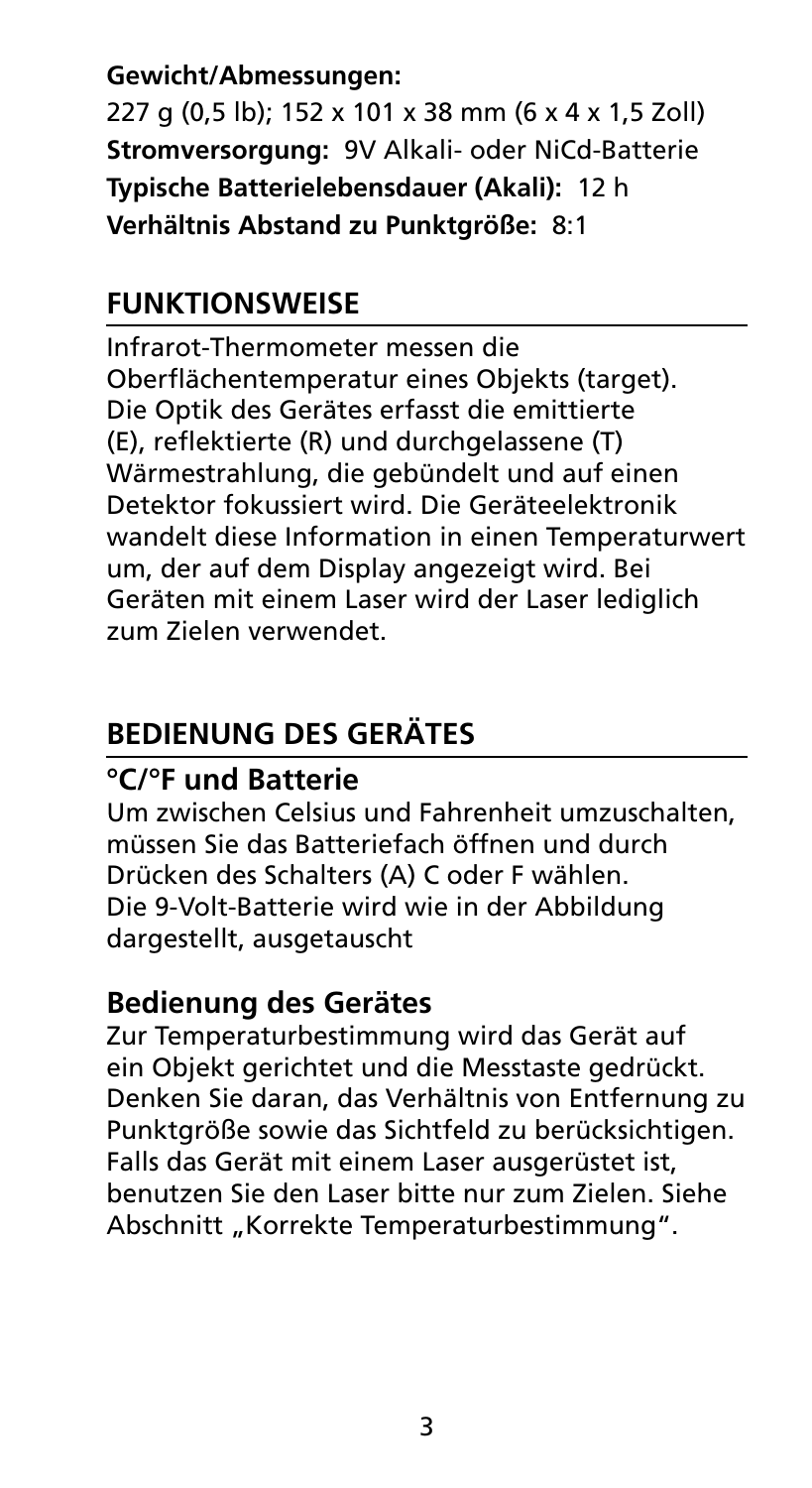**Gewicht/Abmessungen:**  227 g (0,5 lb); 152 x 101 x 38 mm (6 x 4 x 1,5 Zoll) **Stromversorgung:** 9V Alkali- oder NiCd-Batterie **Typische Batterielebensdauer (Akali):** 12 h **Verhältnis Abstand zu Punktgröße:** 8:1

## **Funktionsweise**

Infrarot-Thermometer messen die Oberflächentemperatur eines Objekts (target). Die Optik des Gerätes erfasst die emittierte (E), reflektierte (R) und durchgelassene (T) Wärmestrahlung, die gebündelt und auf einen Detektor fokussiert wird. Die Geräteelektronik wandelt diese Information in einen Temperaturwert um, der auf dem Display angezeigt wird. Bei Geräten mit einem Laser wird der Laser lediglich zum Zielen verwendet.

## **Bedienung des Gerätes**

## **°C/°F und Batterie**

Um zwischen Celsius und Fahrenheit umzuschalten, müssen Sie das Batteriefach öffnen und durch Drücken des Schalters (A) C oder F wählen. Die 9-Volt-Batterie wird wie in der Abbildung dargestellt, ausgetauscht

### **Bedienung des Gerätes**

Zur Temperaturbestimmung wird das Gerät auf ein Objekt gerichtet und die Messtaste gedrückt. Denken Sie daran, das Verhältnis von Entfernung zu Punktgröße sowie das Sichtfeld zu berücksichtigen. Falls das Gerät mit einem Laser ausgerüstet ist, benutzen Sie den Laser bitte nur zum Zielen. Siehe Abschnitt "Korrekte Temperaturbestimmung".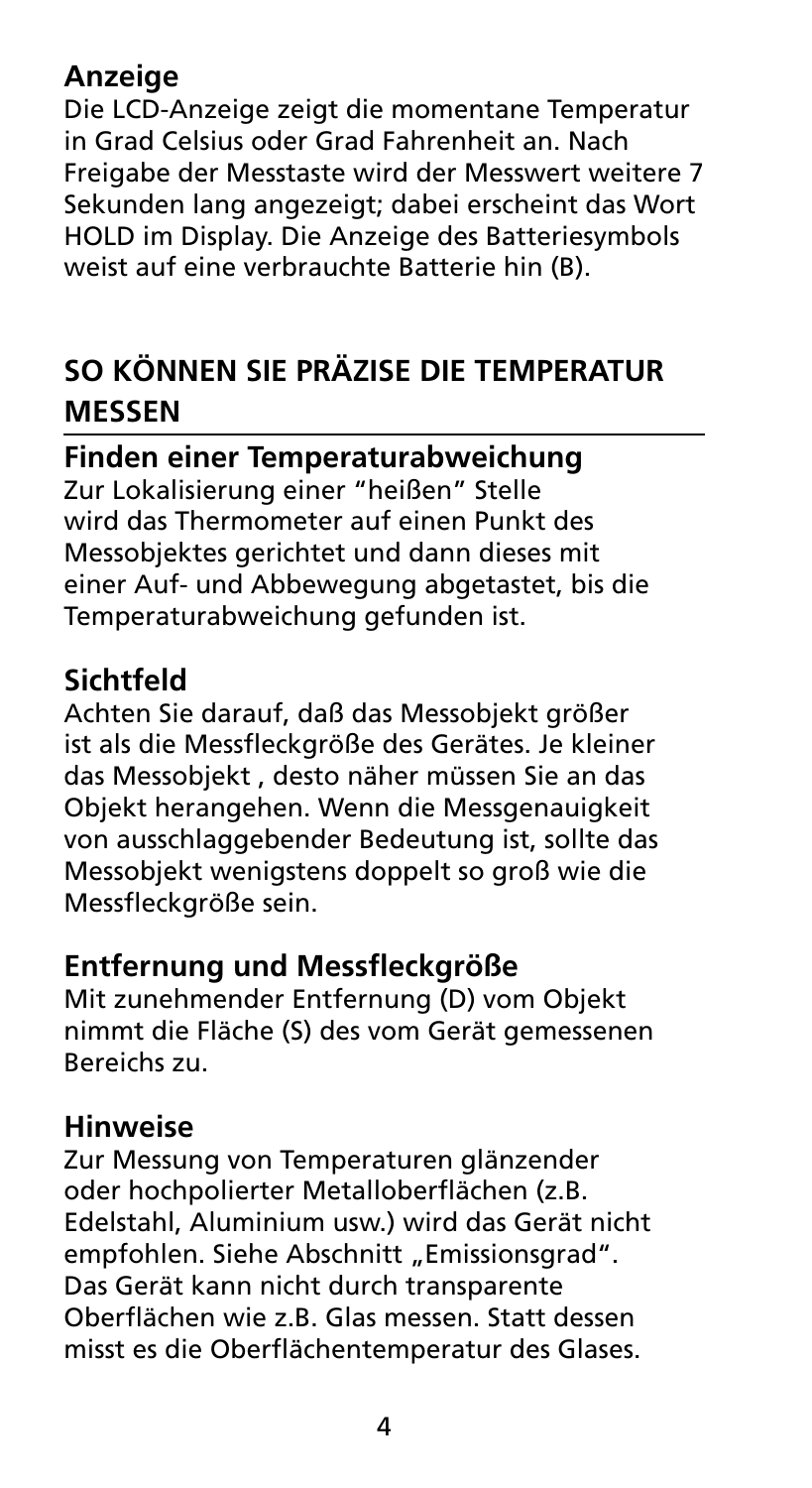## **Anzeige**

Die LCD-Anzeige zeigt die momentane Temperatur in Grad Celsius oder Grad Fahrenheit an. Nach Freigabe der Messtaste wird der Messwert weitere 7 Sekunden lang angezeigt; dabei erscheint das Wort HOLD im Display. Die Anzeige des Batteriesymbols weist auf eine verbrauchte Batterie hin (B).

## **So können Sie präzise die Temperatur messen**

**Finden einer Temperaturabweichung** 

Zur Lokalisierung einer "heißen" Stelle wird das Thermometer auf einen Punkt des Messobjektes gerichtet und dann dieses mit einer Auf- und Abbewegung abgetastet, bis die Temperaturabweichung gefunden ist.

## **Sichtfeld**

Achten Sie darauf, daß das Messobjekt größer ist als die Messfleckgröße des Gerätes. Je kleiner das Messobjekt , desto näher müssen Sie an das Objekt herangehen. Wenn die Messgenauigkeit von ausschlaggebender Bedeutung ist, sollte das Messobjekt wenigstens doppelt so groß wie die Messfleckgröße sein.

## **Entfernung und Messfleckgröße**

Mit zunehmender Entfernung (D) vom Objekt nimmt die Fläche (S) des vom Gerät gemessenen Bereichs zu.

### **Hinweise**

Zur Messung von Temperaturen glänzender oder hochpolierter Metalloberflächen (z.B. Edelstahl, Aluminium usw.) wird das Gerät nicht empfohlen. Siehe Abschnitt "Emissionsgrad". Das Gerät kann nicht durch transparente Oberflächen wie z.B. Glas messen. Statt dessen misst es die Oberflächentemperatur des Glases.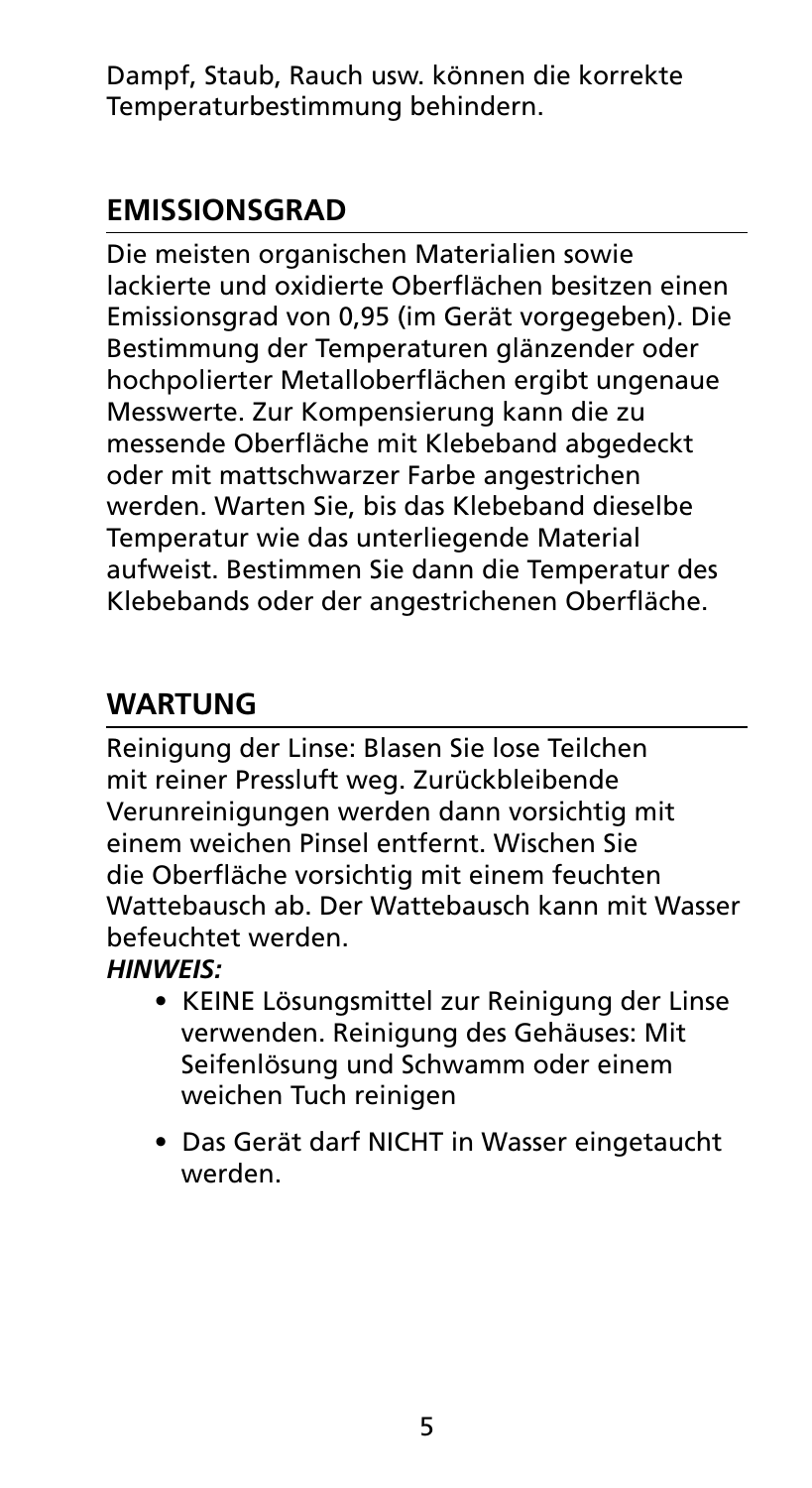Dampf, Staub, Rauch usw. können die korrekte Temperaturbestimmung behindern.

## **Emissionsgrad**

Die meisten organischen Materialien sowie lackierte und oxidierte Oberflächen besitzen einen Emissionsgrad von 0,95 (im Gerät vorgegeben). Die Bestimmung der Temperaturen glänzender oder hochpolierter Metalloberflächen ergibt ungenaue Messwerte. Zur Kompensierung kann die zu messende Oberfläche mit Klebeband abgedeckt oder mit mattschwarzer Farbe angestrichen werden. Warten Sie, bis das Klebeband dieselbe Temperatur wie das unterliegende Material aufweist. Bestimmen Sie dann die Temperatur des Klebebands oder der angestrichenen Oberfläche.

## **Wartung**

Reinigung der Linse: Blasen Sie lose Teilchen mit reiner Pressluft weg. Zurückbleibende Verunreinigungen werden dann vorsichtig mit einem weichen Pinsel entfernt. Wischen Sie die Oberfläche vorsichtig mit einem feuchten Wattebausch ab. Der Wattebausch kann mit Wasser befeuchtet werden.

### *HINWEIS:*

- KEINE Lösungsmittel zur Reinigung der Linse verwenden. Reinigung des Gehäuses: Mit Seifenlösung und Schwamm oder einem weichen Tuch reinigen
- Das Gerät darf NICHT in Wasser eingetaucht werden.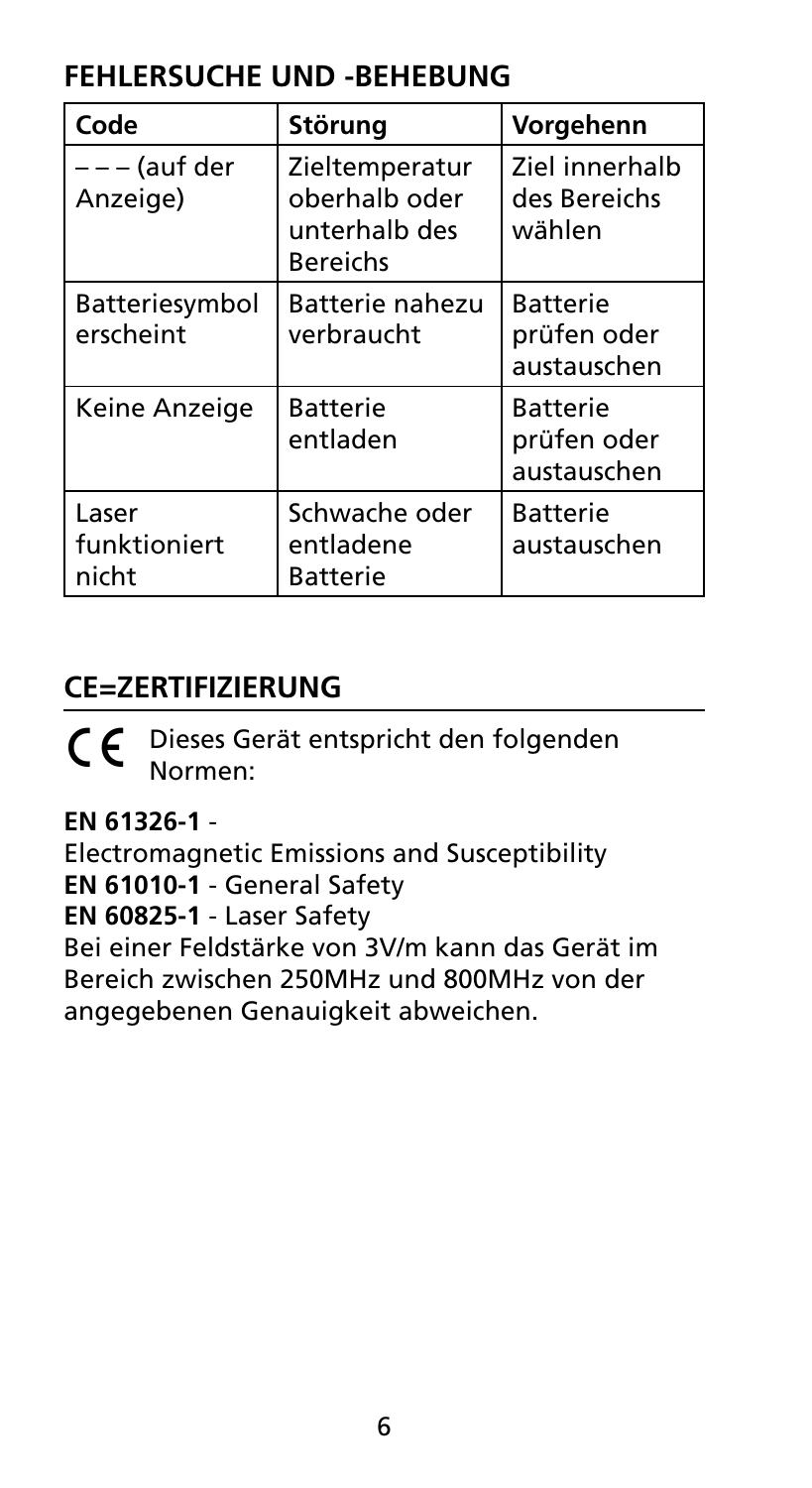## **FEHLERSUCHE UND -BEHEBUNG**

| Code                           | Störung                                                             | Vorgehenn                                     |
|--------------------------------|---------------------------------------------------------------------|-----------------------------------------------|
| – – – (auf der<br>Anzeige)     | Zieltemperatur<br>oberhalb oder<br>unterhalb des<br><b>Bereichs</b> | Ziel innerhalb<br>des Bereichs<br>wählen      |
| Batteriesymbol<br>erscheint    | Batterie nahezu<br>verbraucht                                       | <b>Batterie</b><br>prüfen oder<br>austauschen |
| Keine Anzeige                  | <b>Batterie</b><br>entladen                                         | Batterie<br>prüfen oder<br>austauschen        |
| Laser<br>funktioniert<br>nicht | Schwache oder<br>entladene<br>Batterie                              | Batterie<br>austauschen                       |

## **CE=Zertifizierung**

C E Dieses Gerät entspricht den folgenden Normen:

**EN 61326-1** -

Electromagnetic Emissions and Susceptibility **EN 61010-1** - General Safety **EN 60825-1** - Laser Safety

Bei einer Feldstärke von 3V/m kann das Gerät im Bereich zwischen 250MHz und 800MHz von der angegebenen Genauigkeit abweichen.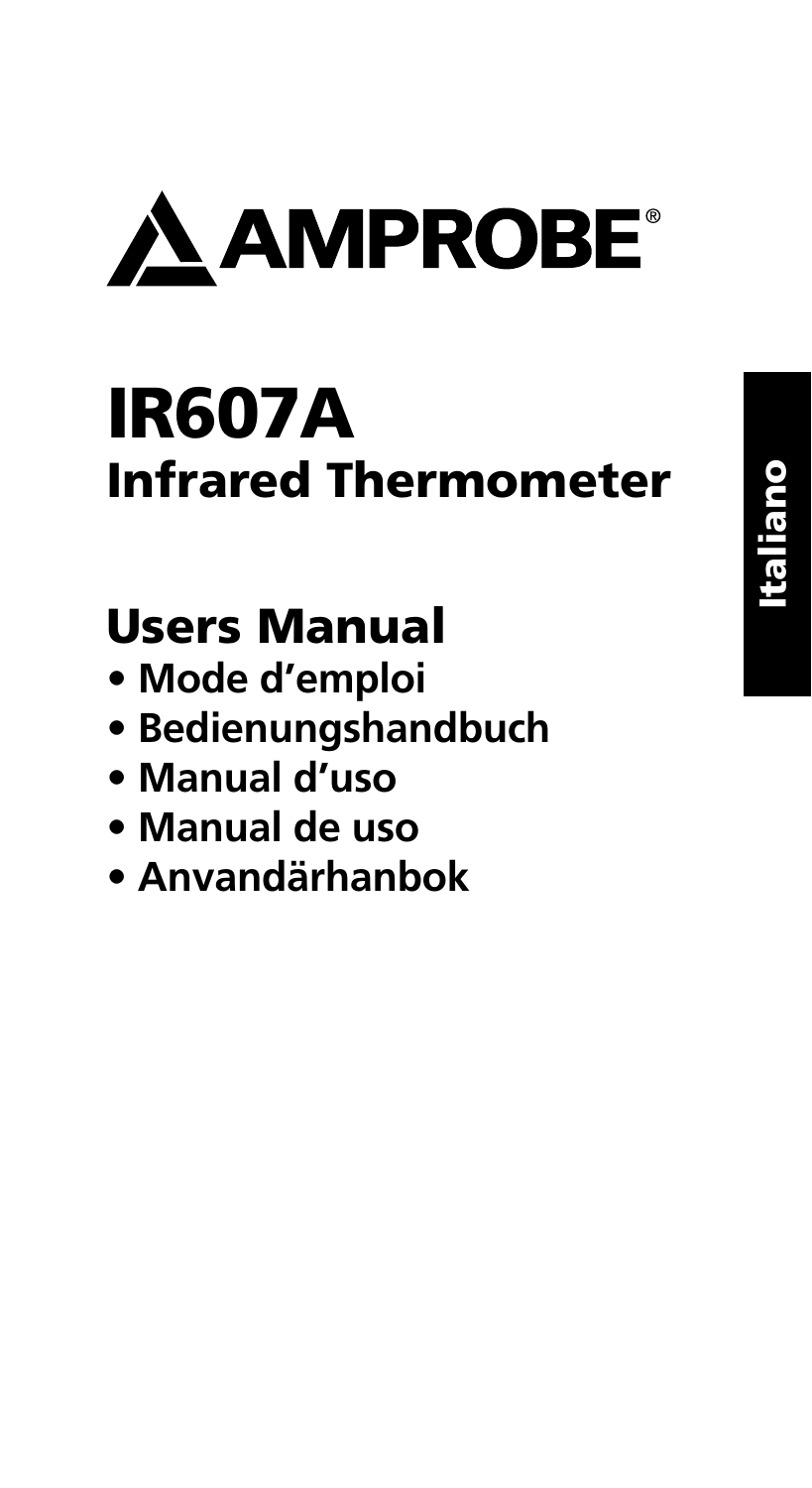

# IR607A Infrared Thermometer

## Users Manual

- **Mode d'emploi**
- **Bedienungshandbuch**
- **Manual d'uso**
- **Manual de uso**
- **Anvandärhanbok**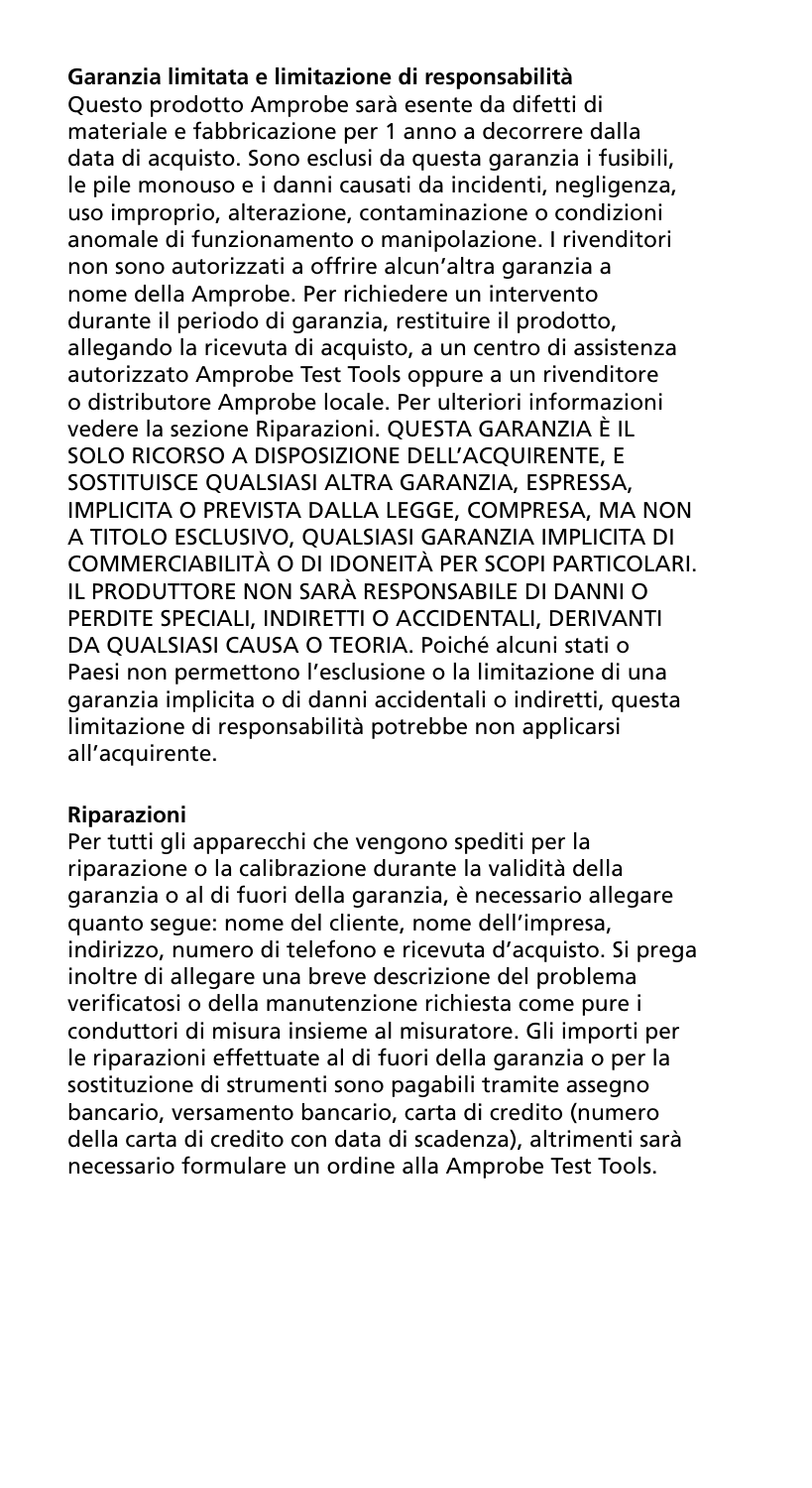#### **Garanzia limitata e limitazione di responsabilità**

Questo prodotto Amprobe sarà esente da difetti di materiale e fabbricazione per 1 anno a decorrere dalla data di acquisto. Sono esclusi da questa garanzia i fusibili, le pile monouso e i danni causati da incidenti, negligenza, uso improprio, alterazione, contaminazione o condizioni anomale di funzionamento o manipolazione. I rivenditori non sono autorizzati a offrire alcun'altra garanzia a nome della Amprobe. Per richiedere un intervento durante il periodo di garanzia, restituire il prodotto, allegando la ricevuta di acquisto, a un centro di assistenza autorizzato Amprobe Test Tools oppure a un rivenditore o distributore Amprobe locale. Per ulteriori informazioni vedere la sezione Riparazioni. QUESTA GARANZIA È IL SOLO RICORSO A DISPOSIZIONE DELL'ACQUIRENTE, E SOSTITUISCE QUALSIASI ALTRA GARANZIA, ESPRESSA, IMPLICITA O PREVISTA DALLA LEGGE, COMPRESA, MA NON A TITOLO ESCLUSIVO, QUALSIASI GARANZIA IMPLICITA DI COMMERCIABILITÀ O DI IDONEITÀ PER SCOPI PARTICOLARI. IL PRODUTTORE NON SARÀ RESPONSABILE DI DANNI O PERDITE SPECIALI, INDIRETTI O ACCIDENTALI, DERIVANTI DA QUALSIASI CAUSA O TEORIA. Poiché alcuni stati o Paesi non permettono l'esclusione o la limitazione di una garanzia implicita o di danni accidentali o indiretti, questa limitazione di responsabilità potrebbe non applicarsi all'acquirente.

#### **Riparazioni**

Per tutti gli apparecchi che vengono spediti per la riparazione o la calibrazione durante la validità della garanzia o al di fuori della garanzia, è necessario allegare quanto segue: nome del cliente, nome dell'impresa, indirizzo, numero di telefono e ricevuta d'acquisto. Si prega inoltre di allegare una breve descrizione del problema verificatosi o della manutenzione richiesta come pure i conduttori di misura insieme al misuratore. Gli importi per le riparazioni effettuate al di fuori della garanzia o per la sostituzione di strumenti sono pagabili tramite assegno bancario, versamento bancario, carta di credito (numero della carta di credito con data di scadenza), altrimenti sarà necessario formulare un ordine alla Amprobe Test Tools.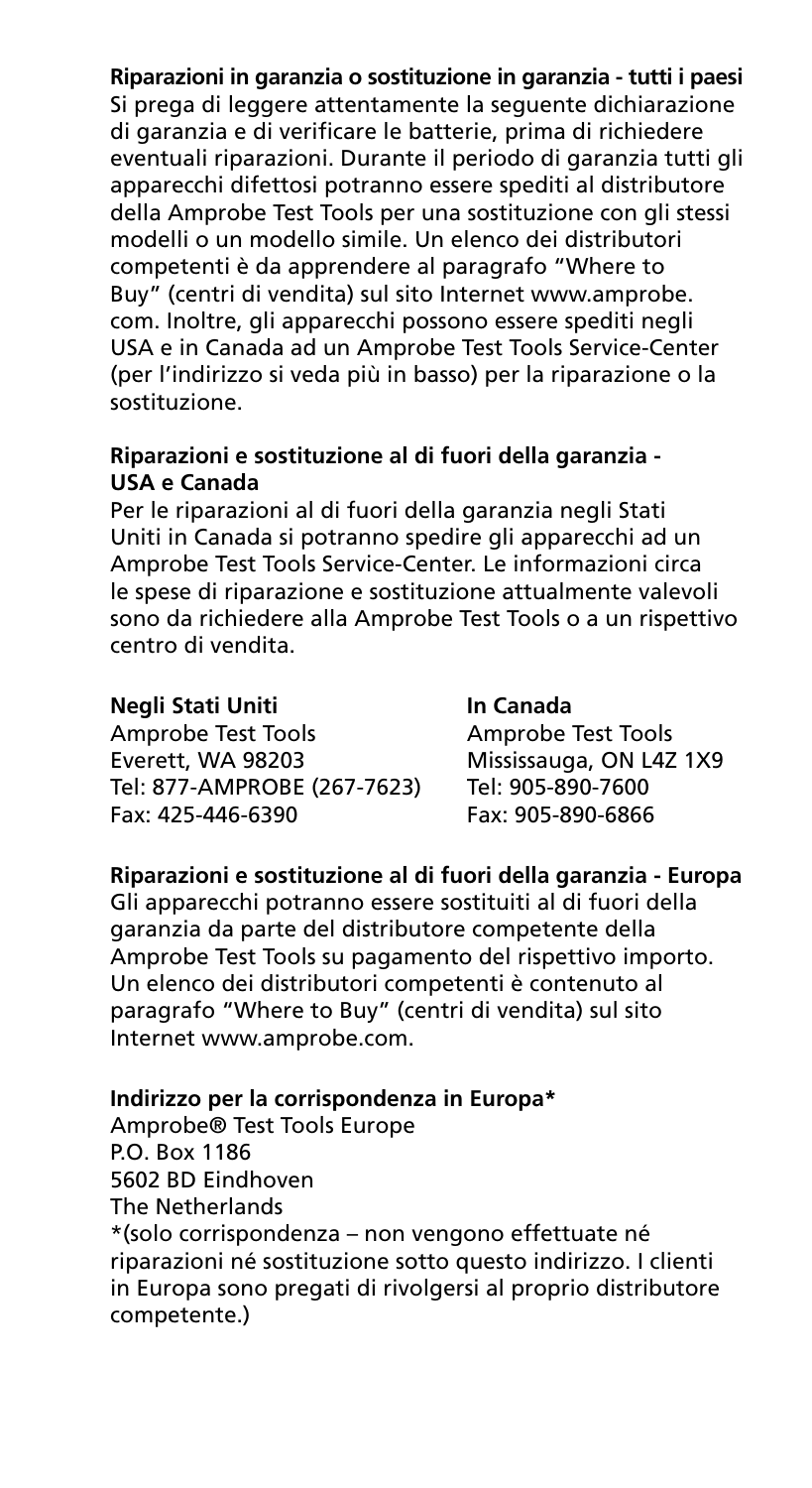**Riparazioni in garanzia o sostituzione in garanzia - tutti i paesi** Si prega di leggere attentamente la seguente dichiarazione di garanzia e di verificare le batterie, prima di richiedere eventuali riparazioni. Durante il periodo di garanzia tutti gli apparecchi difettosi potranno essere spediti al distributore della Amprobe Test Tools per una sostituzione con gli stessi modelli o un modello simile. Un elenco dei distributori competenti è da apprendere al paragrafo "Where to Buy" (centri di vendita) sul sito Internet www.amprobe. com. Inoltre, gli apparecchi possono essere spediti negli USA e in Canada ad un Amprobe Test Tools Service-Center (per l'indirizzo si veda più in basso) per la riparazione o la sostituzione.

#### **Riparazioni e sostituzione al di fuori della garanzia - USA e Canada**

Per le riparazioni al di fuori della garanzia negli Stati Uniti in Canada si potranno spedire gli apparecchi ad un Amprobe Test Tools Service-Center. Le informazioni circa le spese di riparazione e sostituzione attualmente valevoli sono da richiedere alla Amprobe Test Tools o a un rispettivo centro di vendita.

#### **Negli Stati Uniti In Canada**

Amprobe Test Tools<br>
Everett, WA 98203 Mississauga, ON L4Z Tel: 877-AMPROBE (267-7623) Fax: 425-446-6390 Fax: 905-890-6866

# Mississauga, ON L4Z 1X9<br>Tel: 905-890-7600

### **Riparazioni e sostituzione al di fuori della garanzia - Europa**

Gli apparecchi potranno essere sostituiti al di fuori della garanzia da parte del distributore competente della Amprobe Test Tools su pagamento del rispettivo importo. Un elenco dei distributori competenti è contenuto al paragrafo "Where to Buy" (centri di vendita) sul sito Internet www.amprobe.com.

#### **Indirizzo per la corrispondenza in Europa\***

Amprobe® Test Tools Europe P.O. Box 1186 5602 BD Eindhoven The Netherlands \*(solo corrispondenza – non vengono effettuate né riparazioni né sostituzione sotto questo indirizzo. I clienti in Europa sono pregati di rivolgersi al proprio distributore competente.)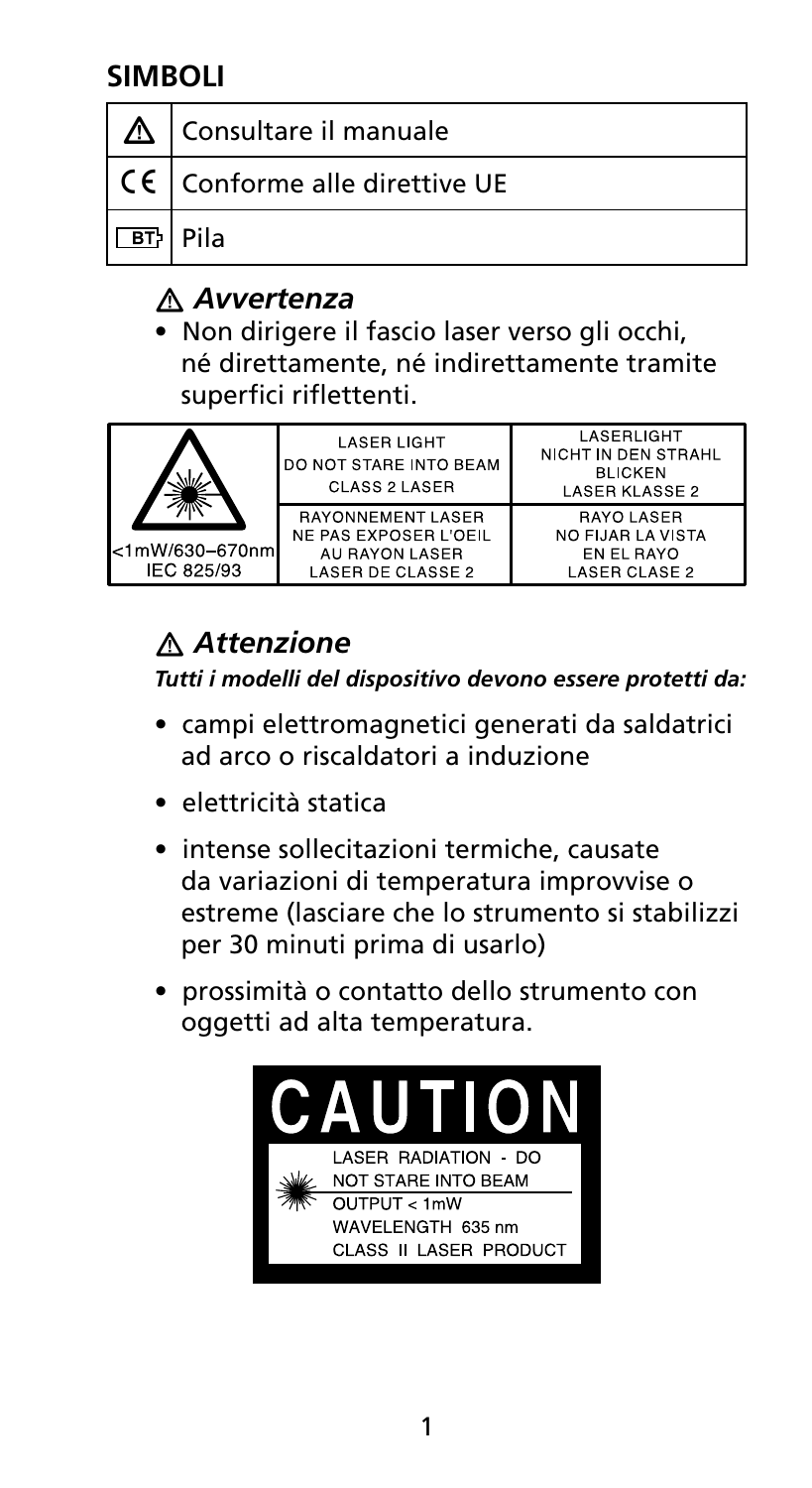## **Simboli**

| Consultare il manuale                                   |
|---------------------------------------------------------|
| $\vert$ C $\epsilon$ $\vert$ Conforme alle direttive UE |
| <b>Pila</b>                                             |

## � *Avvertenza*

• Non dirigere il fascio laser verso gli occhi, né direttamente, né indirettamente tramite superfici riflettenti.

| <1mW/630-670nm<br>IEC 825/93 | <b>LASER LIGHT</b><br><b>JDO NOT STARE INTO BEAM</b><br>CLASS 2 LASER                    | LASERLIGHT<br>NICHT IN DEN STRAHL<br><b>BLICKEN</b><br>LASER KLASSE 2 |
|------------------------------|------------------------------------------------------------------------------------------|-----------------------------------------------------------------------|
|                              | <b>RAYONNEMENT LASER</b><br>NE PAS EXPOSER L'OEIL<br>AU RAYON LASER<br>LASER DE CLASSE 2 | <b>RAYOLASER</b><br>NO FIJAR LA VISTA<br>EN EL BAYO<br>LASER CLASE 2  |

## � *Attenzione*

*Tutti i modelli del dispositivo devono essere protetti da:*

- campi elettromagnetici generati da saldatrici ad arco o riscaldatori a induzione
- elettricità statica
- intense sollecitazioni termiche, causate da variazioni di temperatura improvvise o estreme (lasciare che lo strumento si stabilizzi per 30 minuti prima di usarlo)
- prossimità o contatto dello strumento con oggetti ad alta temperatura.

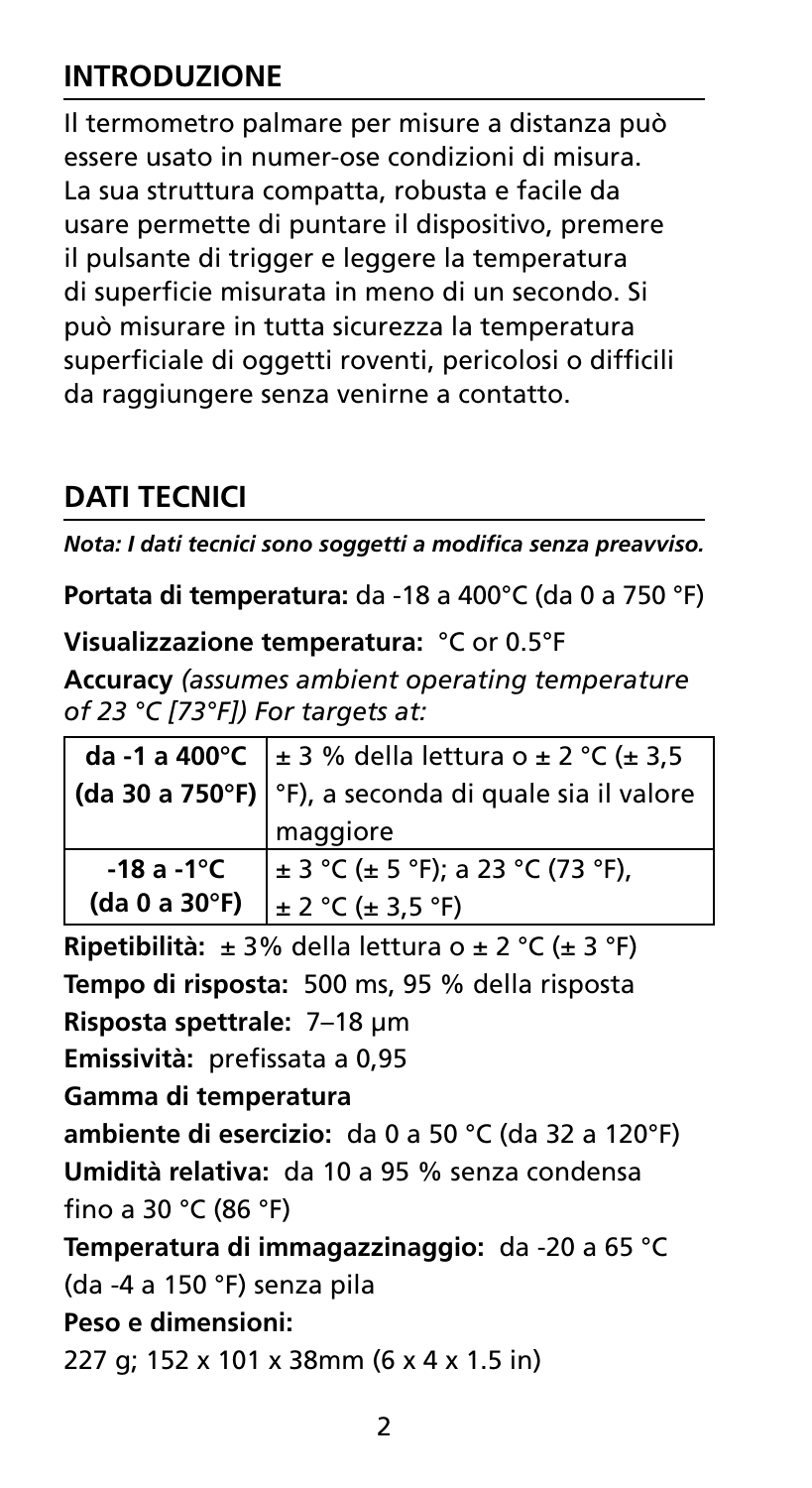## **INTRODUZIONE**

Il termometro palmare per misure a distanza può essere usato in numer-ose condizioni di misura. La sua struttura compatta, robusta e facile da usare permette di puntare il dispositivo, premere il pulsante di trigger e leggere la temperatura di superficie misurata in meno di un secondo. Si può misurare in tutta sicurezza la temperatura superficiale di oggetti roventi, pericolosi o difficili da raggiungere senza venirne a contatto.

## **Dati tecnici**

*Nota: I dati tecnici sono soggetti a modifica senza preavviso.*

**Portata di temperatura:** da -18 a 400°C (da 0 a 750 °F)

**Visualizzazione temperatura:** °C or 0.5°F

**Accuracy** *(assumes ambient operating temperature of 23 °C [73°F]) For targets at:*

|                   | da -1 a 400 °C + 3 % della lettura o ± 2 °C (± 3,5                    |  |
|-------------------|-----------------------------------------------------------------------|--|
|                   | $\big $ (da 30 a 750°F) $\big $ °F), a seconda di quale sia il valore |  |
|                   | maggiore                                                              |  |
| $-18a-1^{\circ}C$ | $\pm$ 3 °C ( $\pm$ 5 °F); a 23 °C (73 °F),                            |  |
| (da 0 a 30°F)     | $\pm 2$ °C ( $\pm 3.5$ °F)                                            |  |

**Ripetibilità:** ± 3% della lettura o ± 2 °C (± 3 °F) **Tempo di risposta:** 500 ms, 95 % della risposta **Risposta spettrale:** 7–18 μm **Emissività:** prefissata a 0,95 **Gamma di temperatura ambiente di esercizio:** da 0 a 50 °C (da 32 a 120°F) **Umidità relativa:** da 10 a 95 % senza condensa fino a 30 °C (86 °F) **Temperatura di immagazzinaggio:** da -20 a 65 °C (da -4 a 150 °F) senza pila **Peso e dimensioni:**  227 g; 152 x 101 x 38mm (6 x 4 x 1.5 in)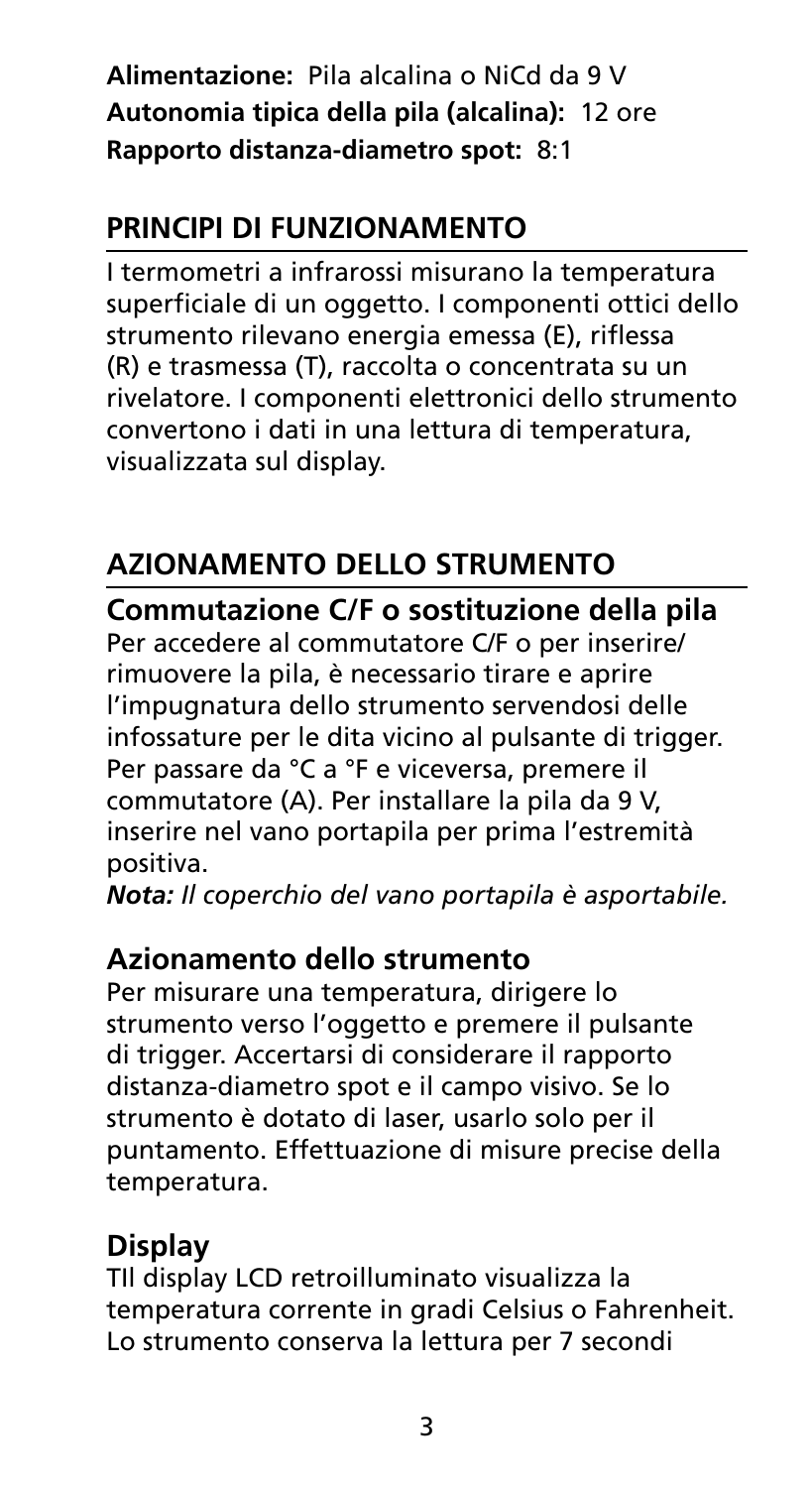**Alimentazione:** Pila alcalina o NiCd da 9 V **Autonomia tipica della pila (alcalina):** 12 ore **Rapporto distanza-diametro spot:** 8:1

## **Principi di funzionamento**

I termometri a infrarossi misurano la temperatura superficiale di un oggetto. I componenti ottici dello strumento rilevano energia emessa (E), riflessa (R) e trasmessa (T), raccolta o concentrata su un rivelatore. I componenti elettronici dello strumento convertono i dati in una lettura di temperatura, visualizzata sul display.

## **Azionamento dello strumento**

**Commutazione C/F o sostituzione della pila**  Per accedere al commutatore C/F o per inserire/ rimuovere la pila, è necessario tirare e aprire l'impugnatura dello strumento servendosi delle infossature per le dita vicino al pulsante di trigger. Per passare da °C a °F e viceversa, premere il commutatore (A). Per installare la pila da 9 V, inserire nel vano portapila per prima l'estremità positiva.

*Nota: Il coperchio del vano portapila è asportabile.*

## **Azionamento dello strumento**

Per misurare una temperatura, dirigere lo strumento verso l'oggetto e premere il pulsante di trigger. Accertarsi di considerare il rapporto distanza-diametro spot e il campo visivo. Se lo strumento è dotato di laser, usarlo solo per il puntamento. Effettuazione di misure precise della temperatura.

## **Display**

TIl display LCD retroilluminato visualizza la temperatura corrente in gradi Celsius o Fahrenheit. Lo strumento conserva la lettura per 7 secondi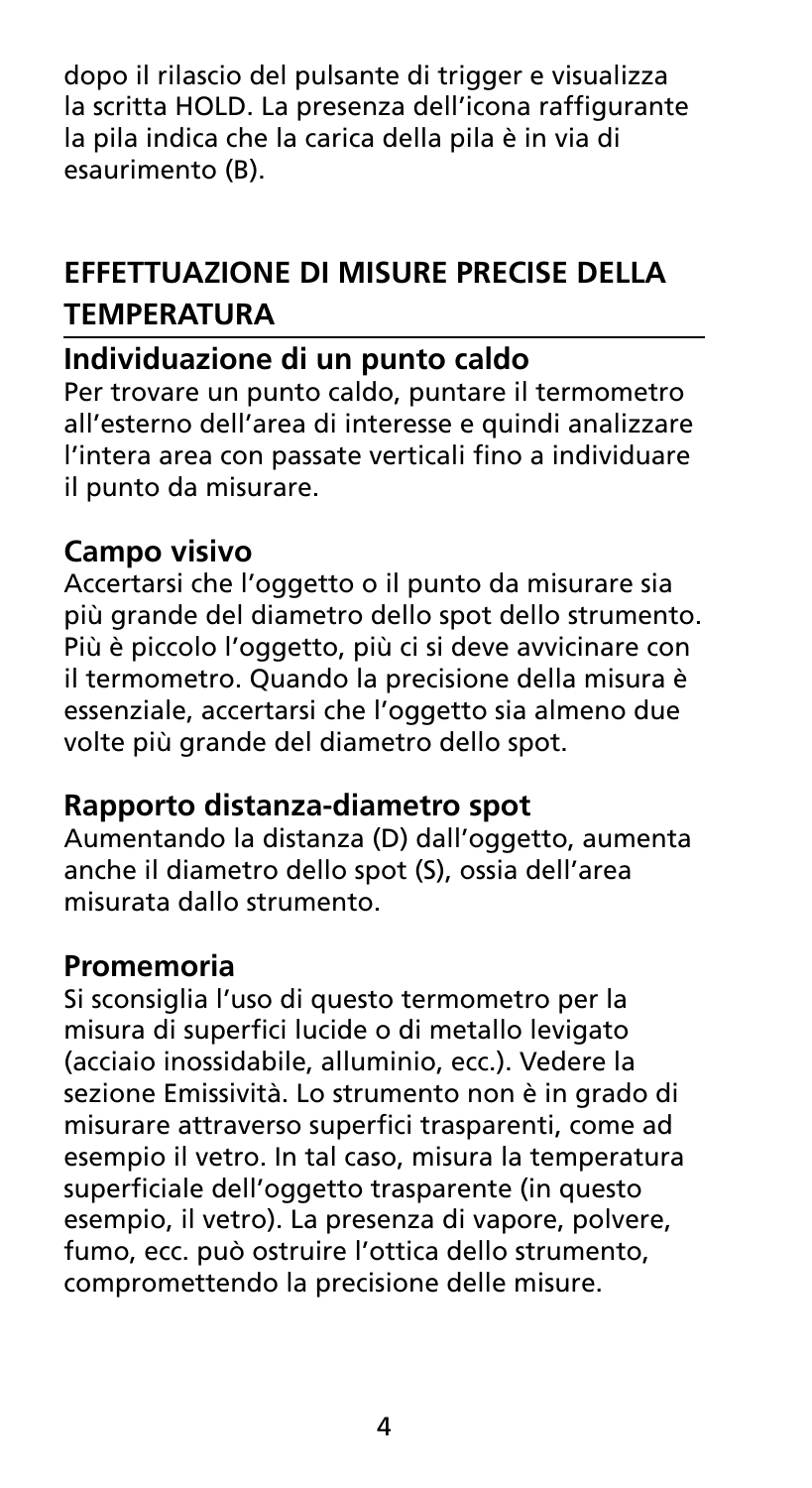dopo il rilascio del pulsante di trigger e visualizza la scritta HOLD. La presenza dell'icona raffigurante la pila indica che la carica della pila è in via di esaurimento (B).

## **Effettuazione di misure precise della temperatura**

## **Individuazione di un punto caldo**

Per trovare un punto caldo, puntare il termometro all'esterno dell'area di interesse e quindi analizzare l'intera area con passate verticali fino a individuare il punto da misurare.

## **Campo visivo**

Accertarsi che l'oggetto o il punto da misurare sia più grande del diametro dello spot dello strumento. Più è piccolo l'oggetto, più ci si deve avvicinare con il termometro. Quando la precisione della misura è essenziale, accertarsi che l'oggetto sia almeno due volte più grande del diametro dello spot.

### **Rapporto distanza-diametro spot**

Aumentando la distanza (D) dall'oggetto, aumenta anche il diametro dello spot (S), ossia dell'area misurata dallo strumento.

### **Promemoria**

Si sconsiglia l'uso di questo termometro per la misura di superfici lucide o di metallo levigato (acciaio inossidabile, alluminio, ecc.). Vedere la sezione Emissività. Lo strumento non è in grado di misurare attraverso superfici trasparenti, come ad esempio il vetro. In tal caso, misura la temperatura superficiale dell'oggetto trasparente (in questo esempio, il vetro). La presenza di vapore, polvere, fumo, ecc. può ostruire l'ottica dello strumento, compromettendo la precisione delle misure.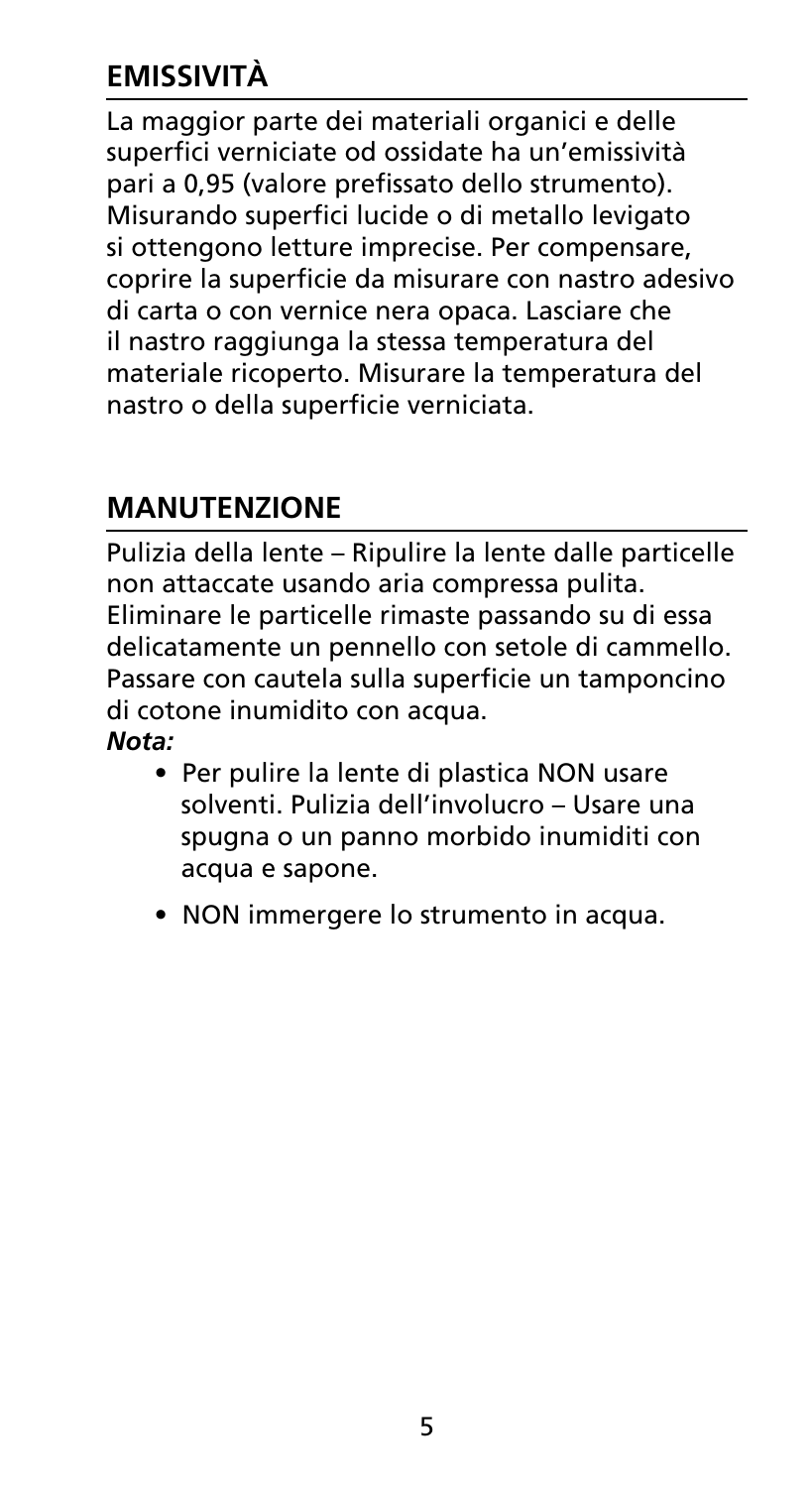## **Emissività**

La maggior parte dei materiali organici e delle superfici verniciate od ossidate ha un'emissività pari a 0,95 (valore prefissato dello strumento). Misurando superfici lucide o di metallo levigato si ottengono letture imprecise. Per compensare, coprire la superficie da misurare con nastro adesivo di carta o con vernice nera opaca. Lasciare che il nastro raggiunga la stessa temperatura del materiale ricoperto. Misurare la temperatura del nastro o della superficie verniciata.

## **Manutenzione**

Pulizia della lente – Ripulire la lente dalle particelle non attaccate usando aria compressa pulita. Eliminare le particelle rimaste passando su di essa delicatamente un pennello con setole di cammello. Passare con cautela sulla superficie un tamponcino di cotone inumidito con acqua. *Nota:* 

- Per pulire la lente di plastica NON usare solventi. Pulizia dell'involucro – Usare una spugna o un panno morbido inumiditi con acqua e sapone.
- NON immergere lo strumento in acqua.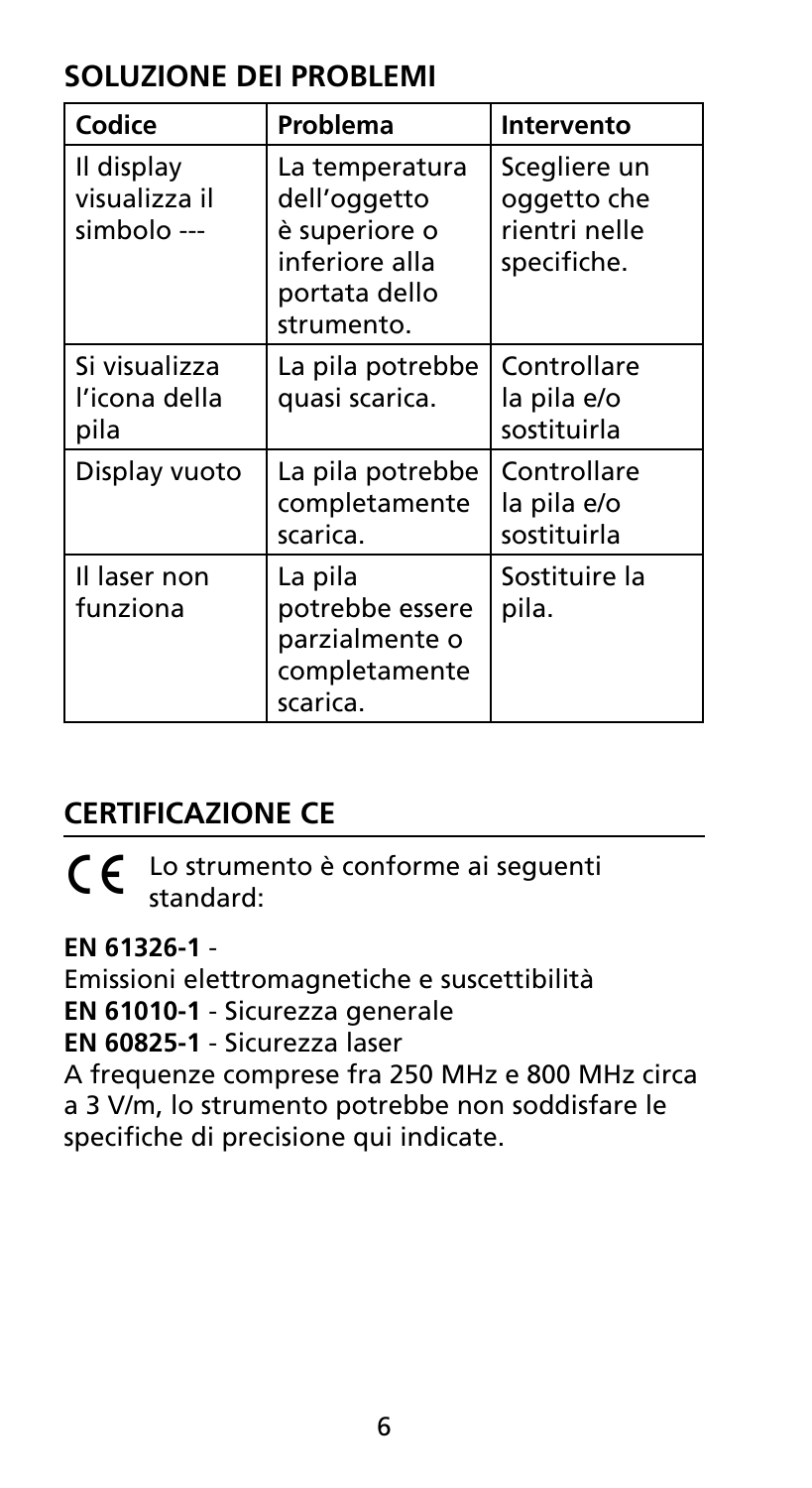## **SOLUZIONE DEI PROBLEMI**

| Codice                                     | Problema                                                                                         | Intervento                                                  |
|--------------------------------------------|--------------------------------------------------------------------------------------------------|-------------------------------------------------------------|
| Il display<br>visualizza il<br>simbolo --- | La temperatura<br>dell'oggetto<br>è superiore o<br>inferiore alla<br>portata dello<br>strumento. | Scegliere un<br>oggetto che<br>rientri nelle<br>specifiche. |
| Si visualizza<br>l'icona della<br>pila     | La pila potrebbe<br>quasi scarica.                                                               | Controllare<br>la pila e/o<br>sostituirla                   |
| Display vuoto                              | La pila potrebbe<br>completamente<br>scarica.                                                    | Controllare<br>la pila e/o<br>sostituirla                   |
| Il laser non<br>funziona                   | La pila<br>potrebbe essere<br>parzialmente o<br>completamente<br>scarica.                        | Sostituire la<br>pila.                                      |

## **Certificazione CE**

 $\zeta \epsilon$  Lo strumento è conforme ai seguenti standard:

### **EN 61326-1** -

Emissioni elettromagnetiche e suscettibilità **EN 61010-1** - Sicurezza generale **EN 60825-1** - Sicurezza laser A frequenze comprese fra 250 MHz e 800 MHz circa a 3 V/m, lo strumento potrebbe non soddisfare le specifiche di precisione qui indicate.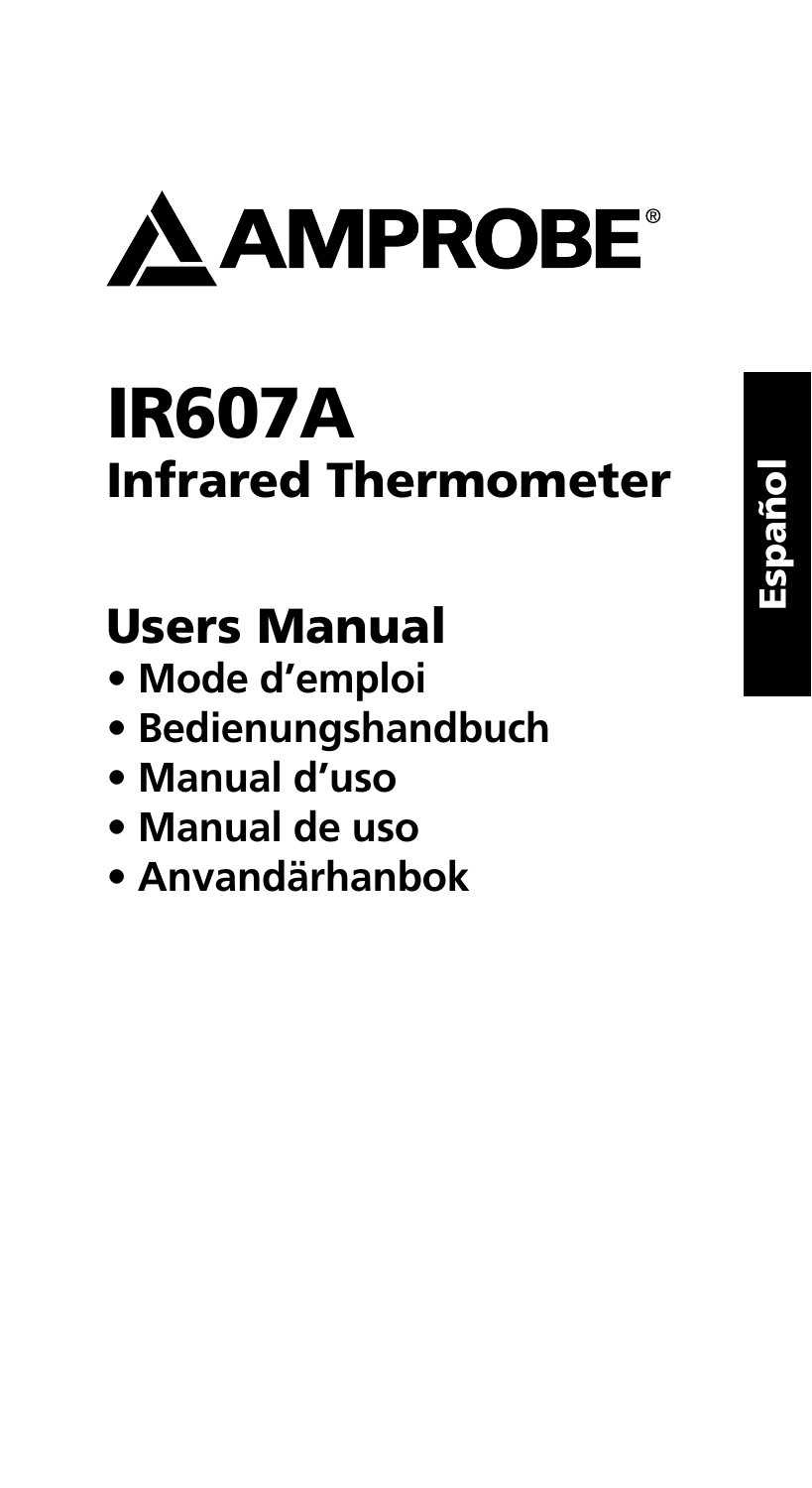

# IR607A Infrared Thermometer

## Users Manual

- **Mode d'emploi**
- **Bedienungshandbuch**
- **Manual d'uso**
- **Manual de uso**
- **Anvandärhanbok**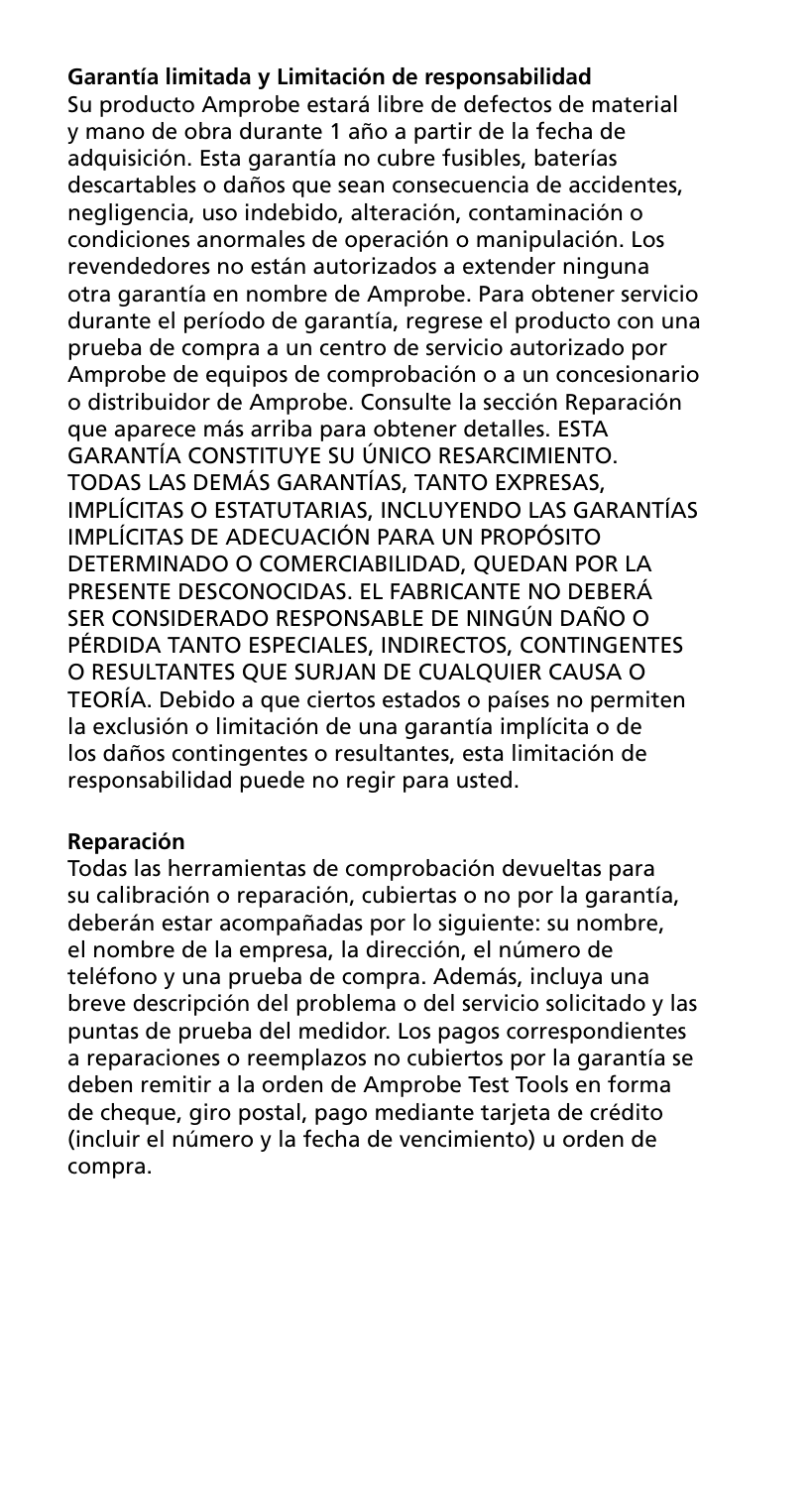#### **Garantía limitada y Limitación de responsabilidad**

Su producto Amprobe estará libre de defectos de material y mano de obra durante 1 año a partir de la fecha de adquisición. Esta garantía no cubre fusibles, baterías descartables o daños que sean consecuencia de accidentes, negligencia, uso indebido, alteración, contaminación o condiciones anormales de operación o manipulación. Los revendedores no están autorizados a extender ninguna otra garantía en nombre de Amprobe. Para obtener servicio durante el período de garantía, regrese el producto con una prueba de compra a un centro de servicio autorizado por Amprobe de equipos de comprobación o a un concesionario o distribuidor de Amprobe. Consulte la sección Reparación que aparece más arriba para obtener detalles. ESTA GARANTÍA CONSTITUYE SU ÚNICO RESARCIMIENTO. TODAS LAS DEMÁS GARANTÍAS, TANTO EXPRESAS, IMPLÍCITAS O ESTATUTARIAS, INCLUYENDO LAS GARANTÍAS IMPLÍCITAS DE ADECUACIÓN PARA UN PROPÓSITO DETERMINADO O COMERCIABILIDAD, QUEDAN POR LA PRESENTE DESCONOCIDAS. EL FABRICANTE NO DEBERÁ SER CONSIDERADO RESPONSABLE DE NINGÚN DAÑO O PÉRDIDA TANTO ESPECIALES, INDIRECTOS, CONTINGENTES O RESULTANTES QUE SURJAN DE CUALQUIER CAUSA O TEORÍA. Debido a que ciertos estados o países no permiten la exclusión o limitación de una garantía implícita o de los daños contingentes o resultantes, esta limitación de responsabilidad puede no regir para usted.

#### **Reparación**

Todas las herramientas de comprobación devueltas para su calibración o reparación, cubiertas o no por la garantía, deberán estar acompañadas por lo siguiente: su nombre, el nombre de la empresa, la dirección, el número de teléfono y una prueba de compra. Además, incluya una breve descripción del problema o del servicio solicitado y las puntas de prueba del medidor. Los pagos correspondientes a reparaciones o reemplazos no cubiertos por la garantía se deben remitir a la orden de Amprobe Test Tools en forma de cheque, giro postal, pago mediante tarjeta de crédito (incluir el número y la fecha de vencimiento) u orden de compra.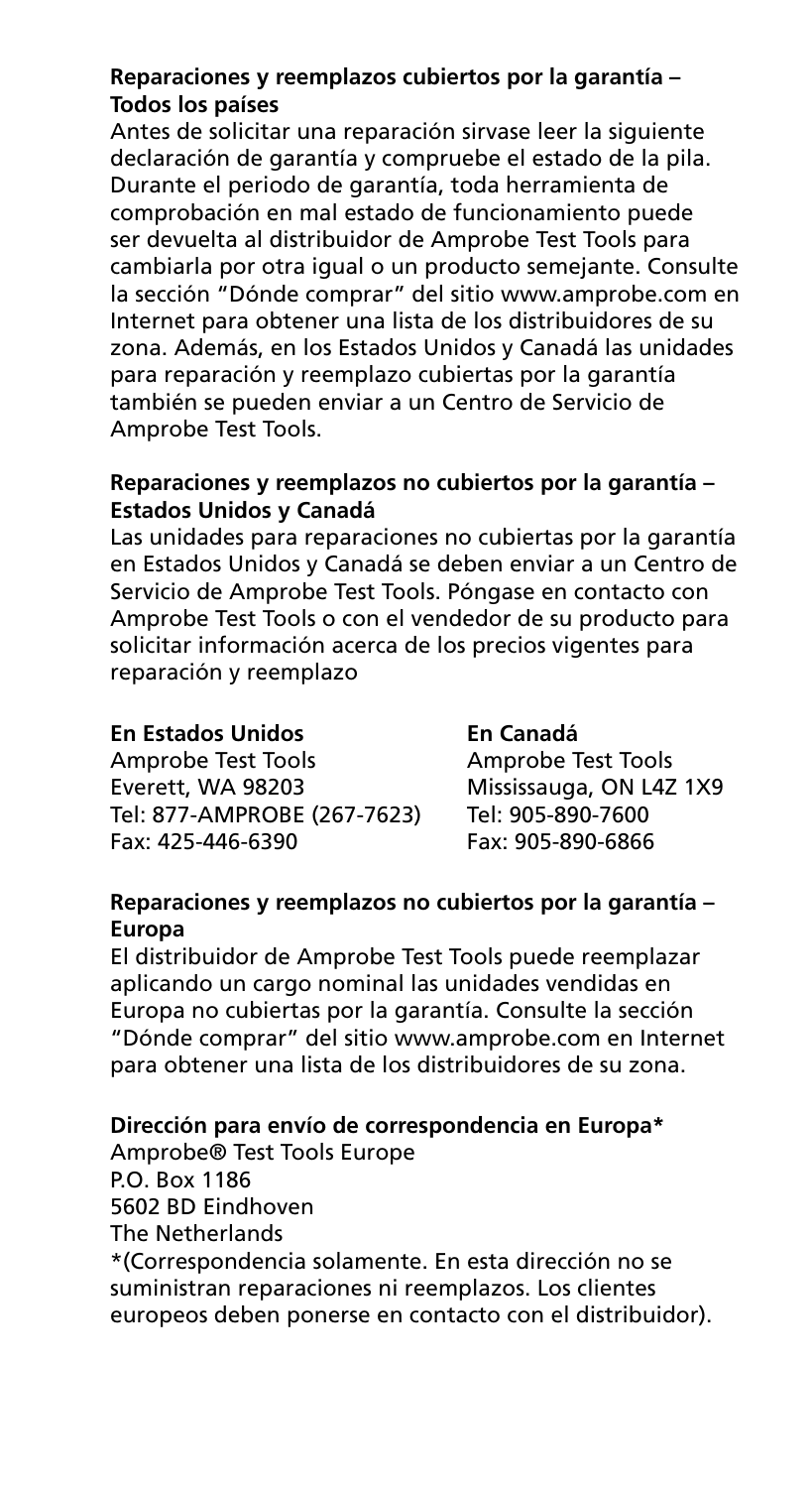#### **Reparaciones y reemplazos cubiertos por la garantía – Todos los países**

Antes de solicitar una reparación sirvase leer la siguiente declaración de garantía y compruebe el estado de la pila. Durante el periodo de garantía, toda herramienta de comprobación en mal estado de funcionamiento puede ser devuelta al distribuidor de Amprobe Test Tools para cambiarla por otra igual o un producto semejante. Consulte la sección "Dónde comprar" del sitio www.amprobe.com en Internet para obtener una lista de los distribuidores de su zona. Además, en los Estados Unidos y Canadá las unidades para reparación y reemplazo cubiertas por la garantía también se pueden enviar a un Centro de Servicio de Amprobe Test Tools.

#### **Reparaciones y reemplazos no cubiertos por la garantía – Estados Unidos y Canadá**

Las unidades para reparaciones no cubiertas por la garantía en Estados Unidos y Canadá se deben enviar a un Centro de Servicio de Amprobe Test Tools. Póngase en contacto con Amprobe Test Tools o con el vendedor de su producto para solicitar información acerca de los precios vigentes para reparación y reemplazo

#### **En Estados Unidos En Canadá**

Amprobe Test Tools<br>
Everett. WA 98203 Mississauga. ON L4Z Tel: 877-AMPROBE (267-7623) Tel: 905-890-7600 Fax: 425-446-6390 Fax: 905-890-6866

Mississauga, ON L4Z 1X9<br>Tel: 905-890-7600

#### **Reparaciones y reemplazos no cubiertos por la garantía – Europa**

El distribuidor de Amprobe Test Tools puede reemplazar aplicando un cargo nominal las unidades vendidas en Europa no cubiertas por la garantía. Consulte la sección "Dónde comprar" del sitio www.amprobe.com en Internet para obtener una lista de los distribuidores de su zona.

#### **Dirección para envío de correspondencia en Europa\***

Amprobe® Test Tools Europe P.O. Box 1186 5602 BD Eindhoven The Netherlands \*(Correspondencia solamente. En esta dirección no se suministran reparaciones ni reemplazos. Los clientes

europeos deben ponerse en contacto con el distribuidor).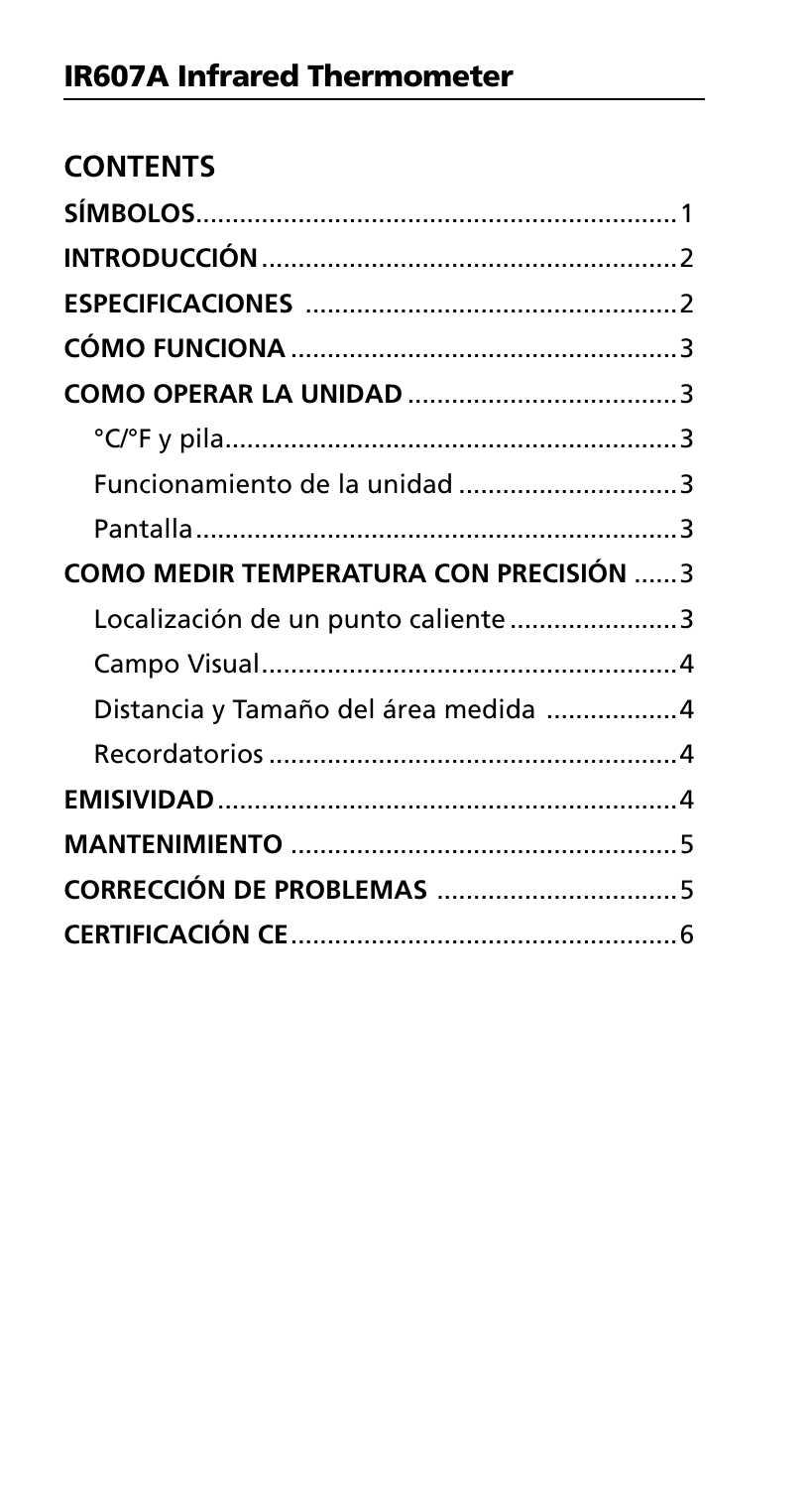| <b>CONTENTS</b>                               |  |
|-----------------------------------------------|--|
|                                               |  |
|                                               |  |
|                                               |  |
|                                               |  |
|                                               |  |
|                                               |  |
| Funcionamiento de la unidad 3                 |  |
|                                               |  |
| <b>COMO MEDIR TEMPERATURA CON PRECISIÓN 3</b> |  |
| Localización de un punto caliente 3           |  |
|                                               |  |
| Distancia y Tamaño del área medida 4          |  |
|                                               |  |
|                                               |  |
|                                               |  |
|                                               |  |
|                                               |  |
|                                               |  |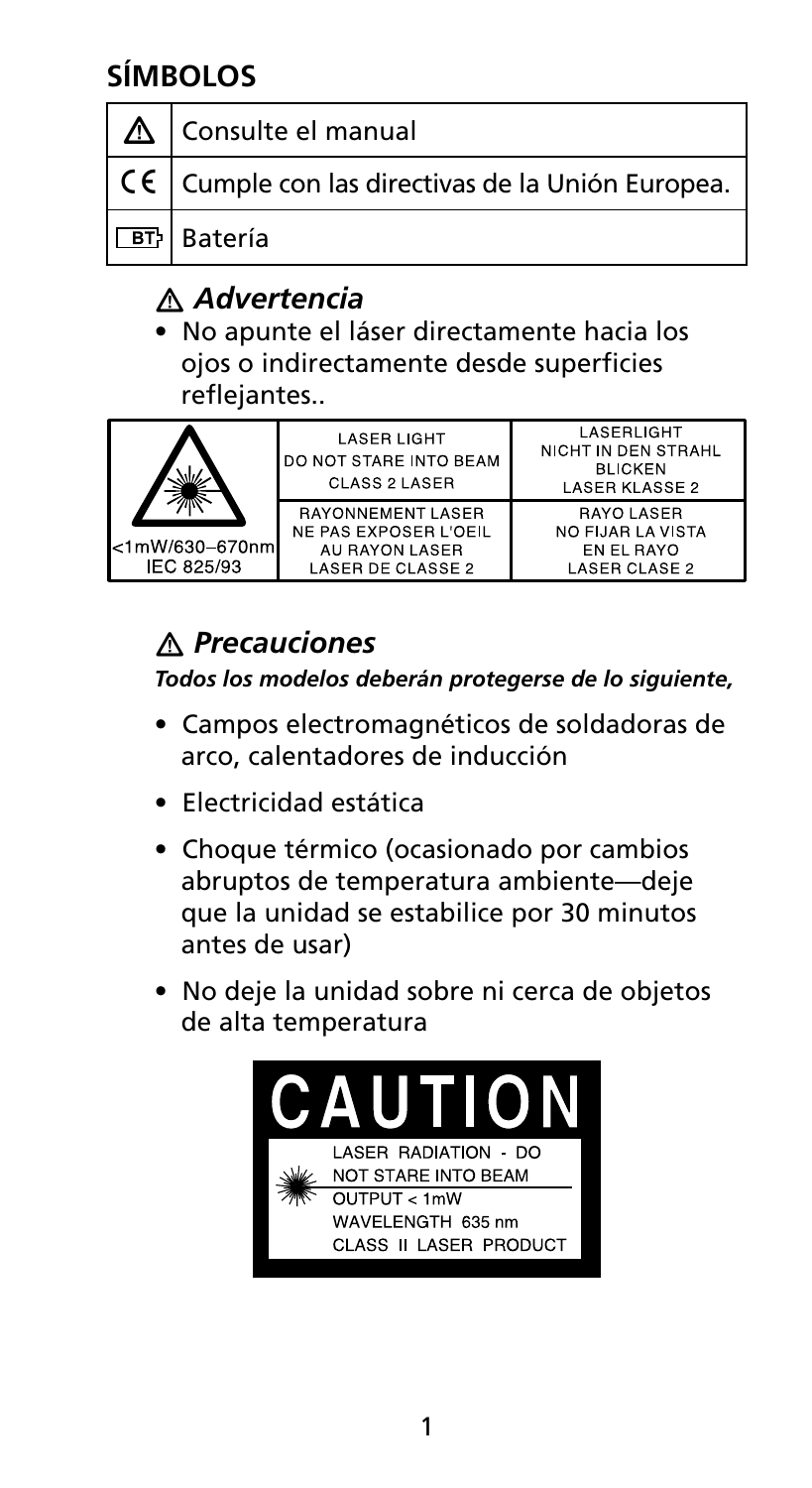## **Símbolos**

| ∣∆ | Consulte el manual                                               |
|----|------------------------------------------------------------------|
|    | $\vert$ C $\vert$ Cumple con las directivas de la Unión Europea. |
|    | <b>BI</b> Batería                                                |

## � *Advertencia*

• No apunte el láser directamente hacia los ojos o indirectamente desde superficies reflejantes..

| <1mW/630-670nm<br>IEC 825/93 | <b>LASER LIGHT</b><br>DO NOT STARE INTO BEAM<br>CLASS 2 LASER                            | LASERLIGHT<br>NICHT IN DEN STRAHL<br><b>BLICKEN</b><br>LASER KLASSE 2 |
|------------------------------|------------------------------------------------------------------------------------------|-----------------------------------------------------------------------|
|                              | <b>RAYONNEMENT LASER</b><br>NE PAS EXPOSER L'OEIL<br>AU RAYON LASER<br>LASER DE CLASSE 2 | RAYO LASER<br>NO FIJAR LA VISTA<br>EN EL RAYO<br><b>LASER CLASE 2</b> |

## � *Precauciones*

*Todos los modelos deberán protegerse de lo siguiente,*

- Campos electromagnéticos de soldadoras de arco, calentadores de inducción
- Electricidad estática
- Choque térmico (ocasionado por cambios abruptos de temperatura ambiente—deje que la unidad se estabilice por 30 minutos antes de usar)
- No deje la unidad sobre ni cerca de objetos de alta temperatura

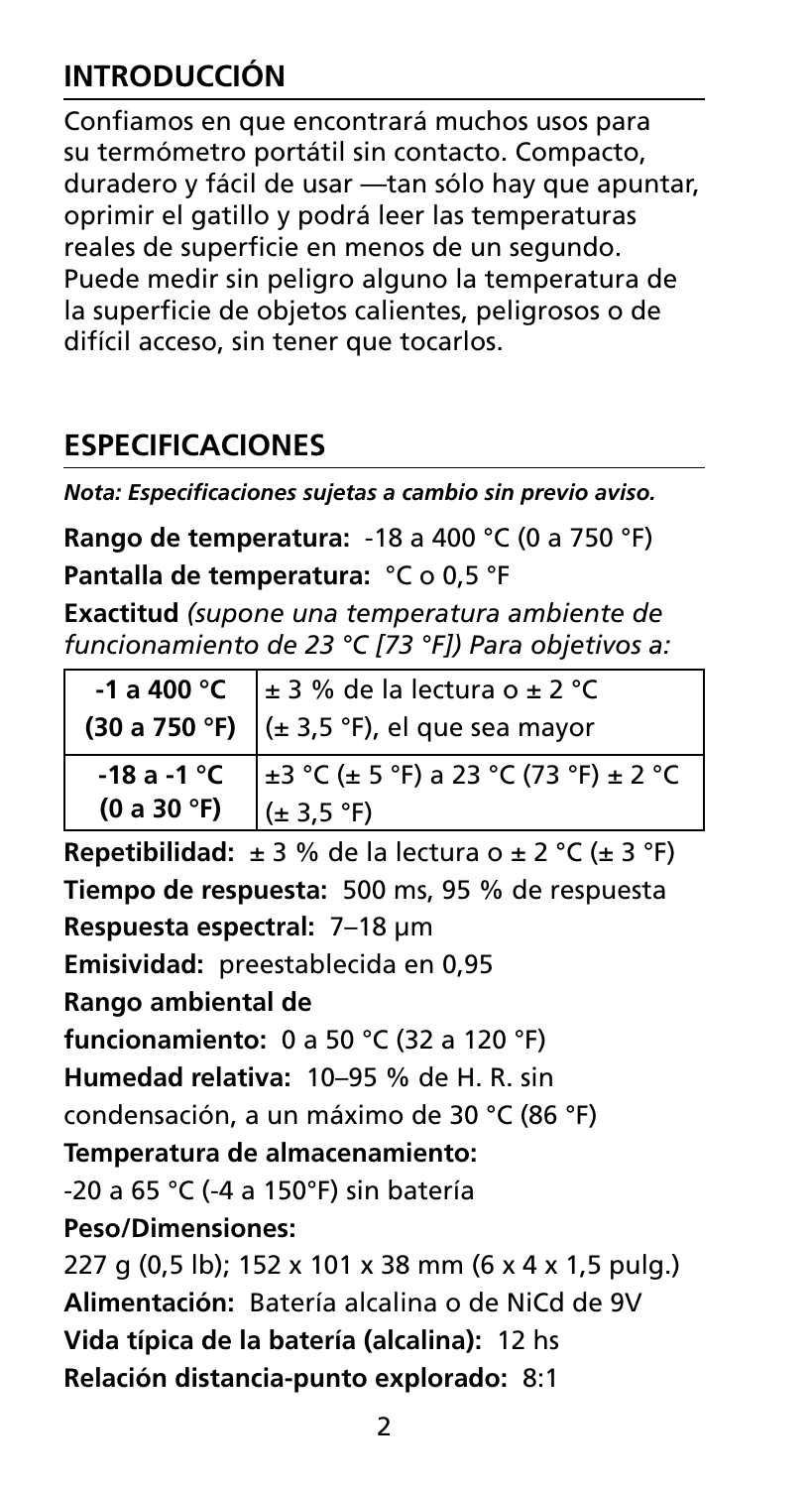## **INTRODUCCIÓN**

Confiamos en que encontrará muchos usos para su termómetro portátil sin contacto. Compacto, duradero y fácil de usar —tan sólo hay que apuntar, oprimir el gatillo y podrá leer las temperaturas reales de superficie en menos de un segundo. Puede medir sin peligro alguno la temperatura de la superficie de objetos calientes, peligrosos o de difícil acceso, sin tener que tocarlos.

## **Especificaciones**

*Nota: Especificaciones sujetas a cambio sin previo aviso.*

**Rango de temperatura:** -18 a 400 °C (0 a 750 °F)

**Pantalla de temperatura:** °C o 0,5 °F

**Exactitud** *(supone una temperatura ambiente de funcionamiento de 23 °C [73 °F]) Para objetivos a:*

|             | -1 a 400 °C $\pm$ 3 % de la lectura o $\pm$ 2 °C<br>(30 a 750 °F) $(± 3.5 °F)$ , el que sea mayor |  |
|-------------|---------------------------------------------------------------------------------------------------|--|
| (0 a 30 °F) | -18 a -1 °C $\frac{1}{2}$ +3 °C (± 5 °F) a 23 °C (73 °F) ± 2 °C<br>$(\pm 3.5 \text{ °F})$         |  |

**Repetibilidad:**  $\pm 3$  % de la lectura o  $\pm 2$  °C ( $\pm 3$  °F) **Tiempo de respuesta:** 500 ms, 95 % de respuesta **Respuesta espectral:** 7–18 μm **Emisividad:** preestablecida en 0,95 **Rango ambiental de funcionamiento:** 0 a 50 °C (32 a 120 °F) **Humedad relativa:** 10–95 % de H. R. sin condensación, a un máximo de 30 °C (86 °F) **Temperatura de almacenamiento:**  -20 a 65 °C (-4 a 150°F) sin batería **Peso/Dimensiones:**  227 g (0,5 lb); 152 x 101 x 38 mm (6 x 4 x 1,5 pulg.) **Alimentación:** Batería alcalina o de NiCd de 9V **Vida típica de la batería (alcalina):** 12 hs **Relación distancia-punto explorado:** 8:1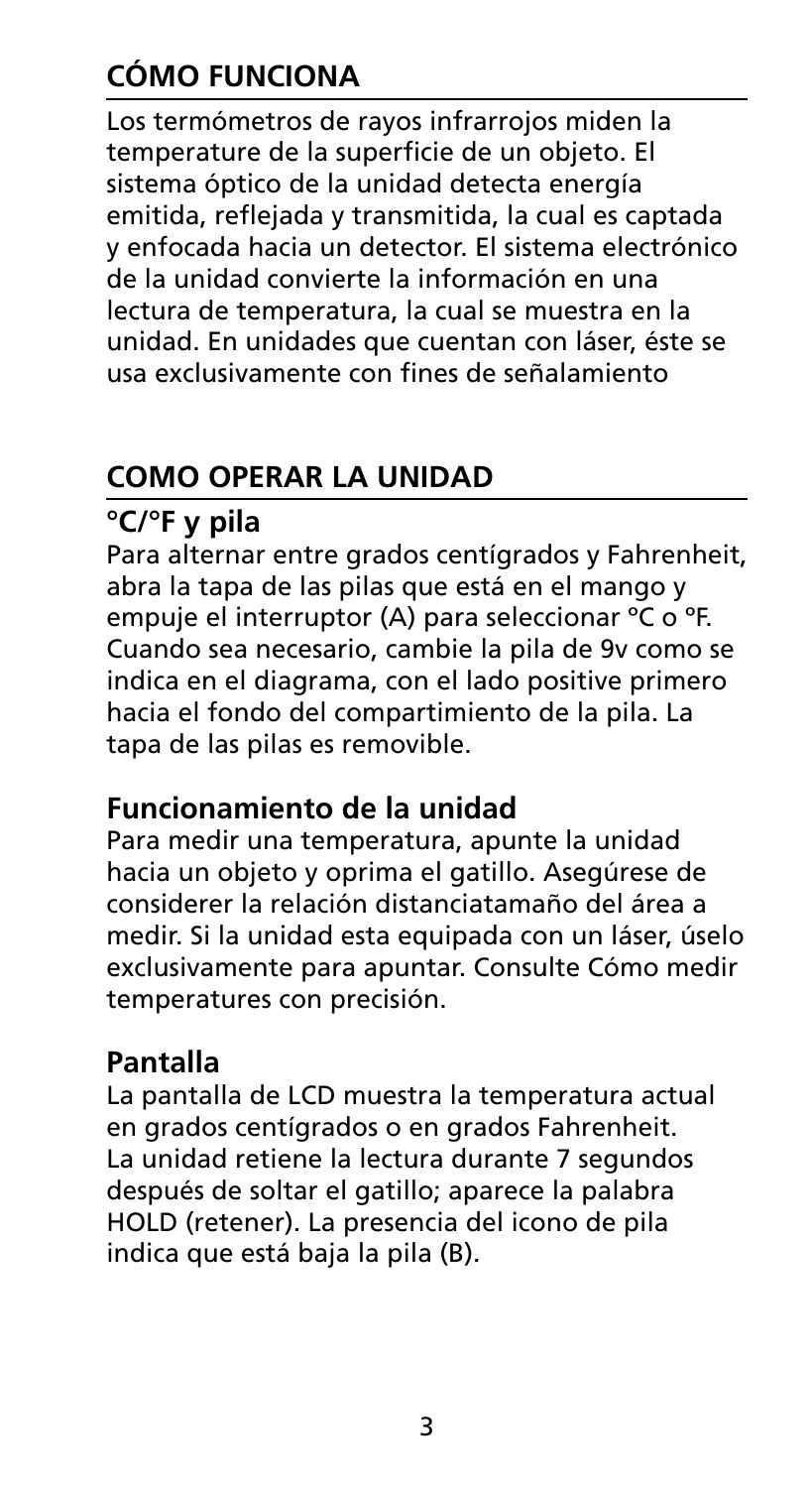## **Cómo funciona**

Los termómetros de rayos infrarrojos miden la temperature de la superficie de un objeto. El sistema óptico de la unidad detecta energía emitida, reflejada y transmitida, la cual es captada y enfocada hacia un detector. El sistema electrónico de la unidad convierte la información en una lectura de temperatura, la cual se muestra en la unidad. En unidades que cuentan con láser, éste se usa exclusivamente con fines de señalamiento

## **Como operar la Unidad**

## **°C/°F y pila**

Para alternar entre grados centígrados y Fahrenheit, abra la tapa de las pilas que está en el mango y empuje el interruptor (A) para seleccionar ºC o ºF. Cuando sea necesario, cambie la pila de 9v como se indica en el diagrama, con el lado positive primero hacia el fondo del compartimiento de la pila. La tapa de las pilas es removible.

## **Funcionamiento de la unidad**

Para medir una temperatura, apunte la unidad hacia un objeto y oprima el gatillo. Asegúrese de considerer la relación distanciatamaño del área a medir. Si la unidad esta equipada con un láser, úselo exclusivamente para apuntar. Consulte Cómo medir temperatures con precisión.

## **Pantalla**

La pantalla de LCD muestra la temperatura actual en grados centígrados o en grados Fahrenheit. La unidad retiene la lectura durante 7 segundos después de soltar el gatillo; aparece la palabra HOLD (retener). La presencia del icono de pila indica que está baja la pila (B).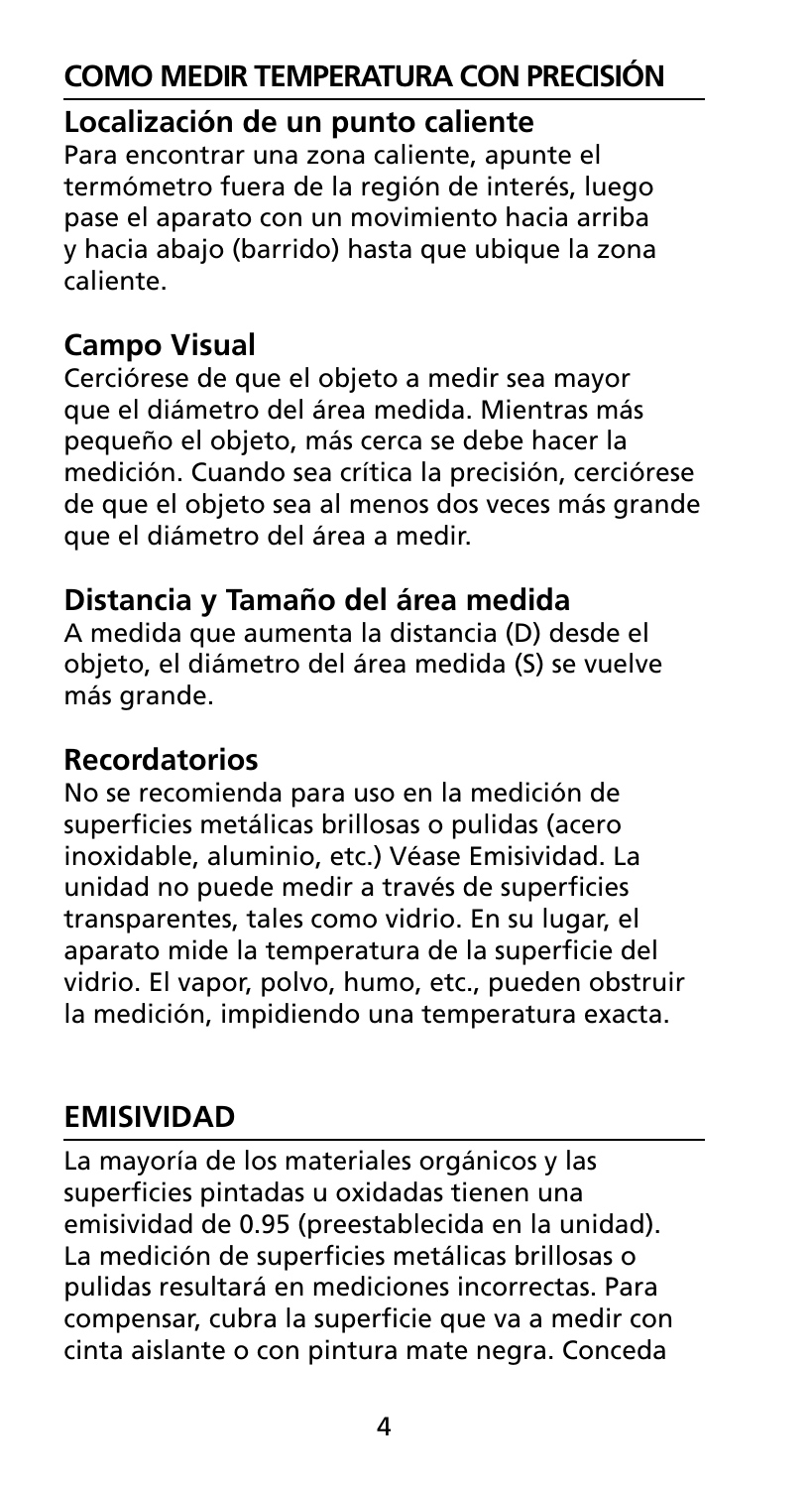## **Como Medir Temperatura con Precisión**

## **Localización de un punto caliente**

Para encontrar una zona caliente, apunte el termómetro fuera de la región de interés, luego pase el aparato con un movimiento hacia arriba y hacia abajo (barrido) hasta que ubique la zona caliente.

## **Campo Visual**

Cerciórese de que el objeto a medir sea mayor que el diámetro del área medida. Mientras más pequeño el objeto, más cerca se debe hacer la medición. Cuando sea crítica la precisión, cerciórese de que el objeto sea al menos dos veces más grande que el diámetro del área a medir.

## **Distancia y Tamaño del área medida**

A medida que aumenta la distancia (D) desde el objeto, el diámetro del área medida (S) se vuelve más grande.

## **Recordatorios**

No se recomienda para uso en la medición de superficies metálicas brillosas o pulidas (acero inoxidable, aluminio, etc.) Véase Emisividad. La unidad no puede medir a través de superficies transparentes, tales como vidrio. En su lugar, el aparato mide la temperatura de la superficie del vidrio. El vapor, polvo, humo, etc., pueden obstruir la medición, impidiendo una temperatura exacta.

## **Emisividad**

La mayoría de los materiales orgánicos y las superficies pintadas u oxidadas tienen una emisividad de 0.95 (preestablecida en la unidad). La medición de superficies metálicas brillosas o pulidas resultará en mediciones incorrectas. Para compensar, cubra la superficie que va a medir con cinta aislante o con pintura mate negra. Conceda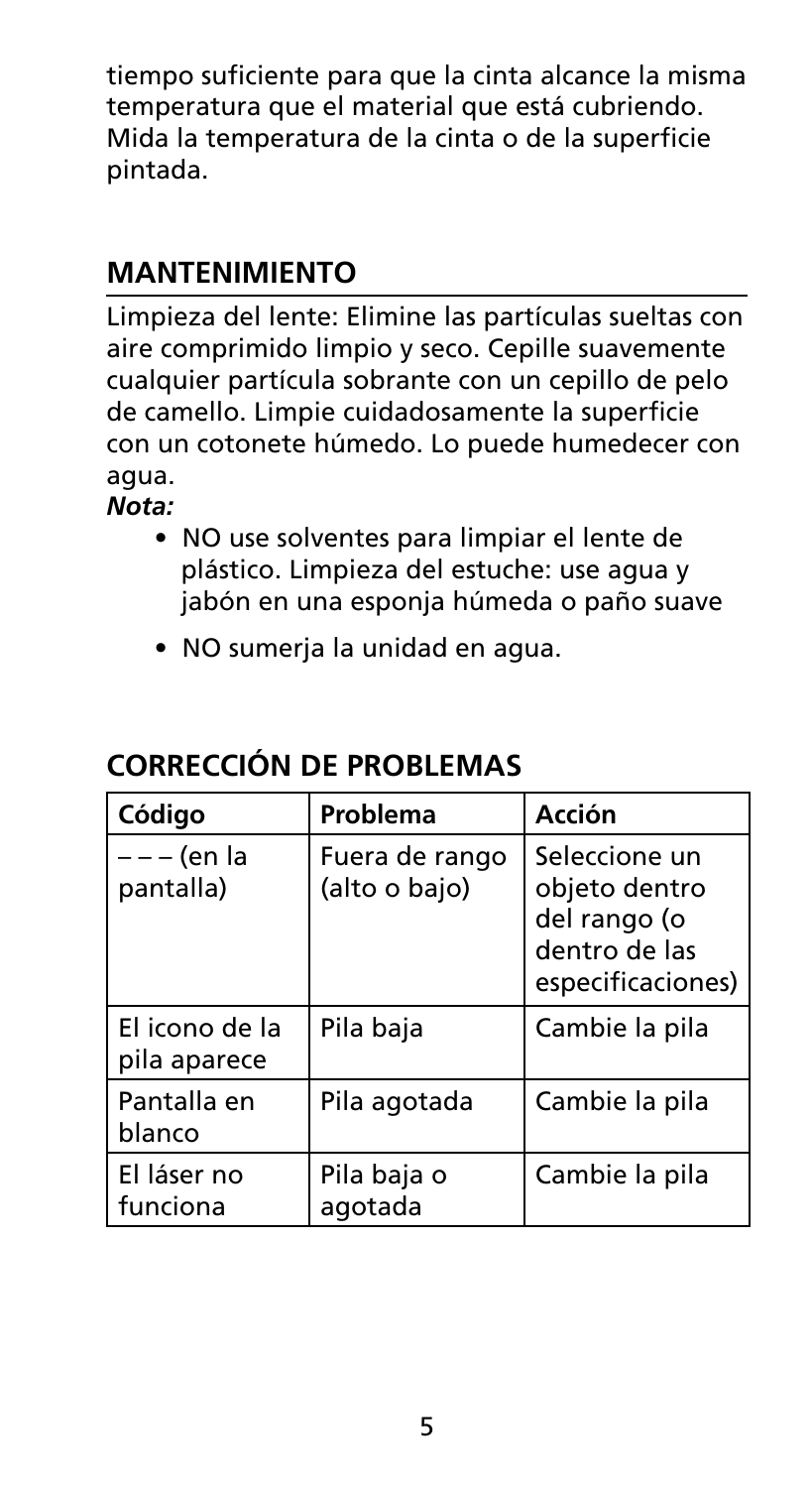tiempo suficiente para que la cinta alcance la misma temperatura que el material que está cubriendo. Mida la temperatura de la cinta o de la superficie pintada.

## **Mantenimiento**

Limpieza del lente: Elimine las partículas sueltas con aire comprimido limpio y seco. Cepille suavemente cualquier partícula sobrante con un cepillo de pelo de camello. Limpie cuidadosamente la superficie con un cotonete húmedo. Lo puede humedecer con agua.

*Nota:* 

- NO use solventes para limpiar el lente de plástico. Limpieza del estuche: use agua y jabón en una esponja húmeda o paño suave
- NO sumerja la unidad en agua.

| Código                         | Problema                        | Acción                                                                               |
|--------------------------------|---------------------------------|--------------------------------------------------------------------------------------|
| – – – (en la<br>pantalla)      | Fuera de rango<br>(alto o bajo) | Seleccione un<br>objeto dentro<br>del rango (o<br>dentro de las<br>especificaciones) |
| El icono de la<br>pila aparece | Pila baja                       | Cambie la pila                                                                       |
| Pantalla en<br>blanco          | Pila agotada                    | Cambie la pila                                                                       |
| El láser no<br>funciona        | Pila baja o<br>agotada          | Cambie la pila                                                                       |

## **CORRECCIÓN DE PROBLEMAS**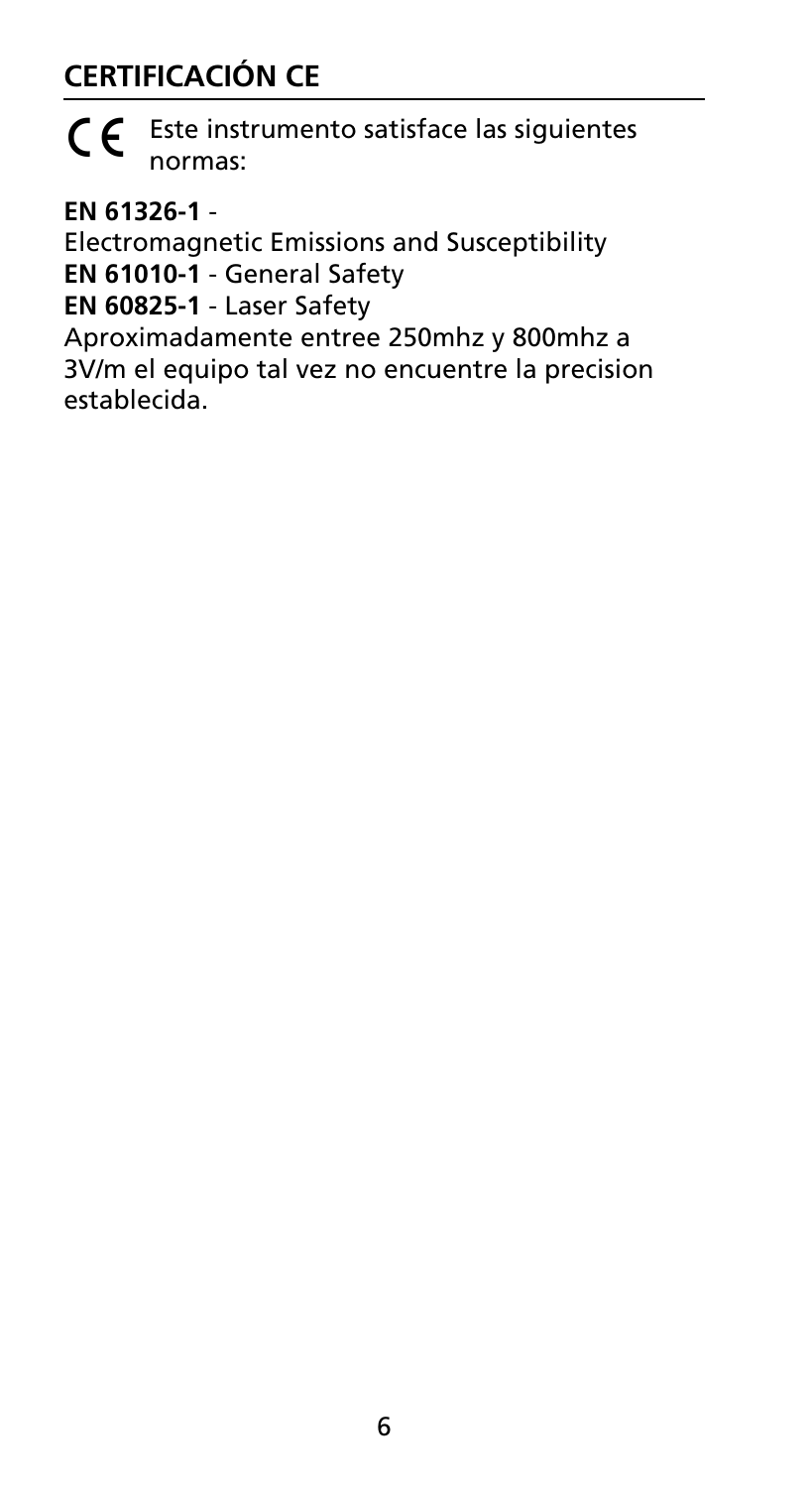## **Certificación CE**



 $\epsilon$  Este instrumento satisface las siguientes normas:

**EN 61326-1** -

Electromagnetic Emissions and Susceptibility **EN 61010-1** - General Safety **EN 60825-1** - Laser Safety

Aproximadamente entree 250mhz y 800mhz a 3V/m el equipo tal vez no encuentre la precision establecida.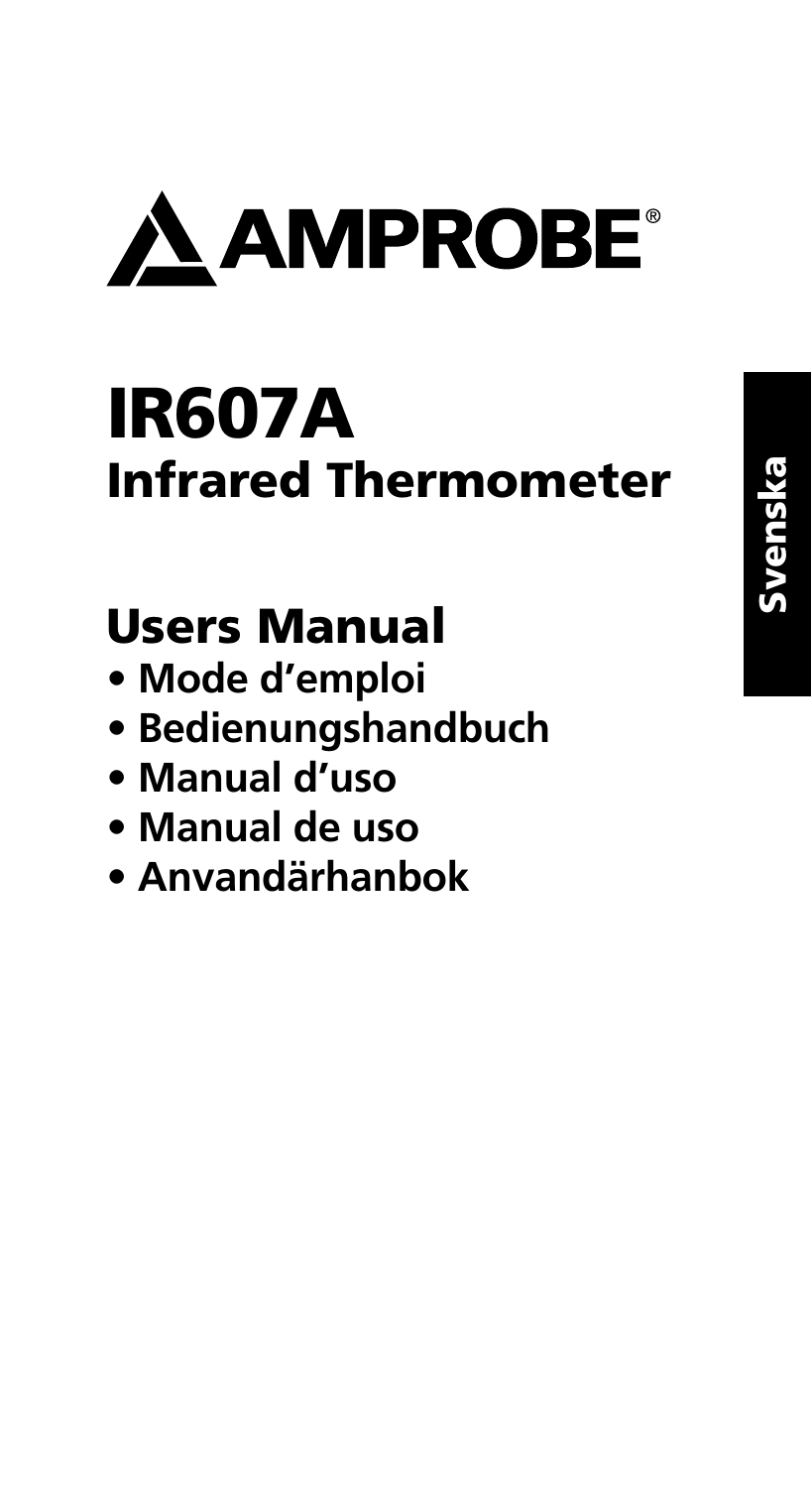

# IR607A Infrared Thermometer

## Users Manual

- **Mode d'emploi**
- **Bedienungshandbuch**
- **Manual d'uso**
- **Manual de uso**
- **Anvandärhanbok**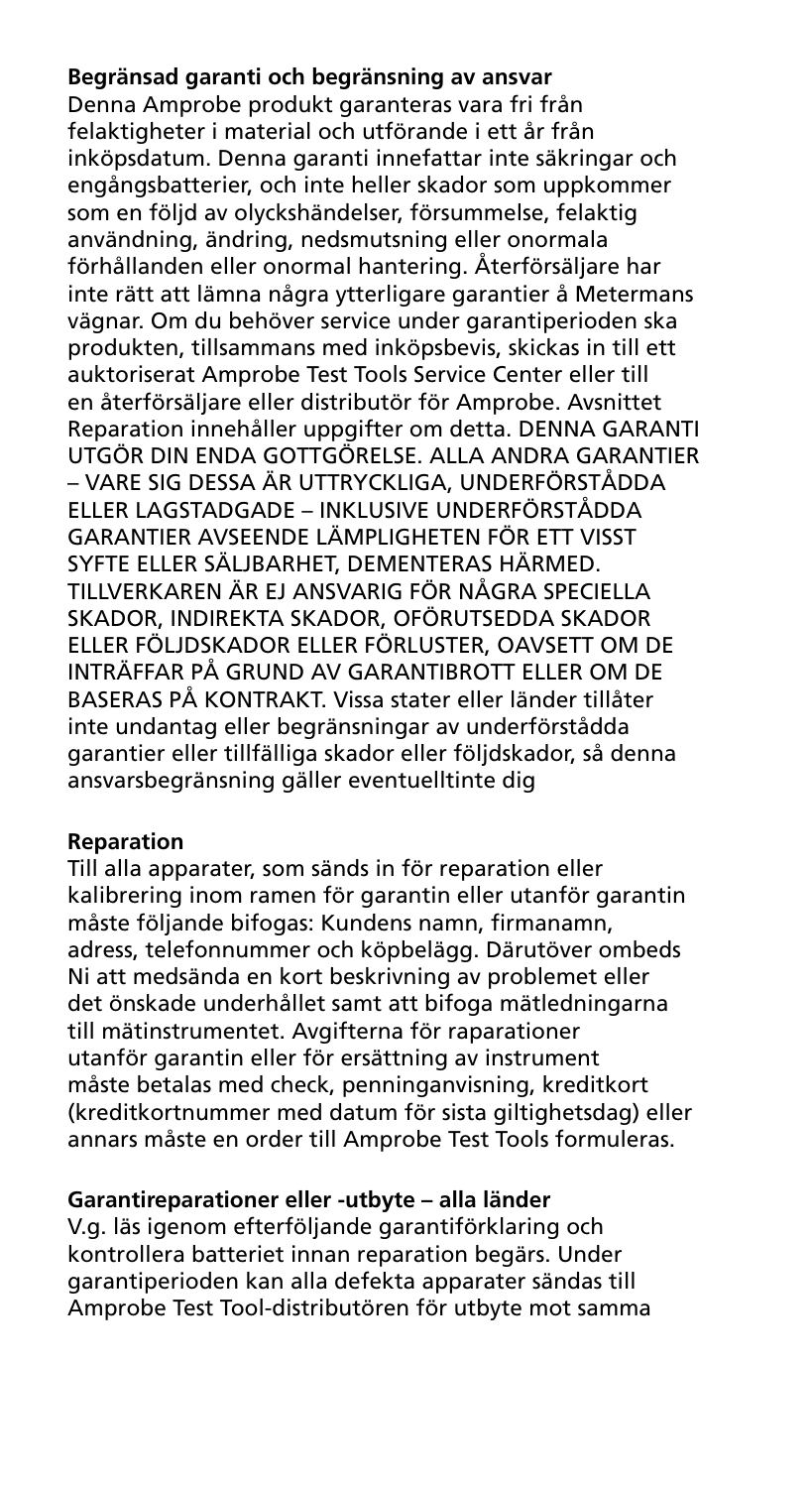#### **Begränsad garanti och begränsning av ansvar**

Denna Amprobe produkt garanteras vara fri från felaktigheter i material och utförande i ett år från inköpsdatum. Denna garanti innefattar inte säkringar och engångsbatterier, och inte heller skador som uppkommer som en följd av olyckshändelser, försummelse, felaktig användning, ändring, nedsmutsning eller onormala förhållanden eller onormal hantering. Återförsäljare har inte rätt att lämna några ytterligare garantier å Metermans vägnar. Om du behöver service under garantiperioden ska produkten, tillsammans med inköpsbevis, skickas in till ett auktoriserat Amprobe Test Tools Service Center eller till en återförsäljare eller distributör för Amprobe. Avsnittet Reparation innehåller uppgifter om detta. DENNA GARANTI UTGÖR DIN ENDA GOTTGÖRELSE. ALLA ANDRA GARANTIER – VARE SIG DESSA ÄR UTTRYCKLIGA, UNDERFÖRSTÅDDA ELLER LAGSTADGADE – INKLUSIVE UNDERFÖRSTÅDDA GARANTIER AVSEENDE LÄMPLIGHETEN FÖR ETT VISST SYFTE ELLER SÄLJBARHET, DEMENTERAS HÄRMED. TILLVERKAREN ÄR EJ ANSVARIG FÖR NÅGRA SPECIELLA SKADOR, INDIREKTA SKADOR, OFÖRUTSEDDA SKADOR ELLER FÖLJDSKADOR ELLER FÖRLUSTER, OAVSETT OM DE INTRÄFFAR PÅ GRUND AV GARANTIBROTT ELLER OM DE BASERAS PÅ KONTRAKT. Vissa stater eller länder tillåter inte undantag eller begränsningar av underförstådda garantier eller tillfälliga skador eller följdskador, så denna ansvarsbegränsning gäller eventuelltinte dig

#### **Reparation**

Till alla apparater, som sänds in för reparation eller kalibrering inom ramen för garantin eller utanför garantin måste följande bifogas: Kundens namn, firmanamn, adress, telefonnummer och köpbelägg. Därutöver ombeds Ni att medsända en kort beskrivning av problemet eller det önskade underhållet samt att bifoga mätledningarna till mätinstrumentet. Avgifterna för raparationer utanför garantin eller för ersättning av instrument måste betalas med check, penninganvisning, kreditkort (kreditkortnummer med datum för sista giltighetsdag) eller annars måste en order till Amprobe Test Tools formuleras.

#### **Garantireparationer eller -utbyte – alla länder**

V.g. läs igenom efterföljande garantiförklaring och kontrollera batteriet innan reparation begärs. Under garantiperioden kan alla defekta apparater sändas till Amprobe Test Tool-distributören för utbyte mot samma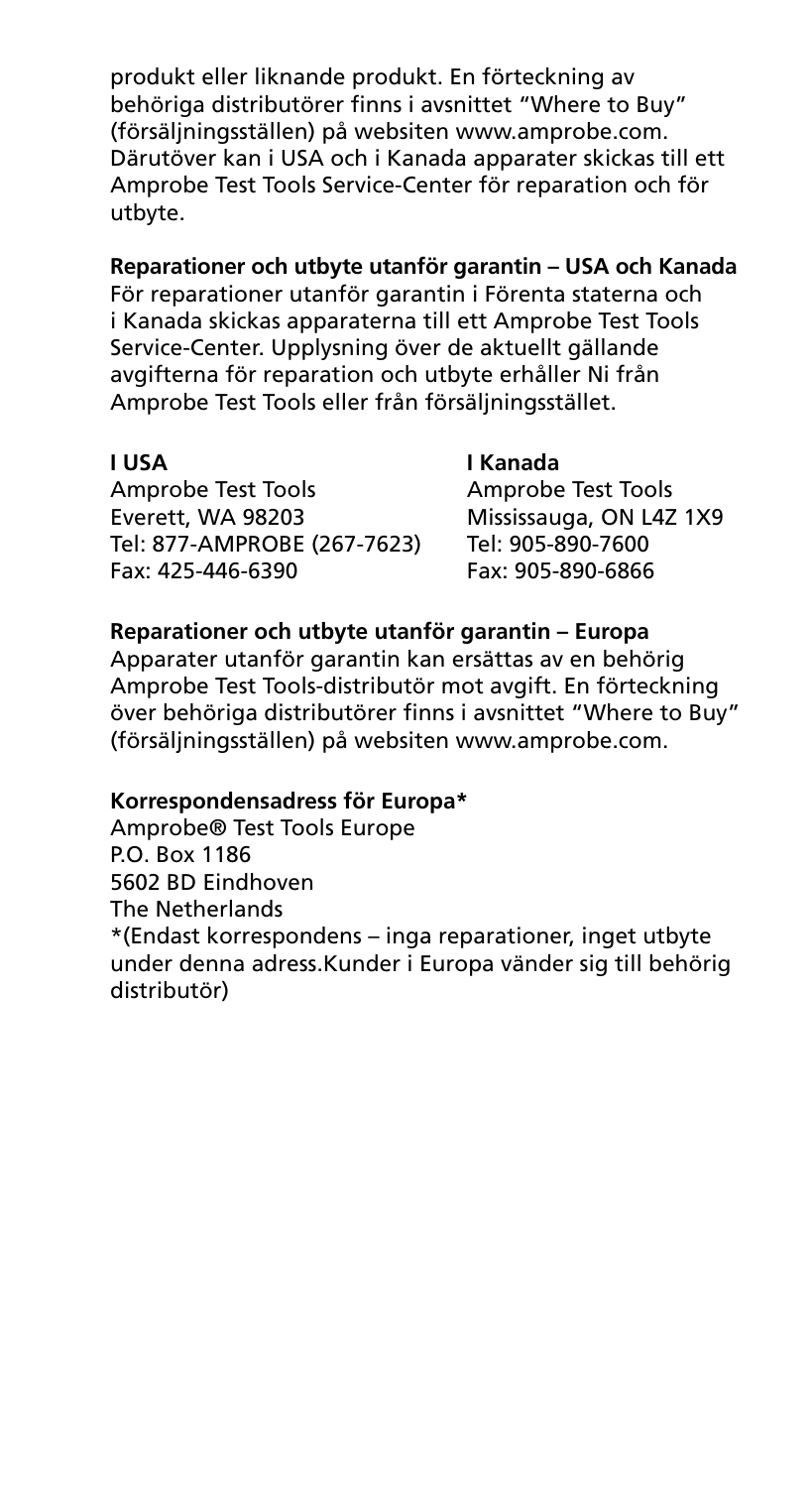produkt eller liknande produkt. En förteckning av behöriga distributörer finns i avsnittet "Where to Buy" (försäljningsställen) på websiten www.amprobe.com. Därutöver kan i USA och i Kanada apparater skickas till ett Amprobe Test Tools Service-Center för reparation och för utbyte.

#### **Reparationer och utbyte utanför garantin – USA och Kanada**

För reparationer utanför garantin i Förenta staterna och i Kanada skickas apparaterna till ett Amprobe Test Tools Service-Center. Upplysning över de aktuellt gällande avgifterna för reparation och utbyte erhåller Ni från Amprobe Test Tools eller från försäljningsstället.

#### **I USA I Kanada**

Amprobe Test Tools<br>
Everett, WA 98203 Mississauga, ON L4Z Tel: 877-AMPROBE (267-7623) Tel: 905-890-7600 Fax: 425-446-6390

Mississauga, ON L4Z 1X9

### **Reparationer och utbyte utanför garantin – Europa**

Apparater utanför garantin kan ersättas av en behörig Amprobe Test Tools-distributör mot avgift. En förteckning över behöriga distributörer finns i avsnittet "Where to Buy" (försäljningsställen) på websiten www.amprobe.com.

#### **Korrespondensadress för Europa\***

Amprobe® Test Tools Europe P.O. Box 1186 5602 BD Eindhoven The Netherlands \*(Endast korrespondens – inga reparationer, inget utbyte under denna adress.Kunder i Europa vänder sig till behörig distributör)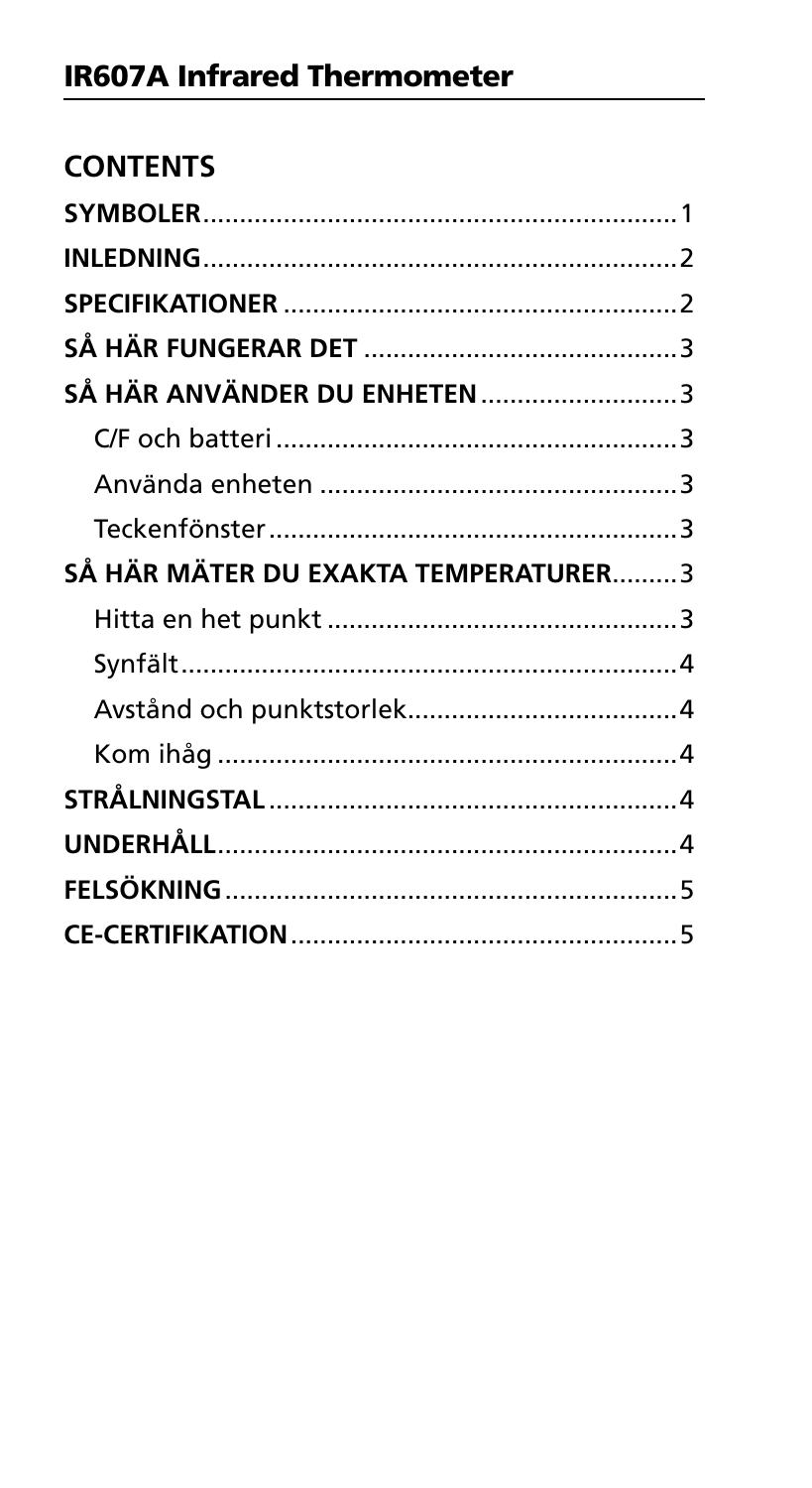| <b>CONTENTS</b>                      |  |
|--------------------------------------|--|
|                                      |  |
|                                      |  |
|                                      |  |
|                                      |  |
| SÅ HÄR ANVÄNDER DU ENHETEN 3         |  |
|                                      |  |
|                                      |  |
|                                      |  |
| SÅ HÄR MÄTER DU EXAKTA TEMPERATURER3 |  |
|                                      |  |
|                                      |  |
|                                      |  |
|                                      |  |
|                                      |  |
|                                      |  |
|                                      |  |
|                                      |  |
|                                      |  |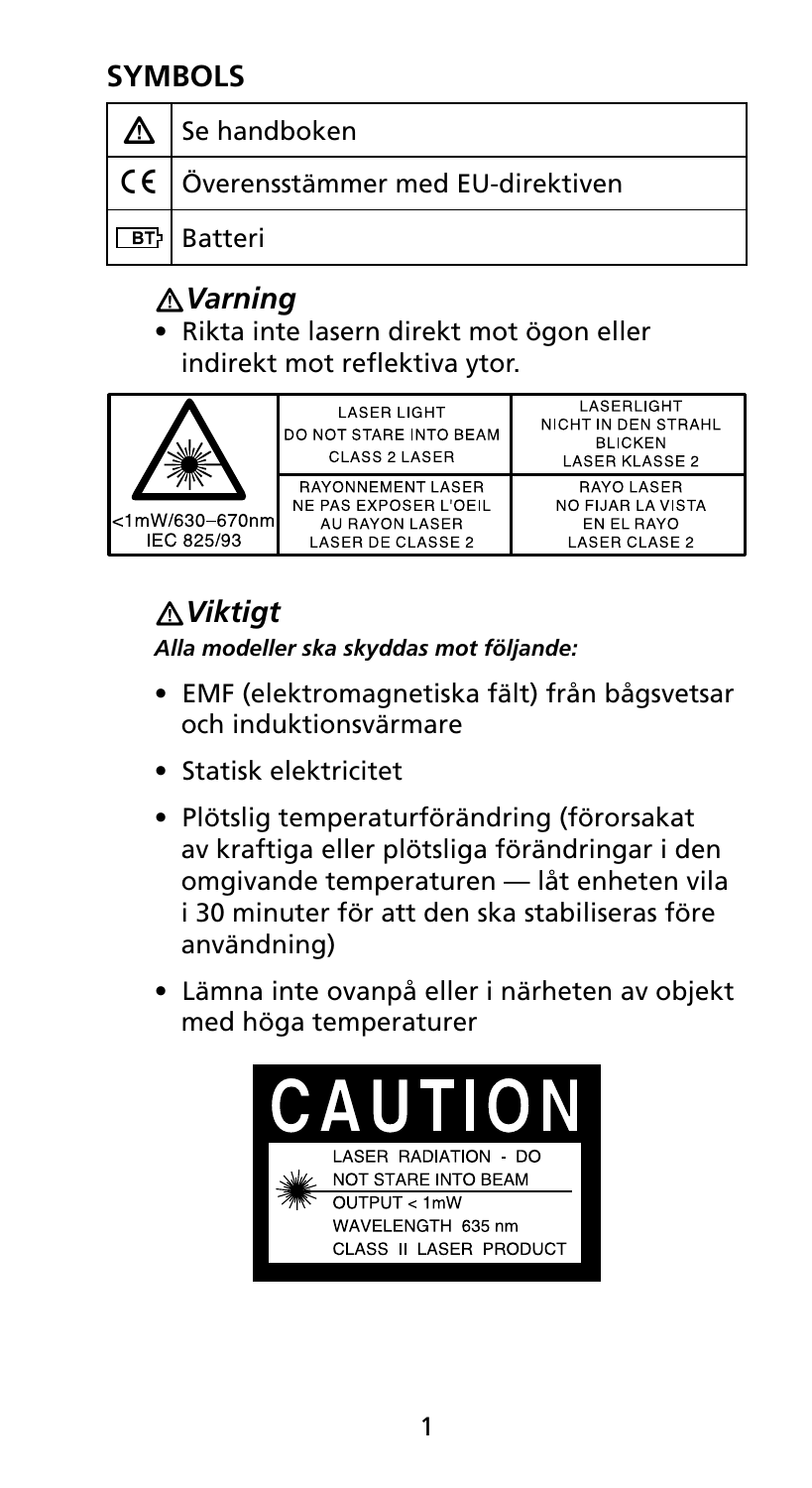## **SYMBOLS**

| $\Delta$   Se handboken                             |
|-----------------------------------------------------|
| $\vert$ CE $\vert$ Överensstämmer med EU-direktiven |
| <b>BT</b> Batteri                                   |

## �*Varning*

• Rikta inte lasern direkt mot ögon eller indirekt mot reflektiva ytor.

|                                | <b>LASER LIGHT</b><br>DO NOT STARE INTO BEAM<br>CLASS 2 LASER                            | I ASFRI IGHT<br>NICHT IN DEN STRAHL<br><b>BLICKEN</b><br><b>LASER KLASSE 2</b> |
|--------------------------------|------------------------------------------------------------------------------------------|--------------------------------------------------------------------------------|
| l<1mW/630–670nml<br>IEC 825/93 | <b>RAYONNEMENT LASER</b><br>NE PAS EXPOSER L'OEIL<br>AU RAYON LASER<br>LASER DE CLASSE 2 | <b>RAYO LASER</b><br>NO FIJAR LA VISTA<br>EN EL RAYO<br>LASER CLASE 2          |

## �*Viktigt*

*Alla modeller ska skyddas mot följande:*

- EMF (elektromagnetiska fält) från bågsvetsar och induktionsvärmare
- Statisk elektricitet
- Plötslig temperaturförändring (förorsakat av kraftiga eller plötsliga förändringar i den omgivande temperaturen — låt enheten vila i 30 minuter för att den ska stabiliseras före användning)
- Lämna inte ovanpå eller i närheten av objekt med höga temperaturer

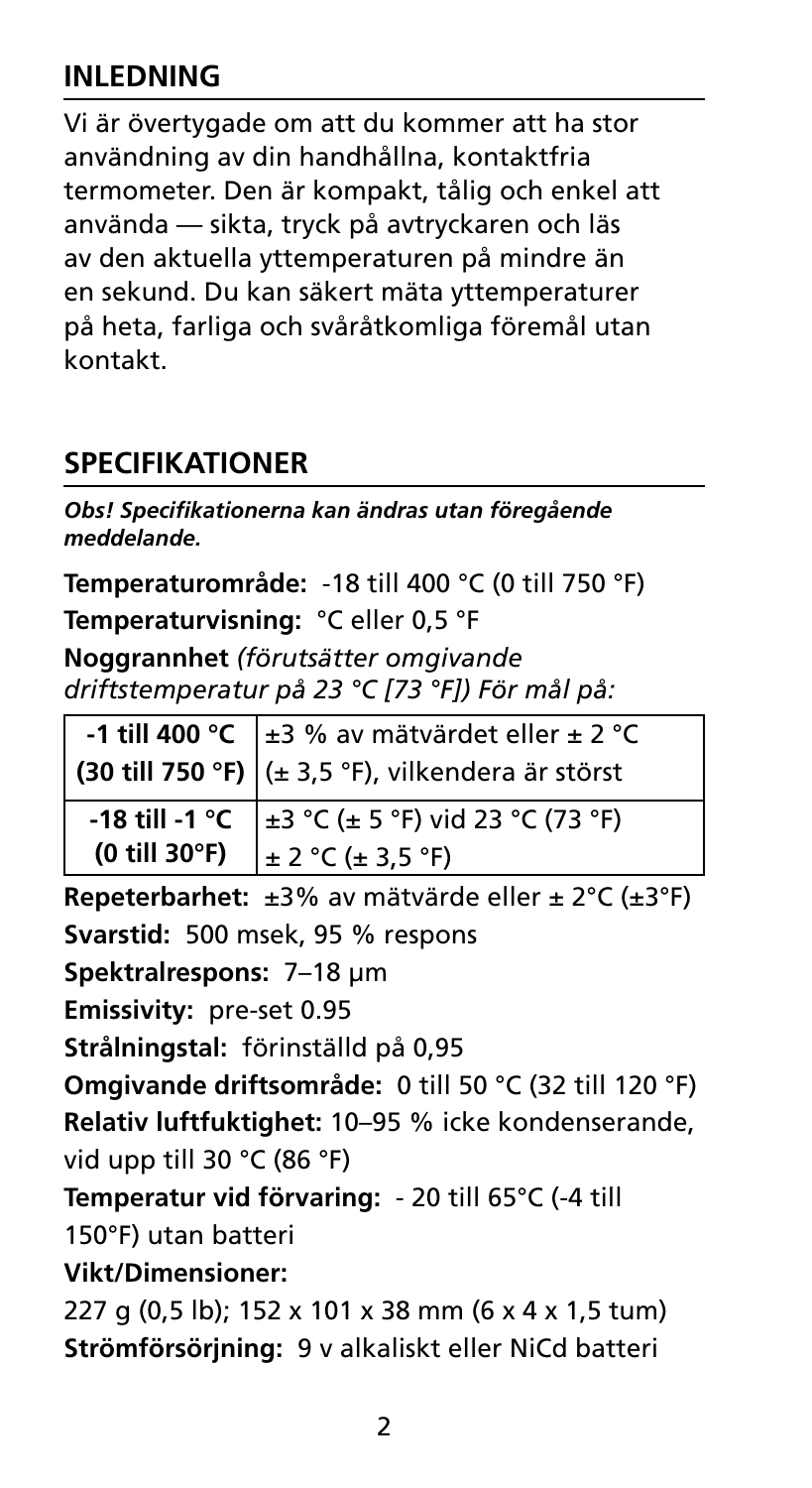## **INLEDNING**

Vi är övertygade om att du kommer att ha stor användning av din handhållna, kontaktfria termometer. Den är kompakt, tålig och enkel att använda — sikta, tryck på avtryckaren och läs av den aktuella yttemperaturen på mindre än en sekund. Du kan säkert mäta yttemperaturer på heta, farliga och svåråtkomliga föremål utan kontakt.

## **Specifikationer**

*Obs! Specifikationerna kan ändras utan föregående meddelande.* 

**Temperaturområde:** -18 till 400 °C (0 till 750 °F)

**Temperaturvisning:** °C eller 0,5 °F

**Noggrannhet** *(förutsätter omgivande driftstemperatur på 23 °C [73 °F]) För mål på:*

|               | -1 till 400 °C $\pm$ 3 % av mätvärdet eller $\pm$ 2 °C    |  |
|---------------|-----------------------------------------------------------|--|
|               | (30 till 750 °F) $(± 3,5 °F)$ , vilkendera är störst      |  |
|               | -18 till -1 °C $\pm 3$ °C ( $\pm 5$ °F) vid 23 °C (73 °F) |  |
| (0 till 30°F) | $\pm 2 \degree C \left( \pm 3.5 \degree F \right)$        |  |

**Repeterbarhet:** ±3% av mätvärde eller ± 2°C (±3°F) **Svarstid:** 500 msek, 95 % respons **Spektralrespons:** 7–18 μm **Emissivity:** pre-set 0.95 **Strålningstal:** förinställd på 0,95 **Omgivande driftsområde:** 0 till 50 °C (32 till 120 °F) **Relativ luftfuktighet:** 10–95 % icke kondenserande, vid upp till 30 °C (86 °F) **Temperatur vid förvaring:** - 20 till 65°C (-4 till 150°F) utan batteri **Vikt/Dimensioner:**  227 g (0,5 lb); 152 x 101 x 38 mm (6 x 4 x 1,5 tum) **Strömförsörjning:** 9 v alkaliskt eller NiCd batteri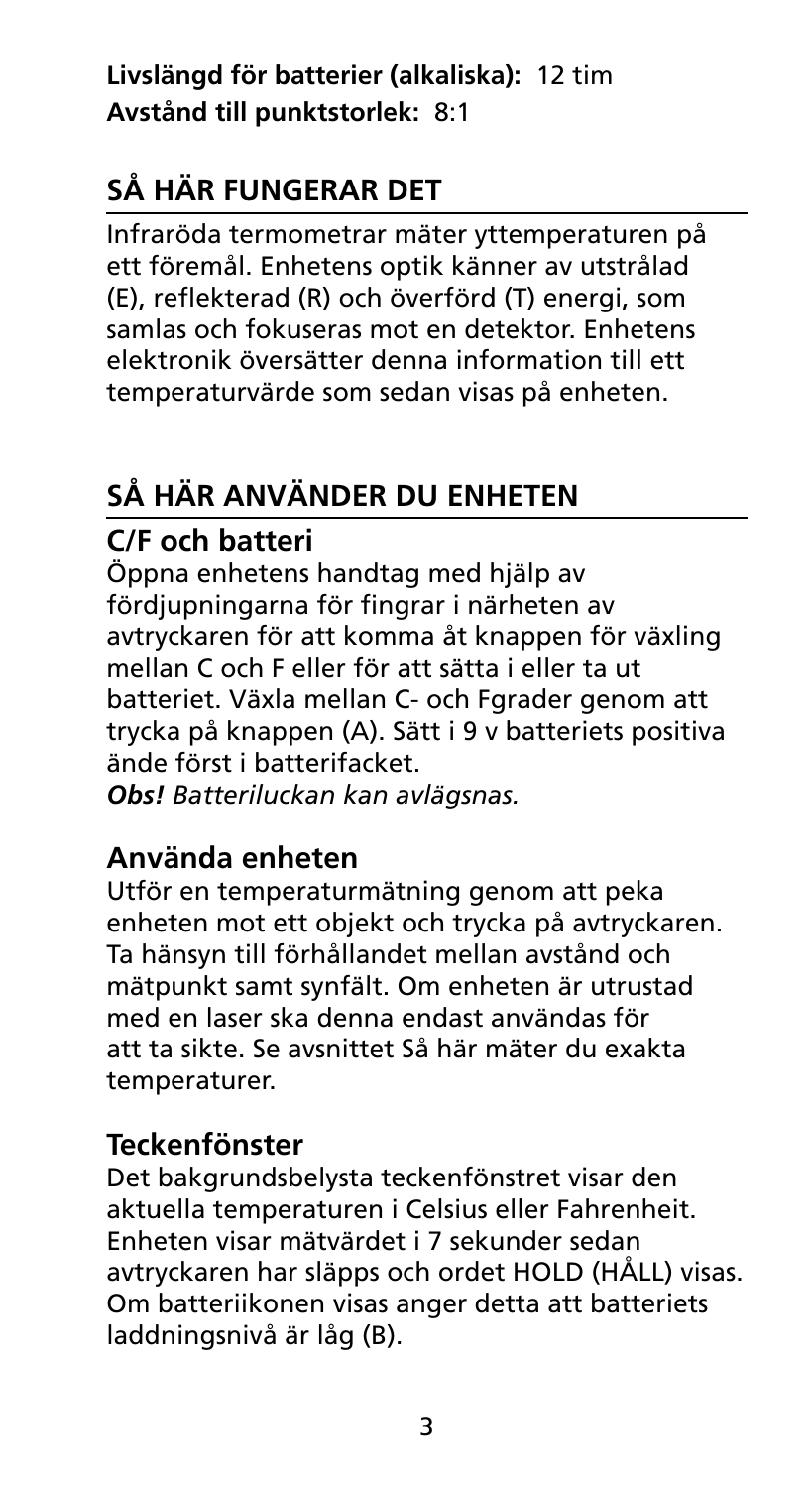**Livslängd för batterier (alkaliska):** 12 tim **Avstånd till punktstorlek:** 8:1

## **Så här fungerar det**

Infraröda termometrar mäter yttemperaturen på ett föremål. Enhetens optik känner av utstrålad (E), reflekterad (R) och överförd (T) energi, som samlas och fokuseras mot en detektor. Enhetens elektronik översätter denna information till ett temperaturvärde som sedan visas på enheten.

## **Så här använder du enheten**

## **C/F och batteri**

Öppna enhetens handtag med hjälp av fördjupningarna för fingrar i närheten av avtryckaren för att komma åt knappen för växling mellan C och F eller för att sätta i eller ta ut batteriet. Växla mellan C- och Fgrader genom att trycka på knappen (A). Sätt i 9 v batteriets positiva ände först i batterifacket.

*Obs! Batteriluckan kan avlägsnas.*

## **Använda enheten**

Utför en temperaturmätning genom att peka enheten mot ett objekt och trycka på avtryckaren. Ta hänsyn till förhållandet mellan avstånd och mätpunkt samt synfält. Om enheten är utrustad med en laser ska denna endast användas för att ta sikte. Se avsnittet Så här mäter du exakta temperaturer.

## **Teckenfönster**

Det bakgrundsbelysta teckenfönstret visar den aktuella temperaturen i Celsius eller Fahrenheit. Enheten visar mätvärdet i 7 sekunder sedan avtryckaren har släpps och ordet HOLD (HÅLL) visas. Om batteriikonen visas anger detta att batteriets laddningsnivå är låg (B).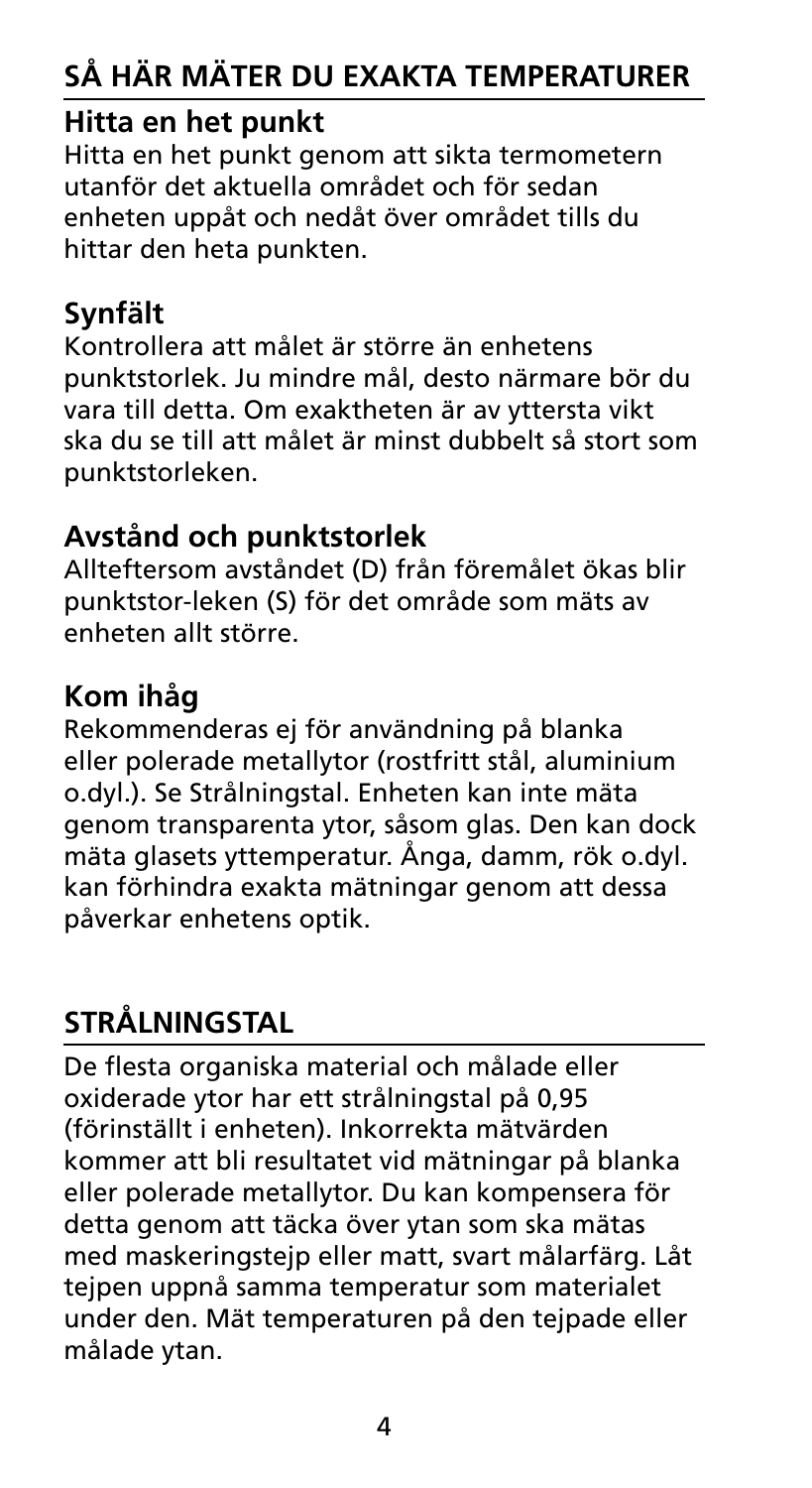## **Så här mäter du exakta temperaturer**

### **Hitta en het punkt**

Hitta en het punkt genom att sikta termometern utanför det aktuella området och för sedan enheten uppåt och nedåt över området tills du hittar den heta punkten.

## **Synfält**

Kontrollera att målet är större än enhetens punktstorlek. Ju mindre mål, desto närmare bör du vara till detta. Om exaktheten är av yttersta vikt ska du se till att målet är minst dubbelt så stort som punktstorleken.

## **Avstånd och punktstorlek**

Allteftersom avståndet (D) från föremålet ökas blir punktstor-leken (S) för det område som mäts av enheten allt större.

## **Kom ihåg**

Rekommenderas ej för användning på blanka eller polerade metallytor (rostfritt stål, aluminium o.dyl.). Se Strålningstal. Enheten kan inte mäta genom transparenta ytor, såsom glas. Den kan dock mäta glasets yttemperatur. Ånga, damm, rök o.dyl. kan förhindra exakta mätningar genom att dessa påverkar enhetens optik.

## **Strålningstal**

De flesta organiska material och målade eller oxiderade ytor har ett strålningstal på 0,95 (förinställt i enheten). Inkorrekta mätvärden kommer att bli resultatet vid mätningar på blanka eller polerade metallytor. Du kan kompensera för detta genom att täcka över ytan som ska mätas med maskeringstejp eller matt, svart målarfärg. Låt tejpen uppnå samma temperatur som materialet under den. Mät temperaturen på den tejpade eller målade ytan.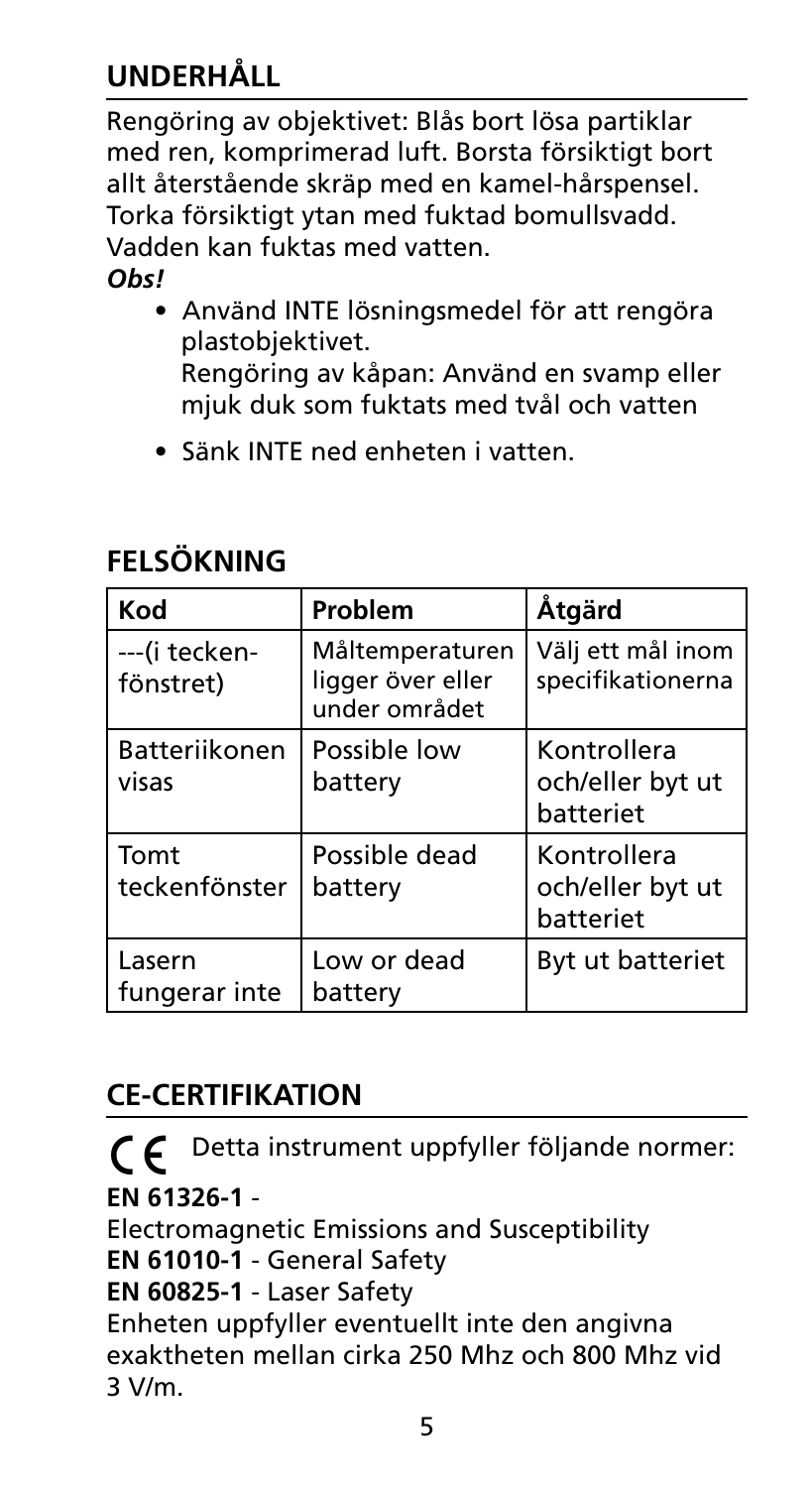## **Underhåll**

Rengöring av objektivet: Blås bort lösa partiklar med ren, komprimerad luft. Borsta försiktigt bort allt återstående skräp med en kamel-hårspensel. Torka försiktigt ytan med fuktad bomullsvadd. Vadden kan fuktas med vatten. *Obs!* 

- Använd INTE lösningsmedel för att rengöra plastobjektivet. Rengöring av kåpan: Använd en svamp eller mjuk duk som fuktats med tvål och vatten
- Sänk INTE ned enheten i vatten.

| <b>FELSOKNING</b> |  |
|-------------------|--|
|                   |  |

| Kod                        | Problem                                               | Åtgärd                                       |
|----------------------------|-------------------------------------------------------|----------------------------------------------|
| ---(i tecken-<br>fönstret) | Måltemperaturen<br>ligger över eller<br>under området | Välj ett mål inom<br>specifikationerna       |
| Batteriikonen<br>visas     | Possible low<br>battery                               | Kontrollera<br>och/eller byt ut<br>batteriet |
| Tomt<br>teckenfönster      | Possible dead<br>battery                              | Kontrollera<br>och/eller byt ut<br>batteriet |
| Lasern<br>fungerar inte    | Low or dead<br>battery                                | Byt ut batteriet                             |

## **CE-certifikation**

P Detta instrument uppfyller följande normer: **EN 61326-1** - Electromagnetic Emissions and Susceptibility **EN 61010-1** - General Safety **EN 60825-1** - Laser Safety Enheten uppfyller eventuellt inte den angivna exaktheten mellan cirka 250 Mhz och 800 Mhz vid 3 V/m.